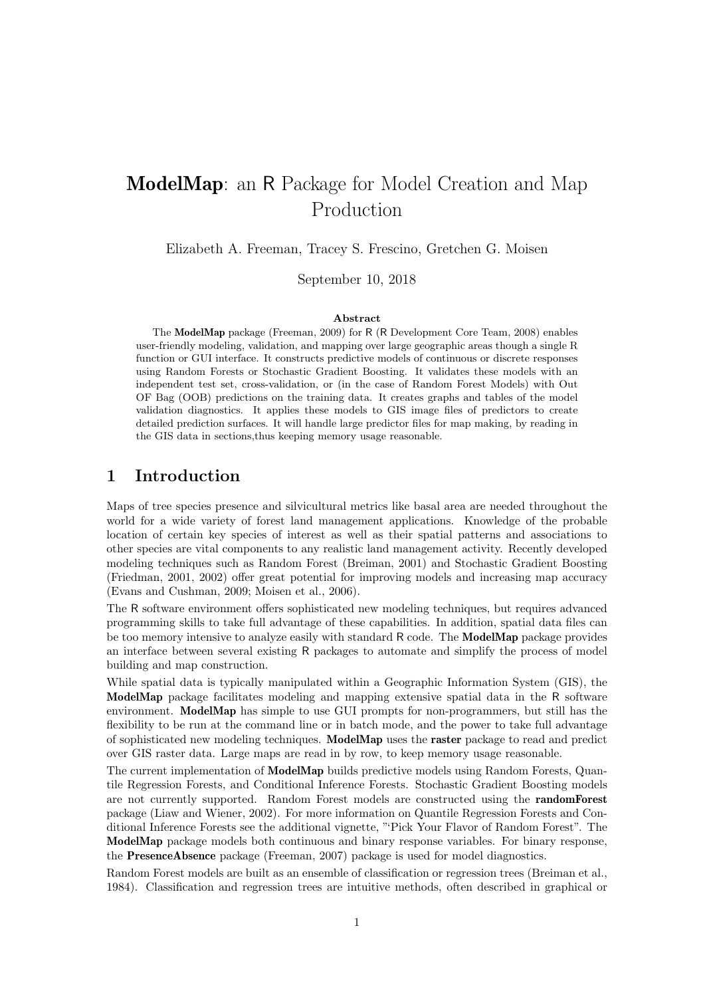## ModelMap: an R Package for Model Creation and Map Production

Elizabeth A. Freeman, Tracey S. Frescino, Gretchen G. Moisen

September 10, 2018

#### Abstract

The ModelMap package (Freeman, 2009) for R (R Development Core Team, 2008) enables user-friendly modeling, validation, and mapping over large geographic areas though a single R function or GUI interface. It constructs predictive models of continuous or discrete responses using Random Forests or Stochastic Gradient Boosting. It validates these models with an independent test set, cross-validation, or (in the case of Random Forest Models) with Out OF Bag (OOB) predictions on the training data. It creates graphs and tables of the model validation diagnostics. It applies these models to GIS image files of predictors to create detailed prediction surfaces. It will handle large predictor files for map making, by reading in the GIS data in sections,thus keeping memory usage reasonable.

### 1 Introduction

Maps of tree species presence and silvicultural metrics like basal area are needed throughout the world for a wide variety of forest land management applications. Knowledge of the probable location of certain key species of interest as well as their spatial patterns and associations to other species are vital components to any realistic land management activity. Recently developed modeling techniques such as Random Forest (Breiman, 2001) and Stochastic Gradient Boosting (Friedman, 2001, 2002) offer great potential for improving models and increasing map accuracy (Evans and Cushman, 2009; Moisen et al., 2006).

The R software environment offers sophisticated new modeling techniques, but requires advanced programming skills to take full advantage of these capabilities. In addition, spatial data files can be too memory intensive to analyze easily with standard R code. The ModelMap package provides an interface between several existing R packages to automate and simplify the process of model building and map construction.

While spatial data is typically manipulated within a Geographic Information System (GIS), the ModelMap package facilitates modeling and mapping extensive spatial data in the R software environment. ModelMap has simple to use GUI prompts for non-programmers, but still has the flexibility to be run at the command line or in batch mode, and the power to take full advantage of sophisticated new modeling techniques. ModelMap uses the raster package to read and predict over GIS raster data. Large maps are read in by row, to keep memory usage reasonable.

The current implementation of ModelMap builds predictive models using Random Forests, Quantile Regression Forests, and Conditional Inference Forests. Stochastic Gradient Boosting models are not currently supported. Random Forest models are constructed using the randomForest package (Liaw and Wiener, 2002). For more information on Quantile Regression Forests and Conditional Inference Forests see the additional vignette, "'Pick Your Flavor of Random Forest". The ModelMap package models both continuous and binary response variables. For binary response, the PresenceAbsence package (Freeman, 2007) package is used for model diagnostics.

Random Forest models are built as an ensemble of classification or regression trees (Breiman et al., 1984). Classification and regression trees are intuitive methods, often described in graphical or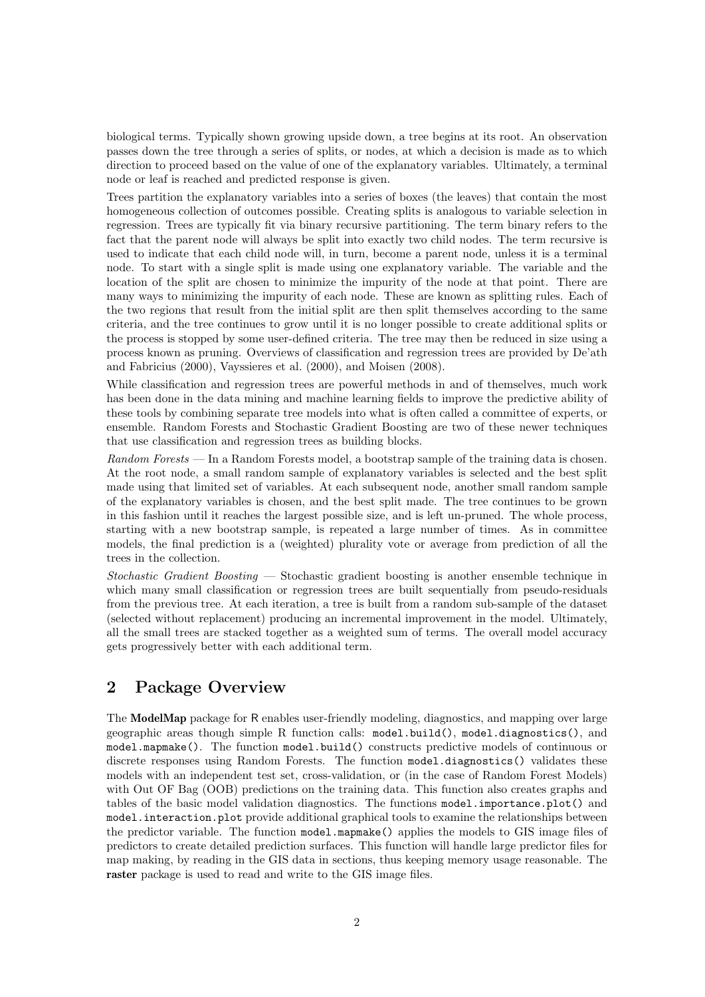biological terms. Typically shown growing upside down, a tree begins at its root. An observation passes down the tree through a series of splits, or nodes, at which a decision is made as to which direction to proceed based on the value of one of the explanatory variables. Ultimately, a terminal node or leaf is reached and predicted response is given.

Trees partition the explanatory variables into a series of boxes (the leaves) that contain the most homogeneous collection of outcomes possible. Creating splits is analogous to variable selection in regression. Trees are typically fit via binary recursive partitioning. The term binary refers to the fact that the parent node will always be split into exactly two child nodes. The term recursive is used to indicate that each child node will, in turn, become a parent node, unless it is a terminal node. To start with a single split is made using one explanatory variable. The variable and the location of the split are chosen to minimize the impurity of the node at that point. There are many ways to minimizing the impurity of each node. These are known as splitting rules. Each of the two regions that result from the initial split are then split themselves according to the same criteria, and the tree continues to grow until it is no longer possible to create additional splits or the process is stopped by some user-defined criteria. The tree may then be reduced in size using a process known as pruning. Overviews of classification and regression trees are provided by De'ath and Fabricius (2000), Vayssieres et al. (2000), and Moisen (2008).

While classification and regression trees are powerful methods in and of themselves, much work has been done in the data mining and machine learning fields to improve the predictive ability of these tools by combining separate tree models into what is often called a committee of experts, or ensemble. Random Forests and Stochastic Gradient Boosting are two of these newer techniques that use classification and regression trees as building blocks.

Random Forests — In a Random Forests model, a bootstrap sample of the training data is chosen. At the root node, a small random sample of explanatory variables is selected and the best split made using that limited set of variables. At each subsequent node, another small random sample of the explanatory variables is chosen, and the best split made. The tree continues to be grown in this fashion until it reaches the largest possible size, and is left un-pruned. The whole process, starting with a new bootstrap sample, is repeated a large number of times. As in committee models, the final prediction is a (weighted) plurality vote or average from prediction of all the trees in the collection.

Stochastic Gradient Boosting — Stochastic gradient boosting is another ensemble technique in which many small classification or regression trees are built sequentially from pseudo-residuals from the previous tree. At each iteration, a tree is built from a random sub-sample of the dataset (selected without replacement) producing an incremental improvement in the model. Ultimately, all the small trees are stacked together as a weighted sum of terms. The overall model accuracy gets progressively better with each additional term.

## 2 Package Overview

The ModelMap package for R enables user-friendly modeling, diagnostics, and mapping over large geographic areas though simple R function calls: model.build(), model.diagnostics(), and model.mapmake(). The function model.build() constructs predictive models of continuous or discrete responses using Random Forests. The function model.diagnostics() validates these models with an independent test set, cross-validation, or (in the case of Random Forest Models) with Out OF Bag (OOB) predictions on the training data. This function also creates graphs and tables of the basic model validation diagnostics. The functions model.importance.plot() and model.interaction.plot provide additional graphical tools to examine the relationships between the predictor variable. The function model.mapmake() applies the models to GIS image files of predictors to create detailed prediction surfaces. This function will handle large predictor files for map making, by reading in the GIS data in sections, thus keeping memory usage reasonable. The raster package is used to read and write to the GIS image files.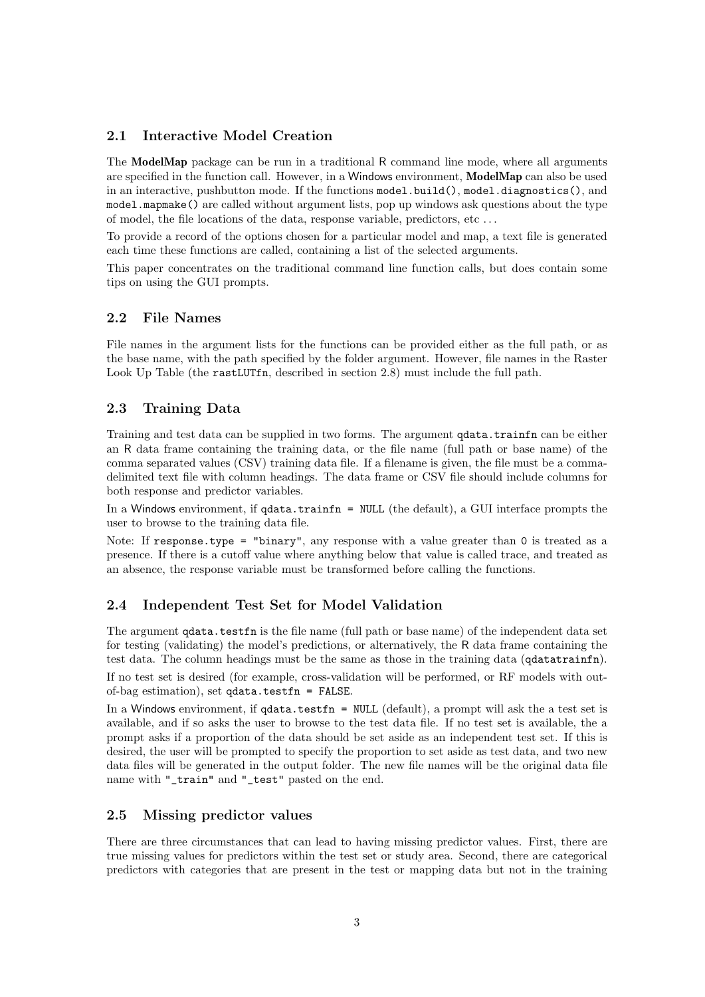#### 2.1 Interactive Model Creation

The ModelMap package can be run in a traditional R command line mode, where all arguments are specified in the function call. However, in a Windows environment, ModelMap can also be used in an interactive, pushbutton mode. If the functions model.build(), model.diagnostics(), and model.mapmake() are called without argument lists, pop up windows ask questions about the type of model, the file locations of the data, response variable, predictors, etc . . .

To provide a record of the options chosen for a particular model and map, a text file is generated each time these functions are called, containing a list of the selected arguments.

This paper concentrates on the traditional command line function calls, but does contain some tips on using the GUI prompts.

#### 2.2 File Names

File names in the argument lists for the functions can be provided either as the full path, or as the base name, with the path specified by the folder argument. However, file names in the Raster Look Up Table (the rastLUTfn, described in section 2.8) must include the full path.

### 2.3 Training Data

Training and test data can be supplied in two forms. The argument qdata.trainfn can be either an R data frame containing the training data, or the file name (full path or base name) of the comma separated values (CSV) training data file. If a filename is given, the file must be a commadelimited text file with column headings. The data frame or CSV file should include columns for both response and predictor variables.

In a Windows environment, if  $qdata.trainfn = NULL$  (the default), a GUI interface prompts the user to browse to the training data file.

Note: If response.type = "binary", any response with a value greater than 0 is treated as a presence. If there is a cutoff value where anything below that value is called trace, and treated as an absence, the response variable must be transformed before calling the functions.

#### 2.4 Independent Test Set for Model Validation

The argument **qdata**.testfn is the file name (full path or base name) of the independent data set for testing (validating) the model's predictions, or alternatively, the R data frame containing the test data. The column headings must be the same as those in the training data (qdatatrainfn).

If no test set is desired (for example, cross-validation will be performed, or RF models with outof-bag estimation), set qdata.testfn = FALSE.

In a Windows environment, if qdata.testfn = NULL (default), a prompt will ask the a test set is available, and if so asks the user to browse to the test data file. If no test set is available, the a prompt asks if a proportion of the data should be set aside as an independent test set. If this is desired, the user will be prompted to specify the proportion to set aside as test data, and two new data files will be generated in the output folder. The new file names will be the original data file name with "\_train" and "\_test" pasted on the end.

#### 2.5 Missing predictor values

There are three circumstances that can lead to having missing predictor values. First, there are true missing values for predictors within the test set or study area. Second, there are categorical predictors with categories that are present in the test or mapping data but not in the training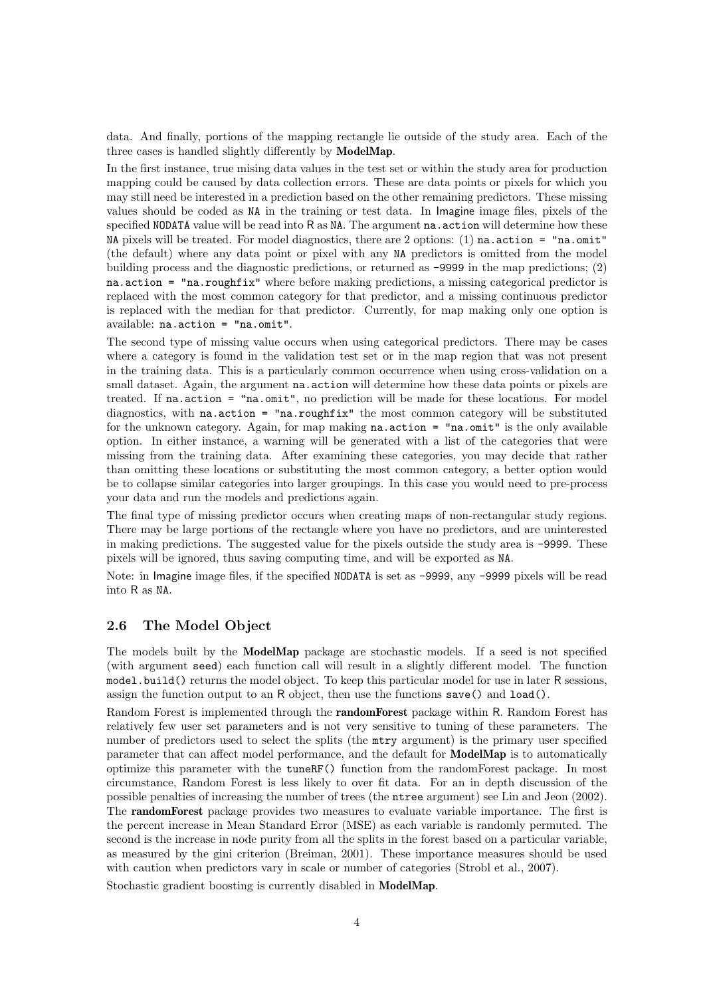data. And finally, portions of the mapping rectangle lie outside of the study area. Each of the three cases is handled slightly differently by ModelMap.

In the first instance, true mising data values in the test set or within the study area for production mapping could be caused by data collection errors. These are data points or pixels for which you may still need be interested in a prediction based on the other remaining predictors. These missing values should be coded as NA in the training or test data. In Imagine image files, pixels of the specified NODATA value will be read into R as NA. The argument na.action will determine how these NA pixels will be treated. For model diagnostics, there are 2 options:  $(1)$  na.action = "na.omit" (the default) where any data point or pixel with any NA predictors is omitted from the model building process and the diagnostic predictions, or returned as -9999 in the map predictions; (2) na.action = "na.roughfix" where before making predictions, a missing categorical predictor is replaced with the most common category for that predictor, and a missing continuous predictor is replaced with the median for that predictor. Currently, for map making only one option is available: na.action = "na.omit".

The second type of missing value occurs when using categorical predictors. There may be cases where a category is found in the validation test set or in the map region that was not present in the training data. This is a particularly common occurrence when using cross-validation on a small dataset. Again, the argument **na** action will determine how these data points or pixels are treated. If na.action = "na.omit", no prediction will be made for these locations. For model diagnostics, with na.action = "na.roughfix" the most common category will be substituted for the unknown category. Again, for map making  $na$  action =  $"na$  omit" is the only available option. In either instance, a warning will be generated with a list of the categories that were missing from the training data. After examining these categories, you may decide that rather than omitting these locations or substituting the most common category, a better option would be to collapse similar categories into larger groupings. In this case you would need to pre-process your data and run the models and predictions again.

The final type of missing predictor occurs when creating maps of non-rectangular study regions. There may be large portions of the rectangle where you have no predictors, and are uninterested in making predictions. The suggested value for the pixels outside the study area is -9999. These pixels will be ignored, thus saving computing time, and will be exported as NA.

Note: in Imagine image files, if the specified NODATA is set as -9999, any -9999 pixels will be read into R as NA.

#### 2.6 The Model Object

The models built by the ModelMap package are stochastic models. If a seed is not specified (with argument seed) each function call will result in a slightly different model. The function model.build() returns the model object. To keep this particular model for use in later R sessions, assign the function output to an R object, then use the functions  $save()$  and  $load()$ .

Random Forest is implemented through the randomForest package within R. Random Forest has relatively few user set parameters and is not very sensitive to tuning of these parameters. The number of predictors used to select the splits (the mtry argument) is the primary user specified parameter that can affect model performance, and the default for ModelMap is to automatically optimize this parameter with the tuneRF() function from the randomForest package. In most circumstance, Random Forest is less likely to over fit data. For an in depth discussion of the possible penalties of increasing the number of trees (the ntree argument) see Lin and Jeon (2002). The randomForest package provides two measures to evaluate variable importance. The first is the percent increase in Mean Standard Error (MSE) as each variable is randomly permuted. The second is the increase in node purity from all the splits in the forest based on a particular variable, as measured by the gini criterion (Breiman, 2001). These importance measures should be used with caution when predictors vary in scale or number of categories (Strobl et al., 2007).

Stochastic gradient boosting is currently disabled in ModelMap.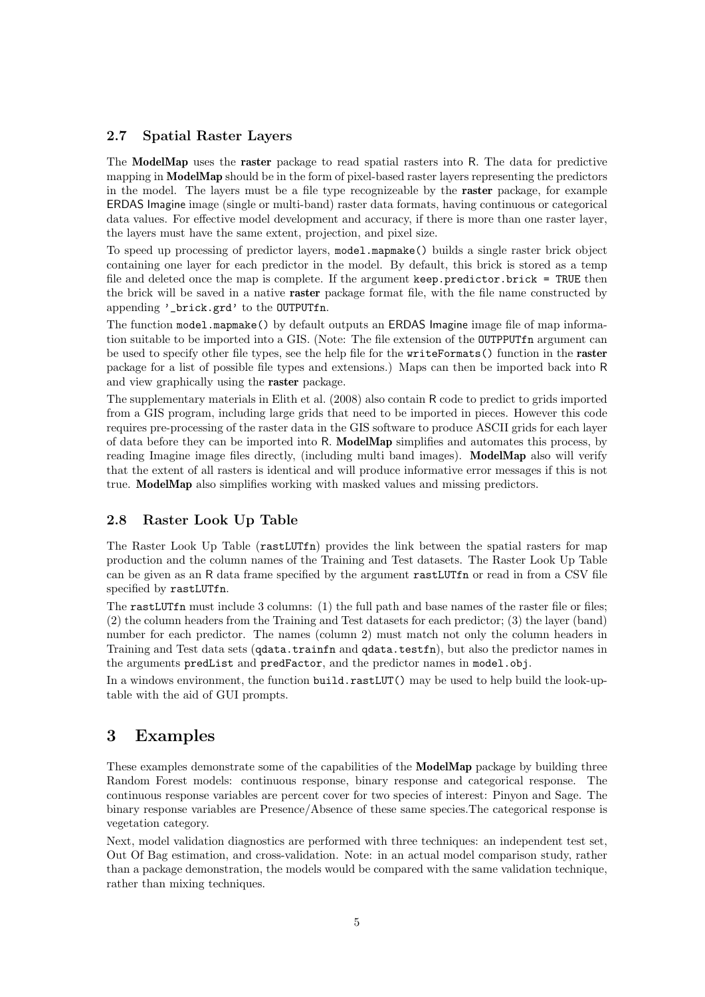#### 2.7 Spatial Raster Layers

The ModelMap uses the raster package to read spatial rasters into R. The data for predictive mapping in ModelMap should be in the form of pixel-based raster layers representing the predictors in the model. The layers must be a file type recognizeable by the raster package, for example ERDAS Imagine image (single or multi-band) raster data formats, having continuous or categorical data values. For effective model development and accuracy, if there is more than one raster layer, the layers must have the same extent, projection, and pixel size.

To speed up processing of predictor layers, model.mapmake() builds a single raster brick object containing one layer for each predictor in the model. By default, this brick is stored as a temp file and deleted once the map is complete. If the argument keep.predictor.brick = TRUE then the brick will be saved in a native raster package format file, with the file name constructed by appending '\_brick.grd' to the OUTPUTfn.

The function model.mapmake() by default outputs an ERDAS Imagine image file of map information suitable to be imported into a GIS. (Note: The file extension of the OUTPPUTfn argument can be used to specify other file types, see the help file for the writeFormats() function in the raster package for a list of possible file types and extensions.) Maps can then be imported back into R and view graphically using the raster package.

The supplementary materials in Elith et al. (2008) also contain R code to predict to grids imported from a GIS program, including large grids that need to be imported in pieces. However this code requires pre-processing of the raster data in the GIS software to produce ASCII grids for each layer of data before they can be imported into R. ModelMap simplifies and automates this process, by reading Imagine image files directly, (including multi band images). ModelMap also will verify that the extent of all rasters is identical and will produce informative error messages if this is not true. ModelMap also simplifies working with masked values and missing predictors.

#### 2.8 Raster Look Up Table

The Raster Look Up Table (rastLUTfn) provides the link between the spatial rasters for map production and the column names of the Training and Test datasets. The Raster Look Up Table can be given as an R data frame specified by the argument rastLUTfn or read in from a CSV file specified by rastLUTfn.

The rastLUTfn must include 3 columns: (1) the full path and base names of the raster file or files; (2) the column headers from the Training and Test datasets for each predictor; (3) the layer (band) number for each predictor. The names (column 2) must match not only the column headers in Training and Test data sets (qdata.trainfn and qdata.testfn), but also the predictor names in the arguments predList and predFactor, and the predictor names in model.obj.

In a windows environment, the function build.rastLUT() may be used to help build the look-uptable with the aid of GUI prompts.

### 3 Examples

These examples demonstrate some of the capabilities of the **ModelMap** package by building three Random Forest models: continuous response, binary response and categorical response. The continuous response variables are percent cover for two species of interest: Pinyon and Sage. The binary response variables are Presence/Absence of these same species.The categorical response is vegetation category.

Next, model validation diagnostics are performed with three techniques: an independent test set, Out Of Bag estimation, and cross-validation. Note: in an actual model comparison study, rather than a package demonstration, the models would be compared with the same validation technique, rather than mixing techniques.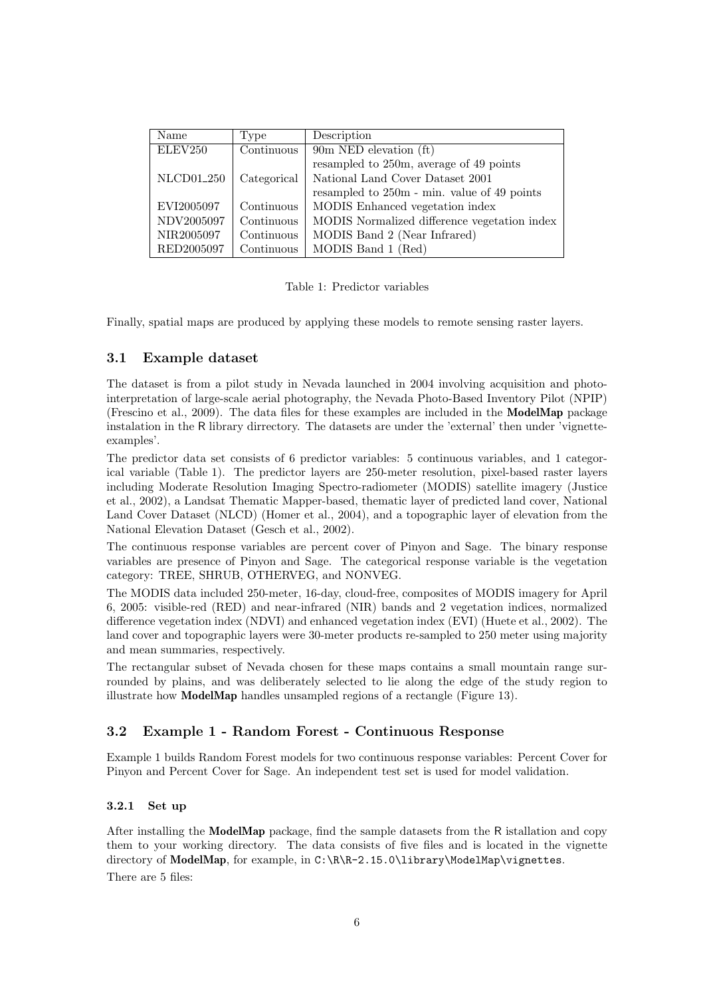| Name                   | Type        | Description                                  |  |
|------------------------|-------------|----------------------------------------------|--|
| ELEV250                | Continuous  | 90m NED elevation (ft)                       |  |
|                        |             | resampled to 250m, average of 49 points      |  |
| NLCD01 <sub>-250</sub> | Categorical | National Land Cover Dataset 2001             |  |
|                        |             | resampled to 250m - min. value of 49 points  |  |
| EVI2005097             | Continuous  | MODIS Enhanced vegetation index              |  |
| NDV2005097             | Continuous  | MODIS Normalized difference vegetation index |  |
| NIR2005097             | Continuous  | MODIS Band 2 (Near Infrared)                 |  |
| RED2005097             | Continuous  | MODIS Band 1 (Red)                           |  |

Table 1: Predictor variables

Finally, spatial maps are produced by applying these models to remote sensing raster layers.

#### 3.1 Example dataset

The dataset is from a pilot study in Nevada launched in 2004 involving acquisition and photointerpretation of large-scale aerial photography, the Nevada Photo-Based Inventory Pilot (NPIP) (Frescino et al., 2009). The data files for these examples are included in the ModelMap package instalation in the R library dirrectory. The datasets are under the 'external' then under 'vignetteexamples'.

The predictor data set consists of 6 predictor variables: 5 continuous variables, and 1 categorical variable (Table 1). The predictor layers are 250-meter resolution, pixel-based raster layers including Moderate Resolution Imaging Spectro-radiometer (MODIS) satellite imagery (Justice et al., 2002), a Landsat Thematic Mapper-based, thematic layer of predicted land cover, National Land Cover Dataset (NLCD) (Homer et al., 2004), and a topographic layer of elevation from the National Elevation Dataset (Gesch et al., 2002).

The continuous response variables are percent cover of Pinyon and Sage. The binary response variables are presence of Pinyon and Sage. The categorical response variable is the vegetation category: TREE, SHRUB, OTHERVEG, and NONVEG.

The MODIS data included 250-meter, 16-day, cloud-free, composites of MODIS imagery for April 6, 2005: visible-red (RED) and near-infrared (NIR) bands and 2 vegetation indices, normalized difference vegetation index (NDVI) and enhanced vegetation index (EVI) (Huete et al., 2002). The land cover and topographic layers were 30-meter products re-sampled to 250 meter using majority and mean summaries, respectively.

The rectangular subset of Nevada chosen for these maps contains a small mountain range surrounded by plains, and was deliberately selected to lie along the edge of the study region to illustrate how ModelMap handles unsampled regions of a rectangle (Figure 13).

#### 3.2 Example 1 - Random Forest - Continuous Response

Example 1 builds Random Forest models for two continuous response variables: Percent Cover for Pinyon and Percent Cover for Sage. An independent test set is used for model validation.

#### 3.2.1 Set up

After installing the ModelMap package, find the sample datasets from the R istallation and copy them to your working directory. The data consists of five files and is located in the vignette directory of ModelMap, for example, in C:\R\R-2.15.0\library\ModelMap\vignettes. There are 5 files: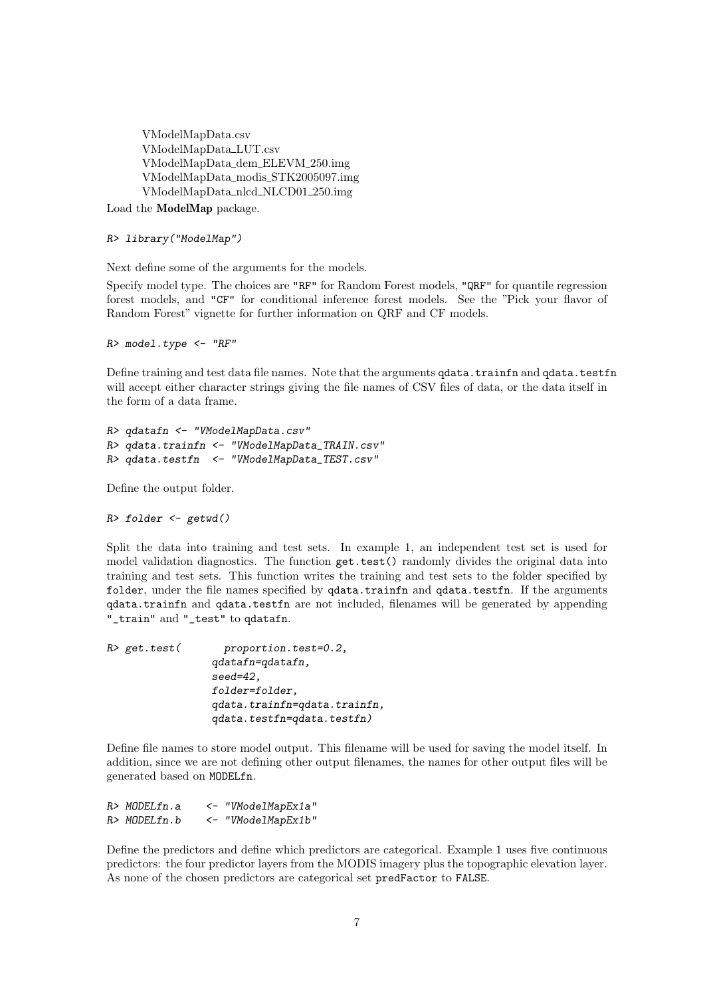VModelMapData.csv VModelMapData LUT.csv VModelMapData dem ELEVM 250.img VModelMapData modis STK2005097.img VModelMapData nlcd NLCD01 250.img

Load the ModelMap package.

*R> library("ModelMap")*

Next define some of the arguments for the models.

Specify model type. The choices are "RF" for Random Forest models, "QRF" for quantile regression forest models, and "CF" for conditional inference forest models. See the "Pick your flavor of Random Forest" vignette for further information on QRF and CF models.

*R> model.type <- "RF"*

Define training and test data file names. Note that the arguments **qdata**.trainfn and **qdata**.testfn will accept either character strings giving the file names of CSV files of data, or the data itself in the form of a data frame.

```
R> qdatafn <- "VModelMapData.csv"
R> qdata.trainfn <- "VModelMapData_TRAIN.csv"
R> qdata.testfn <- "VModelMapData_TEST.csv"
```
Define the output folder.

*R> folder <- getwd()*

Split the data into training and test sets. In example 1, an independent test set is used for model validation diagnostics. The function get.test() randomly divides the original data into training and test sets. This function writes the training and test sets to the folder specified by folder, under the file names specified by qdata.trainfn and qdata.testfn. If the arguments qdata.trainfn and qdata.testfn are not included, filenames will be generated by appending "\_train" and "\_test" to qdatafn.

| $R$ > get.test( | $proportion.test=0.2,$       |
|-----------------|------------------------------|
|                 | qdatafn=qdatafn,             |
|                 | $seed=42$ ,                  |
|                 | folder=folder,               |
|                 | qdata.trainfn=qdata.trainfn, |
|                 | qdata.testfn=qdata.testfn)   |

Define file names to store model output. This filename will be used for saving the model itself. In addition, since we are not defining other output filenames, the names for other output files will be generated based on MODELfn.

| R> MODELfn.a | <- "VModelMapEx1a" |
|--------------|--------------------|
| R> MODELfn.b | <- "VModelMapEx1b" |

Define the predictors and define which predictors are categorical. Example 1 uses five continuous predictors: the four predictor layers from the MODIS imagery plus the topographic elevation layer. As none of the chosen predictors are categorical set predFactor to FALSE.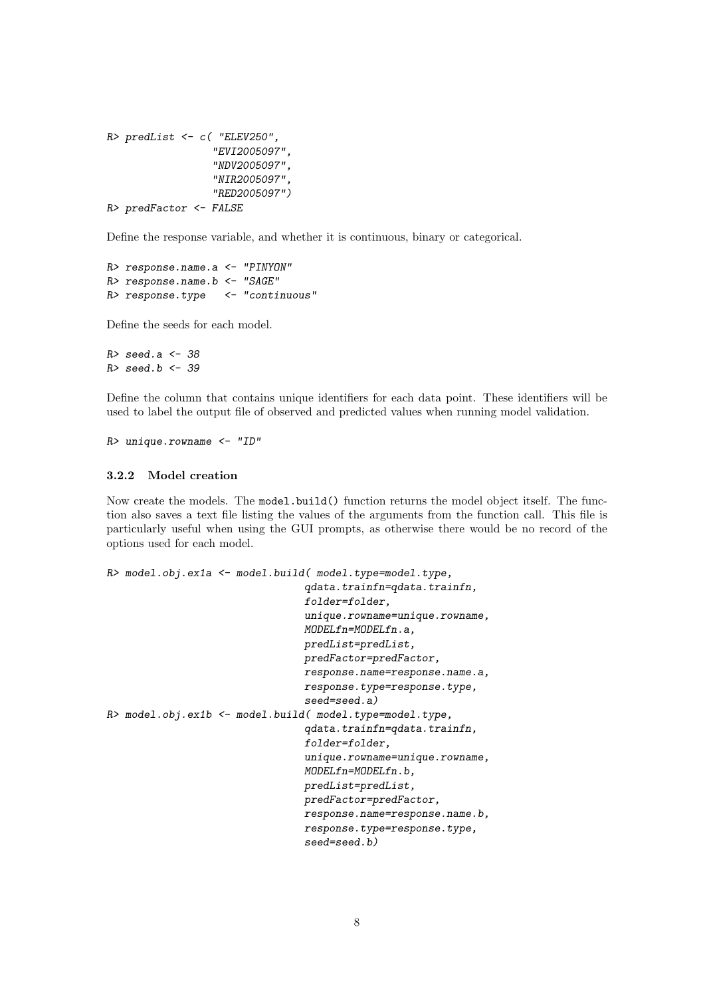```
R> predList <- c( "ELEV250",
                  "EVI2005097",
                  "NDV2005097",
                  "NIR2005097",
                  "RED2005097")
R> predFactor <- FALSE
```
Define the response variable, and whether it is continuous, binary or categorical.

```
R> response.name.a <- "PINYON"
R> response.name.b <- "SAGE"
R> response.type <- "continuous"
```
Define the seeds for each model.

*R> seed.a <- 38 R> seed.b <- 39*

Define the column that contains unique identifiers for each data point. These identifiers will be used to label the output file of observed and predicted values when running model validation.

*R> unique.rowname <- "ID"*

#### 3.2.2 Model creation

Now create the models. The model.build() function returns the model object itself. The function also saves a text file listing the values of the arguments from the function call. This file is particularly useful when using the GUI prompts, as otherwise there would be no record of the options used for each model.

```
R> model.obj.ex1a <- model.build( model.type=model.type,
                                qdata.trainfn=qdata.trainfn,
                                folder=folder,
                                unique.rowname=unique.rowname,
                                MODELfn=MODELfn.a,
                                predList=predList,
                                predFactor=predFactor,
                                response.name=response.name.a,
                                response.type=response.type,
                                seed=seed.a)
R> model.obj.ex1b <- model.build( model.type=model.type,
                                qdata.trainfn=qdata.trainfn,
                                folder=folder,
                                unique.rowname=unique.rowname,
                                MODELfn=MODELfn.b,
                                predList=predList,
                                predFactor=predFactor,
                                response.name=response.name.b,
                                response.type=response.type,
                                seed=seed.b)
```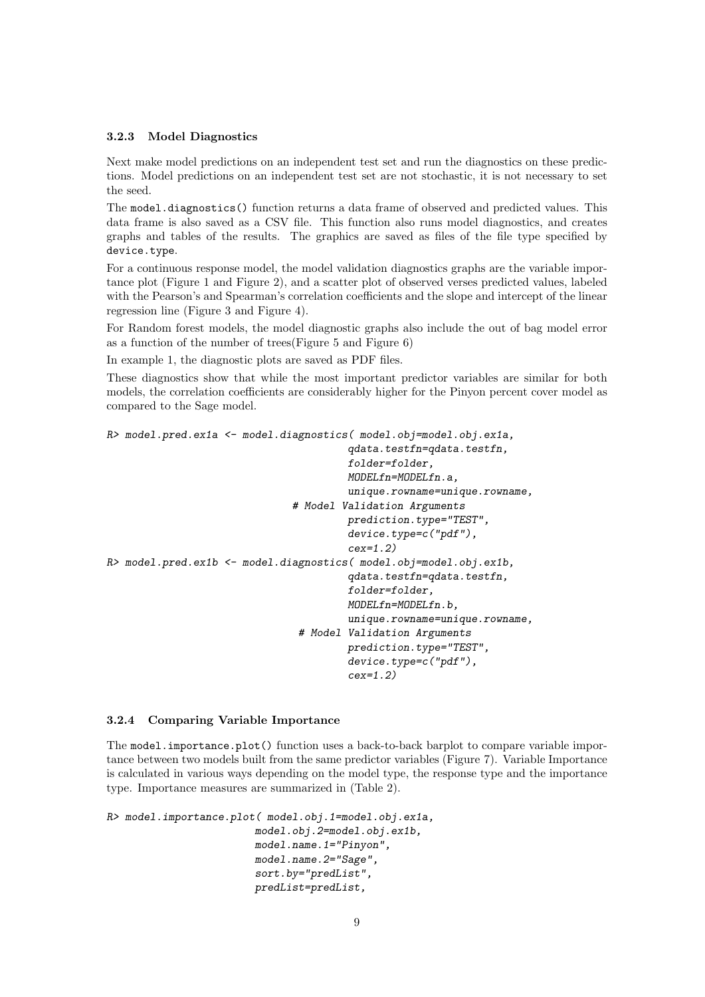#### 3.2.3 Model Diagnostics

Next make model predictions on an independent test set and run the diagnostics on these predictions. Model predictions on an independent test set are not stochastic, it is not necessary to set the seed.

The model.diagnostics() function returns a data frame of observed and predicted values. This data frame is also saved as a CSV file. This function also runs model diagnostics, and creates graphs and tables of the results. The graphics are saved as files of the file type specified by device.type.

For a continuous response model, the model validation diagnostics graphs are the variable importance plot (Figure 1 and Figure 2), and a scatter plot of observed verses predicted values, labeled with the Pearson's and Spearman's correlation coefficients and the slope and intercept of the linear regression line (Figure 3 and Figure 4).

For Random forest models, the model diagnostic graphs also include the out of bag model error as a function of the number of trees(Figure 5 and Figure 6)

In example 1, the diagnostic plots are saved as PDF files.

These diagnostics show that while the most important predictor variables are similar for both models, the correlation coefficients are considerably higher for the Pinyon percent cover model as compared to the Sage model.

```
R> model.pred.ex1a <- model.diagnostics( model.obj=model.obj.ex1a,
                                        qdata.testfn=qdata.testfn,
                                        folder=folder,
                                        MODELfn=MODELfn.a,
                                        unique.rowname=unique.rowname,
                              # Model Validation Arguments
                                       prediction.type="TEST",
                                        device.type=c("pdf"),
                                        cex=1.2)
R> model.pred.ex1b <- model.diagnostics( model.obj=model.obj.ex1b,
                                        qdata.testfn=qdata.testfn,
                                        folder=folder,
                                        MODELfn=MODELfn.b,
                                        unique.rowname=unique.rowname,
                                # Model Validation Arguments
                                       prediction.type="TEST",
                                        device.type=c("pdf"),
                                        cex=1.2)
```
#### 3.2.4 Comparing Variable Importance

The model.importance.plot() function uses a back-to-back barplot to compare variable importance between two models built from the same predictor variables (Figure 7). Variable Importance is calculated in various ways depending on the model type, the response type and the importance type. Importance measures are summarized in (Table 2).

```
R> model.importance.plot( model.obj.1=model.obj.ex1a,
                        model.obj.2=model.obj.ex1b,
                        model.name.1="Pinyon",
                        model.name.2="Sage",
                        sort.by="predList",
                        predList=predList,
```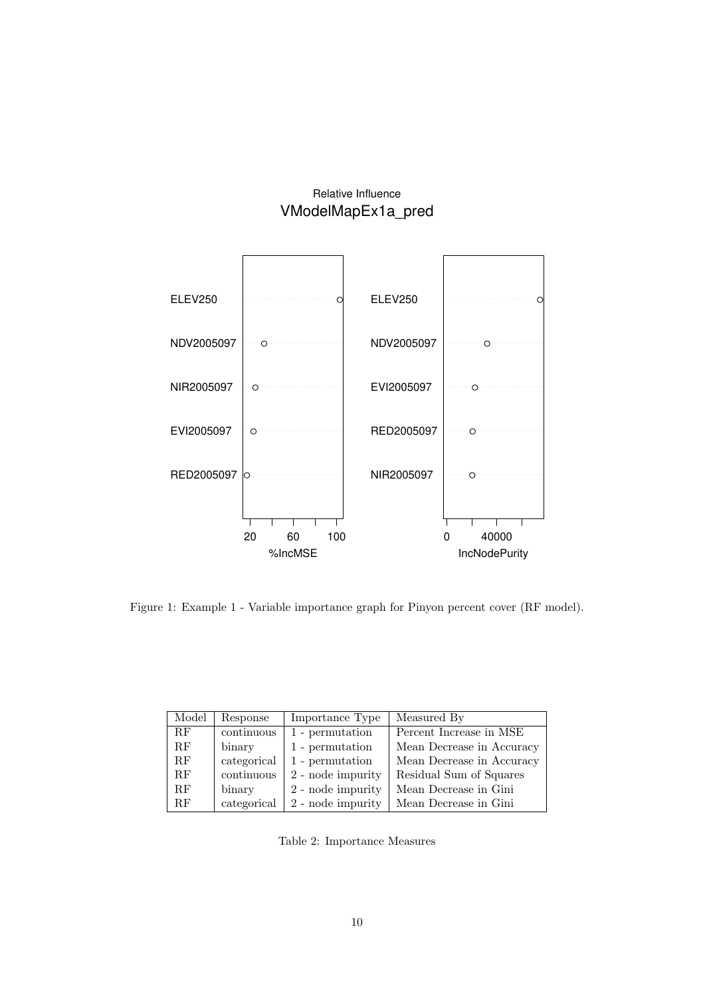## Relative Influence VModelMapEx1a\_pred



Figure 1: Example 1 - Variable importance graph for Pinyon percent cover (RF model).

| Model | Response    | Importance Type   | Measured By               |
|-------|-------------|-------------------|---------------------------|
| RF    | continuous  | 1 - permutation   | Percent Increase in MSE   |
| RF    | binary      | 1 - permutation   | Mean Decrease in Accuracy |
| RF    | categorical | 1 - permutation   | Mean Decrease in Accuracy |
| RF    | continuous  | 2 - node impurity | Residual Sum of Squares   |
| RF    | binary      | 2 - node impurity | Mean Decrease in Gini     |
| RF    | categorical | 2 - node impurity | Mean Decrease in Gini     |

Table 2: Importance Measures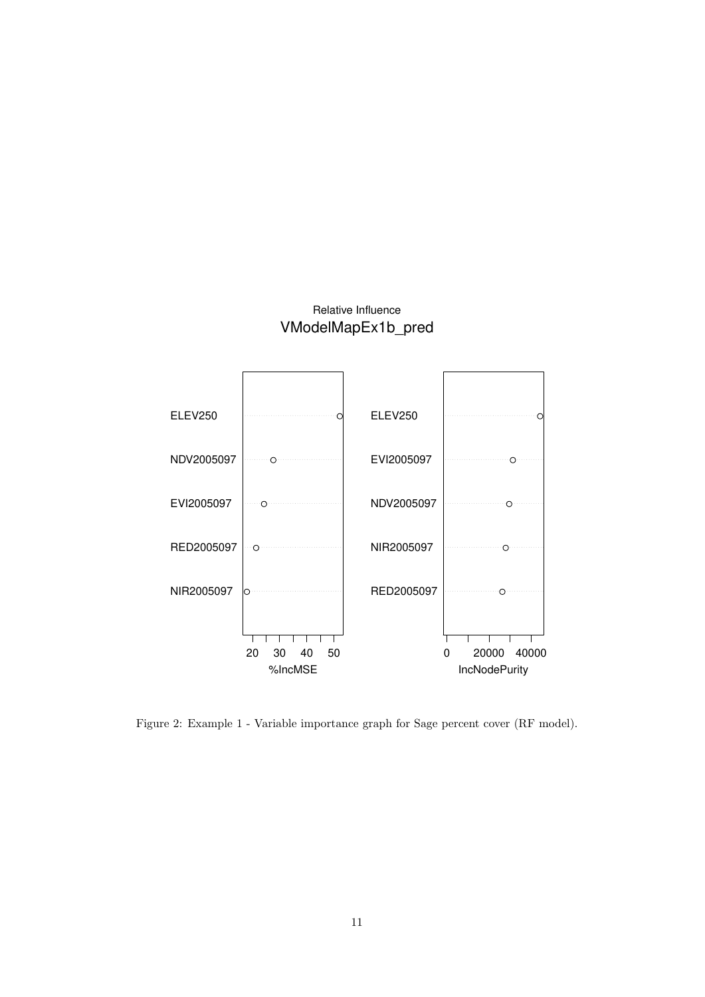## Relative Influence VModelMapEx1b\_pred



Figure 2: Example 1 - Variable importance graph for Sage percent cover (RF model).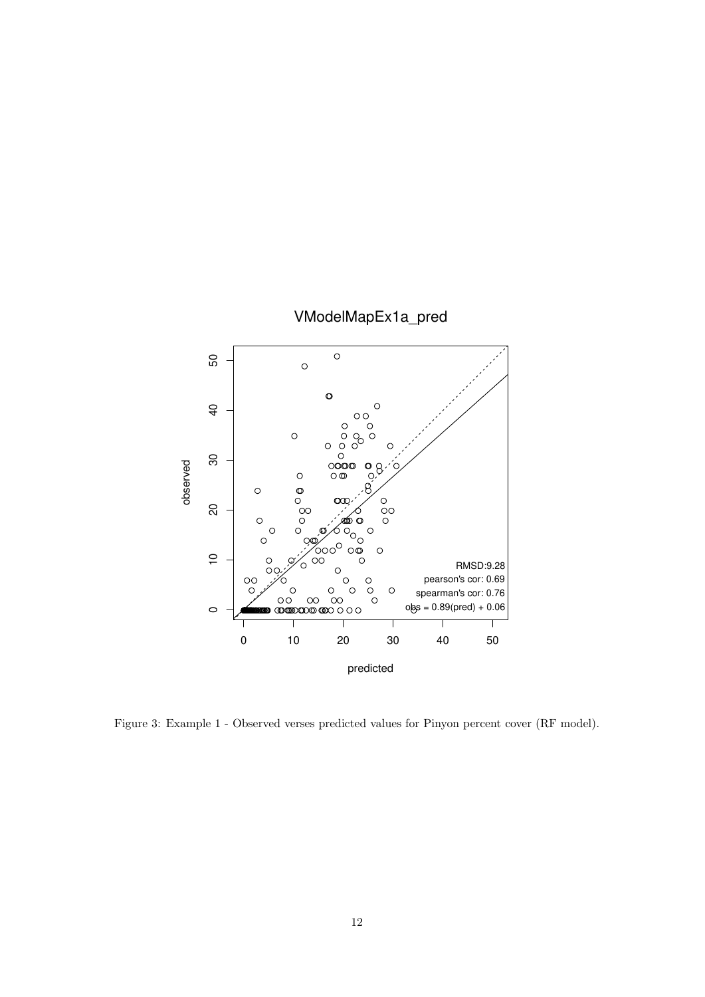

Figure 3: Example 1 - Observed verses predicted values for Pinyon percent cover (RF model).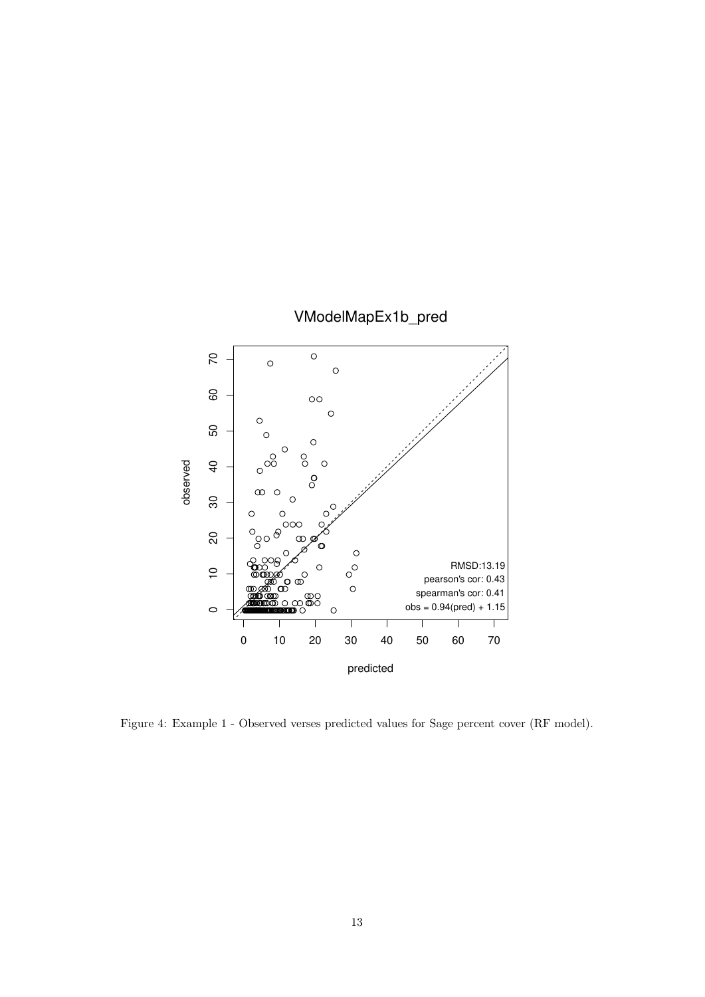

Figure 4: Example 1 - Observed verses predicted values for Sage percent cover (RF model).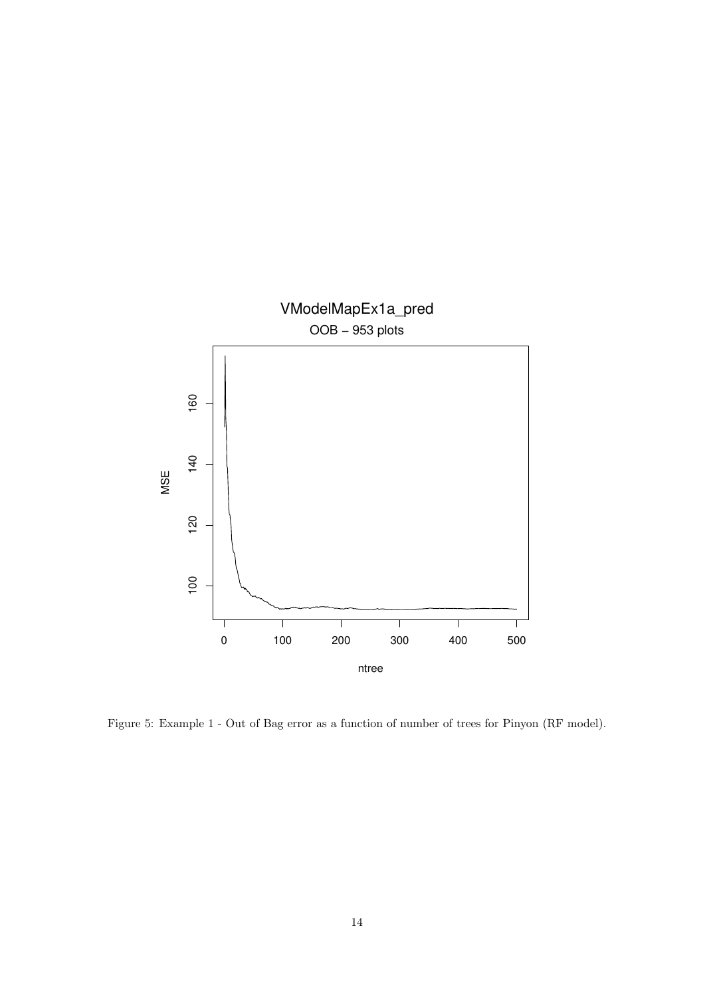

Figure 5: Example 1 - Out of Bag error as a function of number of trees for Pinyon (RF model).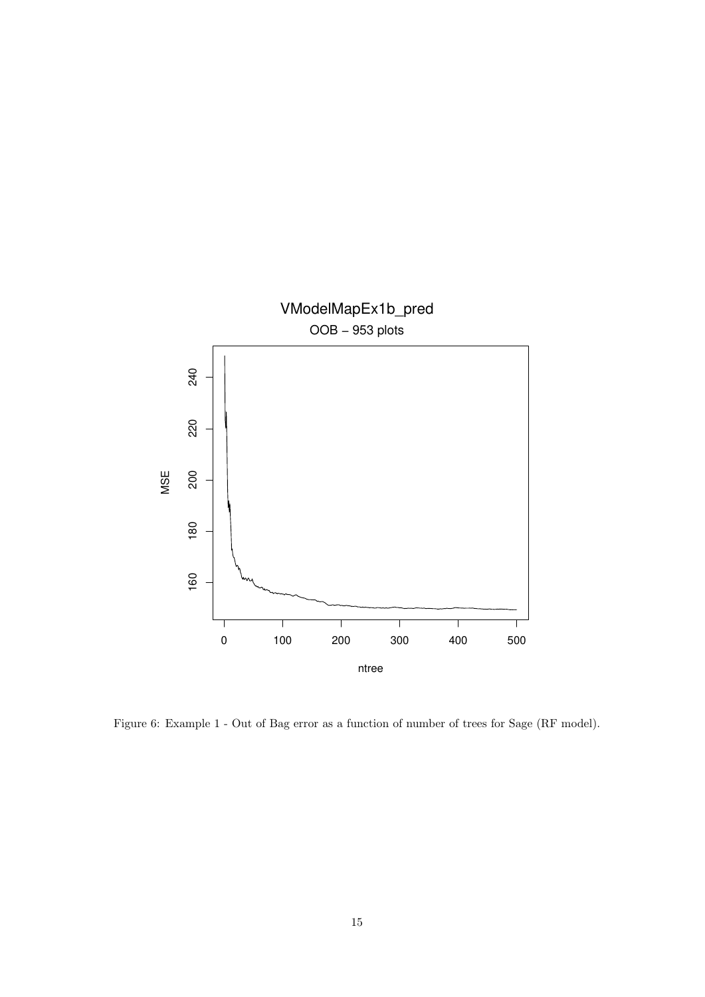

Figure 6: Example 1 - Out of Bag error as a function of number of trees for Sage (RF model).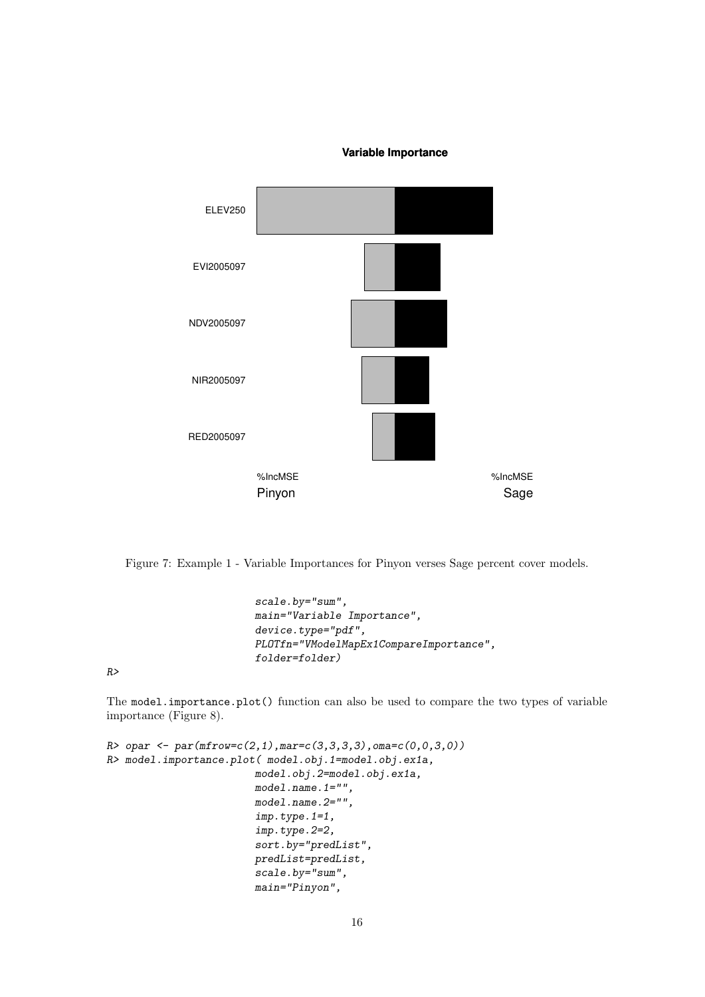#### **Variable Importance**



Figure 7: Example 1 - Variable Importances for Pinyon verses Sage percent cover models.

```
scale.by="sum",
main="Variable Importance",
device.type="pdf",
PLOTfn="VModelMapEx1CompareImportance",
folder=folder)
```
*R>*

The model.importance.plot() function can also be used to compare the two types of variable importance (Figure 8).

```
R> opar <- par(mfrow=c(2,1),mar=c(3,3,3,3),oma=c(0,0,3,0))
R> model.importance.plot( model.obj.1=model.obj.ex1a,
                        model.obj.2=model.obj.ex1a,
                        model.name.1="",
                        model.name.2="",
                        imp.type.1=1,
                        imp.type.2=2,
                        sort.by="predList",
                        predList=predList,
                        scale.by="sum",
                        main="Pinyon",
```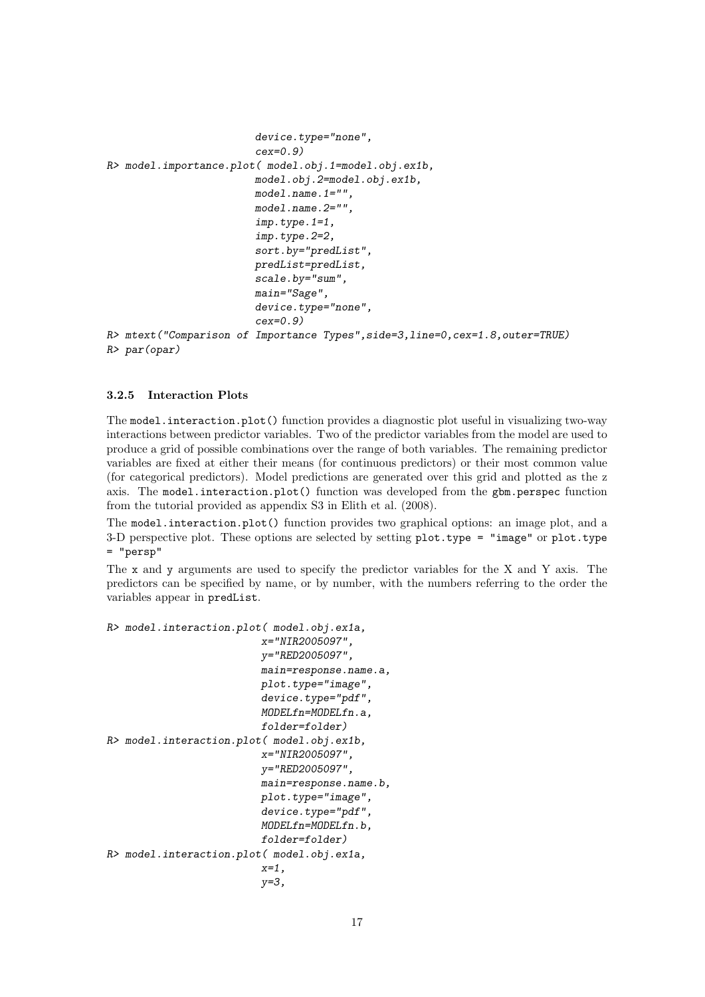```
device.type="none",
                        cex=0.9)
R> model.importance.plot( model.obj.1=model.obj.ex1b,
                        model.obj.2=model.obj.ex1b,
                        model.name.1="",
                        model.name.2="",
                        imp.type.1=1,
                        imp.type.2=2,
                        sort.by="predList",
                        predList=predList,
                        scale.by="sum",
                        main="Sage",
                        device.type="none",
                        cex=0.9)
R> mtext("Comparison of Importance Types",side=3,line=0,cex=1.8,outer=TRUE)
R> par(opar)
```
#### 3.2.5 Interaction Plots

The model.interaction.plot() function provides a diagnostic plot useful in visualizing two-way interactions between predictor variables. Two of the predictor variables from the model are used to produce a grid of possible combinations over the range of both variables. The remaining predictor variables are fixed at either their means (for continuous predictors) or their most common value (for categorical predictors). Model predictions are generated over this grid and plotted as the z axis. The model.interaction.plot() function was developed from the gbm.perspec function from the tutorial provided as appendix S3 in Elith et al. (2008).

The model.interaction.plot() function provides two graphical options: an image plot, and a 3-D perspective plot. These options are selected by setting plot.type = "image" or plot.type = "persp"

The x and y arguments are used to specify the predictor variables for the X and Y axis. The predictors can be specified by name, or by number, with the numbers referring to the order the variables appear in predList.

```
R> model.interaction.plot( model.obj.ex1a,
                         x="NIR2005097",
                          y="RED2005097",
                          main=response.name.a,
                          plot.type="image",
                          device.type="pdf",
                          MODELfn=MODELfn.a,
                          folder=folder)
R> model.interaction.plot( model.obj.ex1b,
                          x="NIR2005097",
                          y="RED2005097",
                          main=response.name.b,
                          plot.type="image",
                          device.type="pdf",
                          MODELfn=MODELfn.b,
                          folder=folder)
R> model.interaction.plot( model.obj.ex1a,
                          x=1,
                          y=3,
```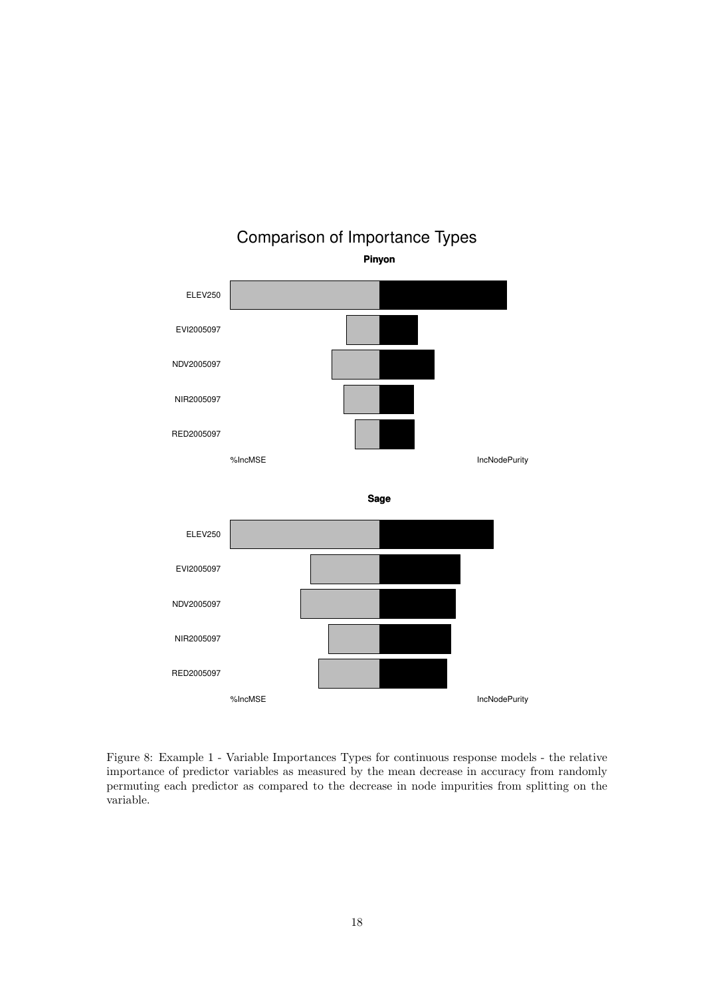

Comparison of Importance Types

**Pinyon**

Figure 8: Example 1 - Variable Importances Types for continuous response models - the relative importance of predictor variables as measured by the mean decrease in accuracy from randomly permuting each predictor as compared to the decrease in node impurities from splitting on the variable.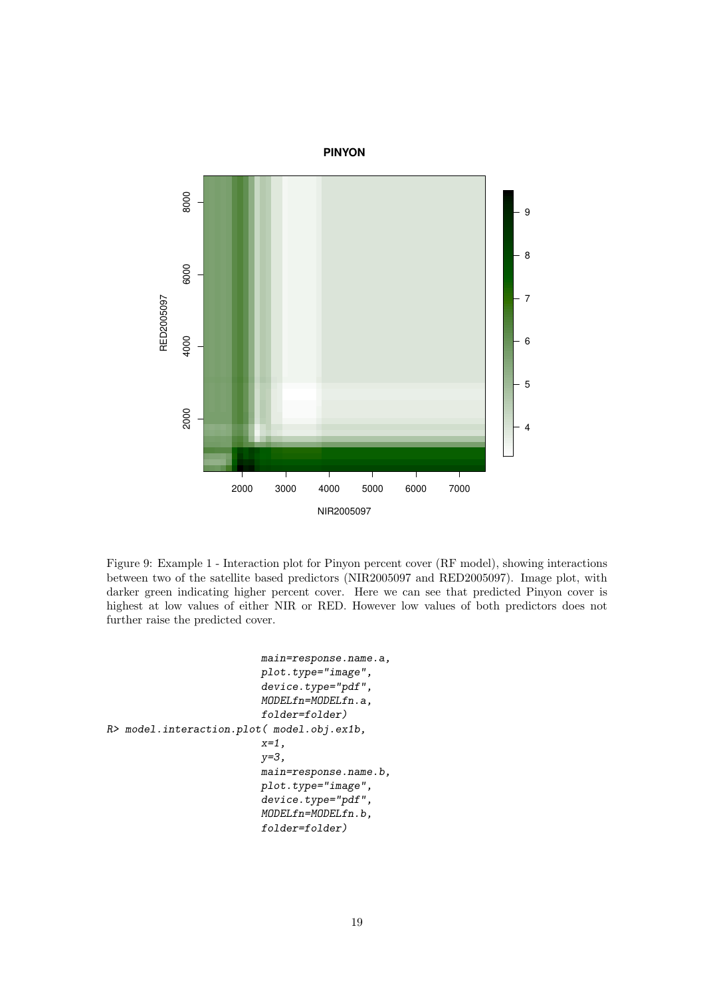

Figure 9: Example 1 - Interaction plot for Pinyon percent cover (RF model), showing interactions between two of the satellite based predictors (NIR2005097 and RED2005097). Image plot, with darker green indicating higher percent cover. Here we can see that predicted Pinyon cover is highest at low values of either NIR or RED. However low values of both predictors does not further raise the predicted cover.

```
main=response.name.a,
                          plot.type="image",
                          device.type="pdf",
                          MODELfn=MODELfn.a,
                          folder=folder)
R> model.interaction.plot( model.obj.ex1b,
                          x=1,
                          y=3,
                          main=response.name.b,
                          plot.type="image",
                          device.type="pdf",
                          MODELfn=MODELfn.b,
                          folder=folder)
```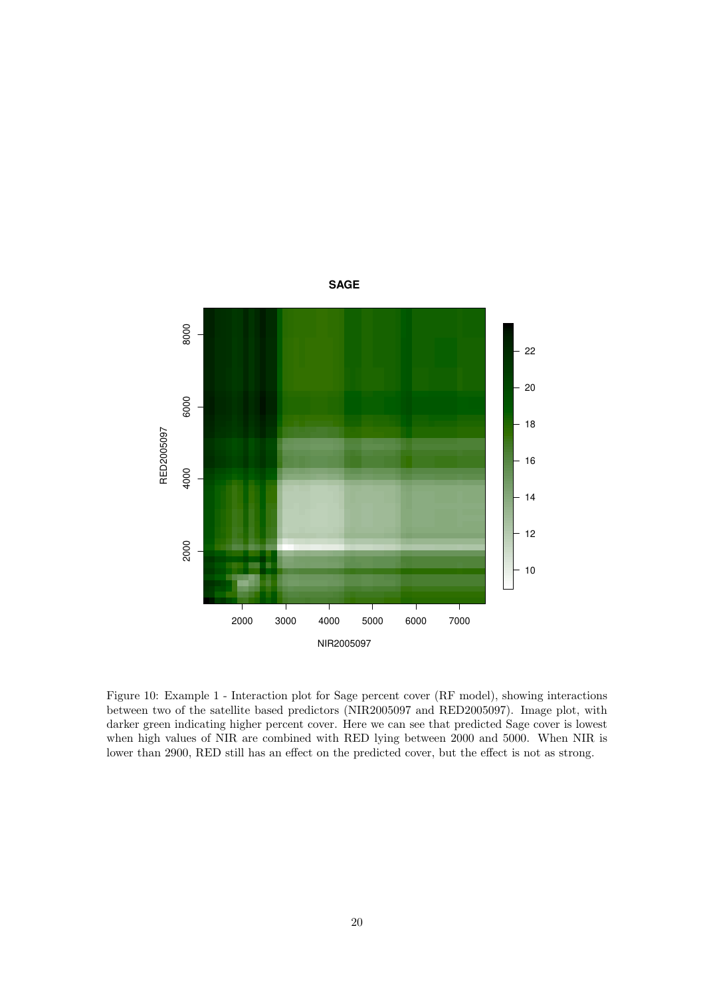

Figure 10: Example 1 - Interaction plot for Sage percent cover (RF model), showing interactions between two of the satellite based predictors (NIR2005097 and RED2005097). Image plot, with darker green indicating higher percent cover. Here we can see that predicted Sage cover is lowest when high values of NIR are combined with RED lying between 2000 and 5000. When NIR is lower than 2900, RED still has an effect on the predicted cover, but the effect is not as strong.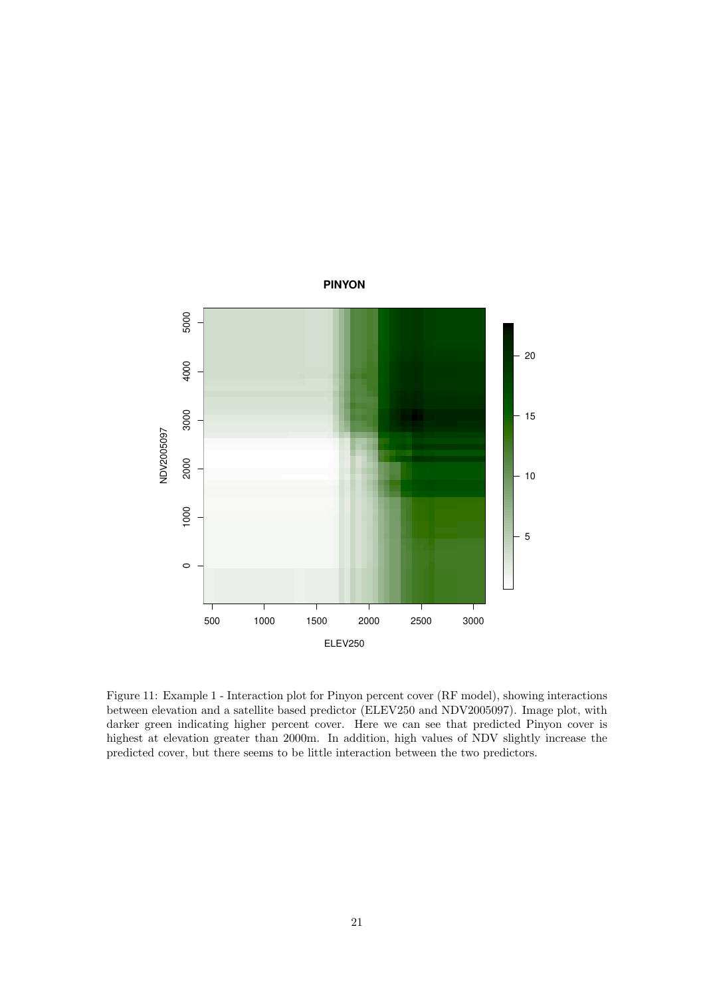

Figure 11: Example 1 - Interaction plot for Pinyon percent cover (RF model), showing interactions between elevation and a satellite based predictor (ELEV250 and NDV2005097). Image plot, with darker green indicating higher percent cover. Here we can see that predicted Pinyon cover is highest at elevation greater than 2000m. In addition, high values of NDV slightly increase the predicted cover, but there seems to be little interaction between the two predictors.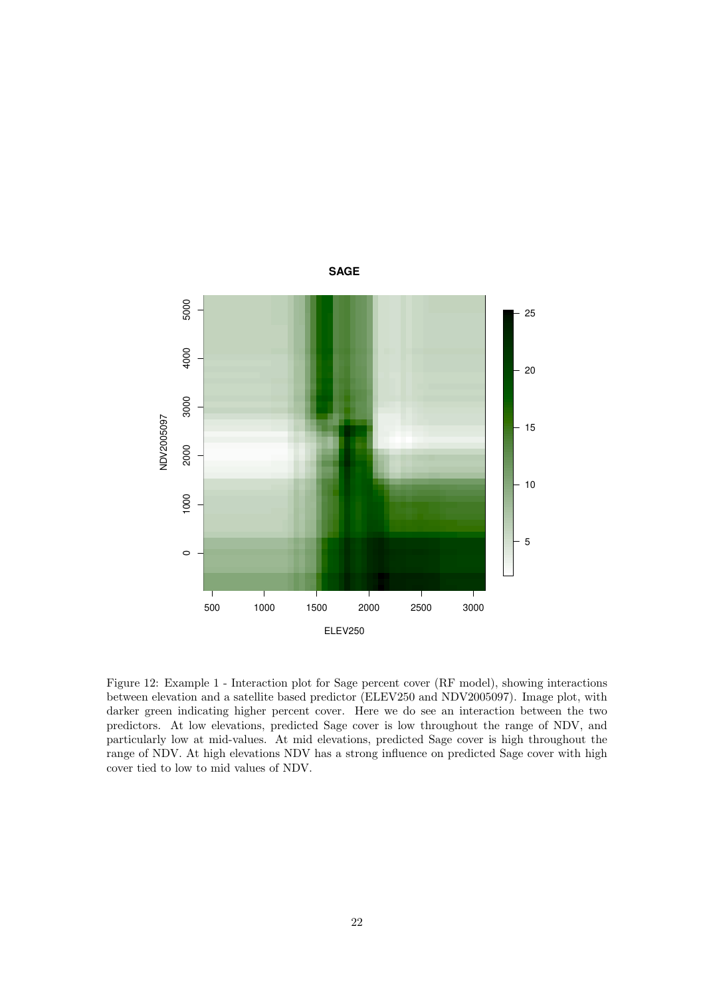![](_page_21_Figure_0.jpeg)

Figure 12: Example 1 - Interaction plot for Sage percent cover (RF model), showing interactions between elevation and a satellite based predictor (ELEV250 and NDV2005097). Image plot, with darker green indicating higher percent cover. Here we do see an interaction between the two predictors. At low elevations, predicted Sage cover is low throughout the range of NDV, and particularly low at mid-values. At mid elevations, predicted Sage cover is high throughout the range of NDV. At high elevations NDV has a strong influence on predicted Sage cover with high cover tied to low to mid values of NDV.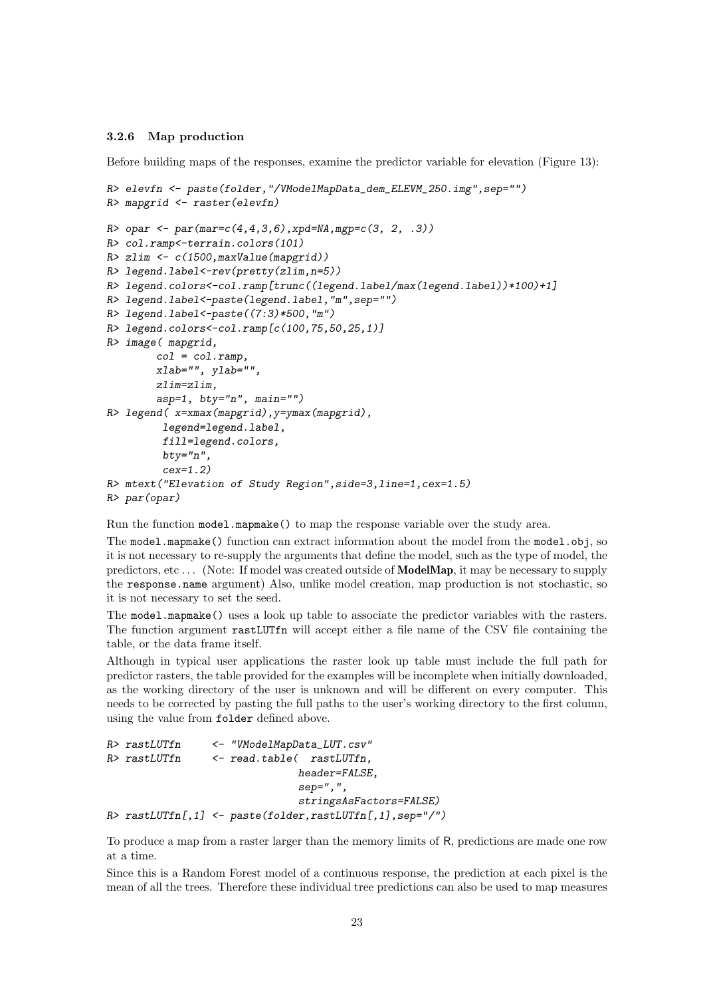#### 3.2.6 Map production

Before building maps of the responses, examine the predictor variable for elevation (Figure 13):

```
R> elevfn <- paste(folder,"/VModelMapData_dem_ELEVM_250.img",sep="")
R> mapgrid <- raster(elevfn)
R> opar <- par(mar=c(4,4,3,6),xpd=NA,mgp=c(3, 2, .3))
R> col.ramp<-terrain.colors(101)
R> zlim <- c(1500,maxValue(mapgrid))
R> legend.label<-rev(pretty(zlim,n=5))
R> legend.colors<-col.ramp[trunc((legend.label/max(legend.label))*100)+1]
R> legend.label<-paste(legend.label,"m",sep="")
R> legend.label<-paste((7:3)*500,"m")
R> legend.colors<-col.ramp[c(100,75,50,25,1)]
R> image( mapgrid,
        col = col.ramp,
        xlab="", ylab="",
        zlim=zlim,
        asp=1, bty="n", main="")
R> legend( x=xmax(mapgrid),y=ymax(mapgrid),
         legend=legend.label,
         fill=legend.colors,
         bty="n",
         cex=1.2)
R> mtext("Elevation of Study Region",side=3,line=1,cex=1.5)
R> par(opar)
```
Run the function model.mapmake() to map the response variable over the study area.

The model.mapmake() function can extract information about the model from the model.obj, so it is not necessary to re-supply the arguments that define the model, such as the type of model, the predictors, etc . . . (Note: If model was created outside of ModelMap, it may be necessary to supply the response.name argument) Also, unlike model creation, map production is not stochastic, so it is not necessary to set the seed.

The model.mapmake() uses a look up table to associate the predictor variables with the rasters. The function argument rastLUTfn will accept either a file name of the CSV file containing the table, or the data frame itself.

Although in typical user applications the raster look up table must include the full path for predictor rasters, the table provided for the examples will be incomplete when initially downloaded, as the working directory of the user is unknown and will be different on every computer. This needs to be corrected by pasting the full paths to the user's working directory to the first column, using the value from folder defined above.

```
R> rastLUTfn <- "VModelMapData_LUT.csv"
R> rastLUTfn <- read.table( rastLUTfn,
                             header=FALSE,
                              sep=",",
                              stringsAsFactors=FALSE)
R> rastLUTfn[,1] <- paste(folder,rastLUTfn[,1],sep="/")
```
To produce a map from a raster larger than the memory limits of R, predictions are made one row at a time.

Since this is a Random Forest model of a continuous response, the prediction at each pixel is the mean of all the trees. Therefore these individual tree predictions can also be used to map measures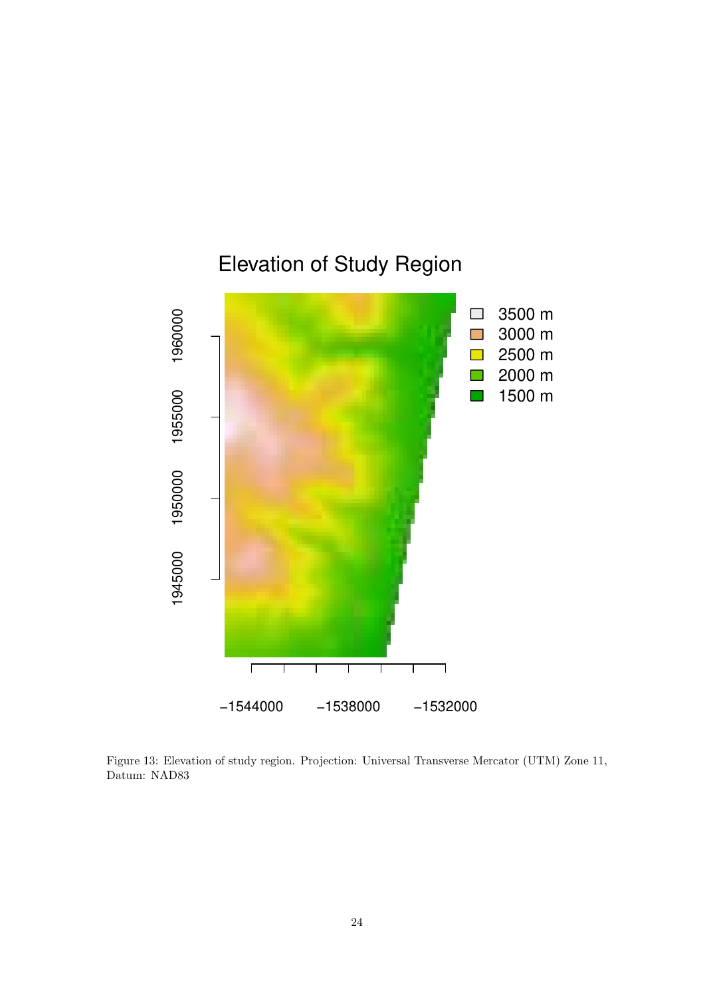![](_page_23_Figure_0.jpeg)

Figure 13: Elevation of study region. Projection: Universal Transverse Mercator (UTM) Zone 11, Datum: NAD83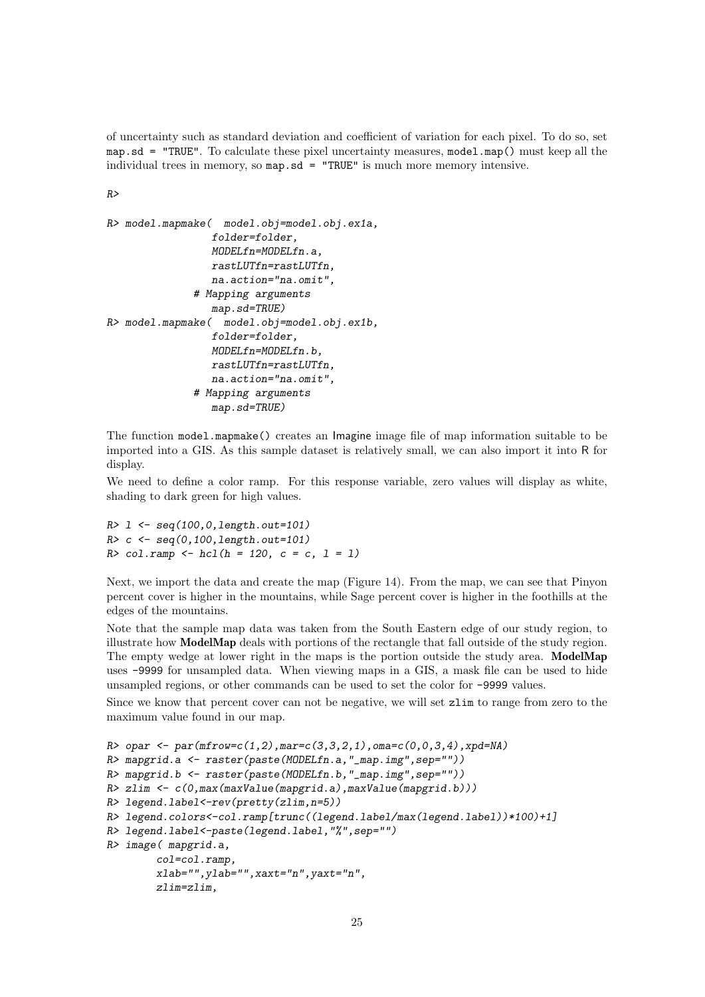of uncertainty such as standard deviation and coefficient of variation for each pixel. To do so, set map.sd = "TRUE". To calculate these pixel uncertainty measures, model.map() must keep all the individual trees in memory, so  $map$ .sd = "TRUE" is much more memory intensive.

*R>*

```
R> model.mapmake( model.obj=model.obj.ex1a,
                 folder=folder,
                 MODELfn=MODELfn.a,
                 rastLUTfn=rastLUTfn,
                 na.action="na.omit",
              # Mapping arguments
                 map.sd=TRUE)
R> model.mapmake( model.obj=model.obj.ex1b,
                 folder=folder,
                 MODELfn=MODELfn.b,
                 rastLUTfn=rastLUTfn,
                 na.action="na.omit",
              # Mapping arguments
                 map.sd=TRUE)
```
The function model.mapmake() creates an Imagine image file of map information suitable to be imported into a GIS. As this sample dataset is relatively small, we can also import it into R for display.

We need to define a color ramp. For this response variable, zero values will display as white, shading to dark green for high values.

```
R> l <- seq(100,0,length.out=101)
R> c <- seq(0,100,length.out=101)
R> col.ramp <- hcl(h = 120, c = c, l = l)
```
Next, we import the data and create the map (Figure 14). From the map, we can see that Pinyon percent cover is higher in the mountains, while Sage percent cover is higher in the foothills at the edges of the mountains.

Note that the sample map data was taken from the South Eastern edge of our study region, to illustrate how ModelMap deals with portions of the rectangle that fall outside of the study region. The empty wedge at lower right in the maps is the portion outside the study area. ModelMap uses -9999 for unsampled data. When viewing maps in a GIS, a mask file can be used to hide unsampled regions, or other commands can be used to set the color for -9999 values.

Since we know that percent cover can not be negative, we will set zlim to range from zero to the maximum value found in our map.

```
R> opar <- par(mfrow=c(1,2),mar=c(3,3,2,1),oma=c(0,0,3,4),xpd=NA)
R> mapgrid.a <- raster(paste(MODELfn.a,"_map.img",sep=""))
R> mapgrid.b <- raster(paste(MODELfn.b,"_map.img",sep=""))
R> zlim <- c(0,max(maxValue(mapgrid.a),maxValue(mapgrid.b)))
R> legend.label<-rev(pretty(zlim,n=5))
R> legend.colors<-col.ramp[trunc((legend.label/max(legend.label))*100)+1]
R> legend.label<-paste(legend.label,"%",sep="")
R> image( mapgrid.a,
        col=col.ramp,
        xlab="",ylab="",xaxt="n",yaxt="n",
        zlim=zlim,
```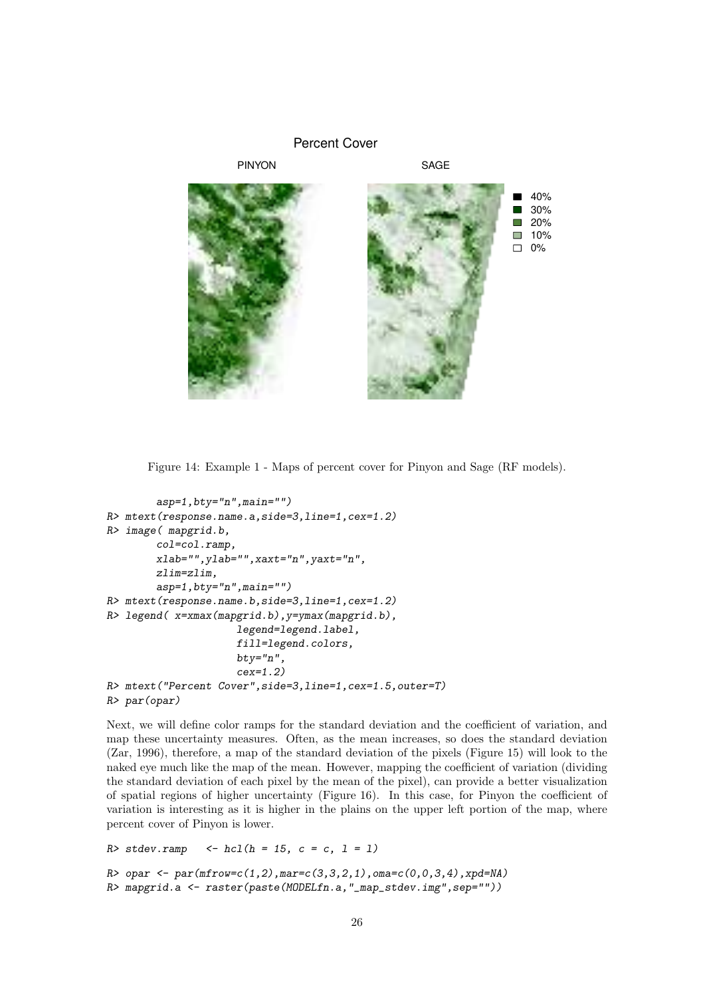![](_page_25_Figure_0.jpeg)

Figure 14: Example 1 - Maps of percent cover for Pinyon and Sage (RF models).

```
asp=1,bty="n",main="")
R> mtext(response.name.a,side=3,line=1,cex=1.2)
R> image( mapgrid.b,
        col=col.ramp,
        xlab="",ylab="",xaxt="n",yaxt="n",
        zlim=zlim,
        asp=1,bty="n",main="")
R> mtext(response.name.b,side=3,line=1,cex=1.2)
R> legend( x=xmax(mapgrid.b),y=ymax(mapgrid.b),
                     legend=legend.label,
                     fill=legend.colors,
                     bty="n",
                     cex=1.2)
R> mtext("Percent Cover",side=3,line=1,cex=1.5,outer=T)
R> par(opar)
```
Next, we will define color ramps for the standard deviation and the coefficient of variation, and map these uncertainty measures. Often, as the mean increases, so does the standard deviation (Zar, 1996), therefore, a map of the standard deviation of the pixels (Figure 15) will look to the naked eye much like the map of the mean. However, mapping the coefficient of variation (dividing the standard deviation of each pixel by the mean of the pixel), can provide a better visualization of spatial regions of higher uncertainty (Figure 16). In this case, for Pinyon the coefficient of variation is interesting as it is higher in the plains on the upper left portion of the map, where percent cover of Pinyon is lower.

```
R> stdev.ramp <- hcl(h = 15, c = c, l = l)
```

```
R> opar <- par(mfrow=c(1,2),mar=c(3,3,2,1),oma=c(0,0,3,4),xpd=NA)
R> mapgrid.a <- raster(paste(MODELfn.a,"_map_stdev.img",sep=""))
```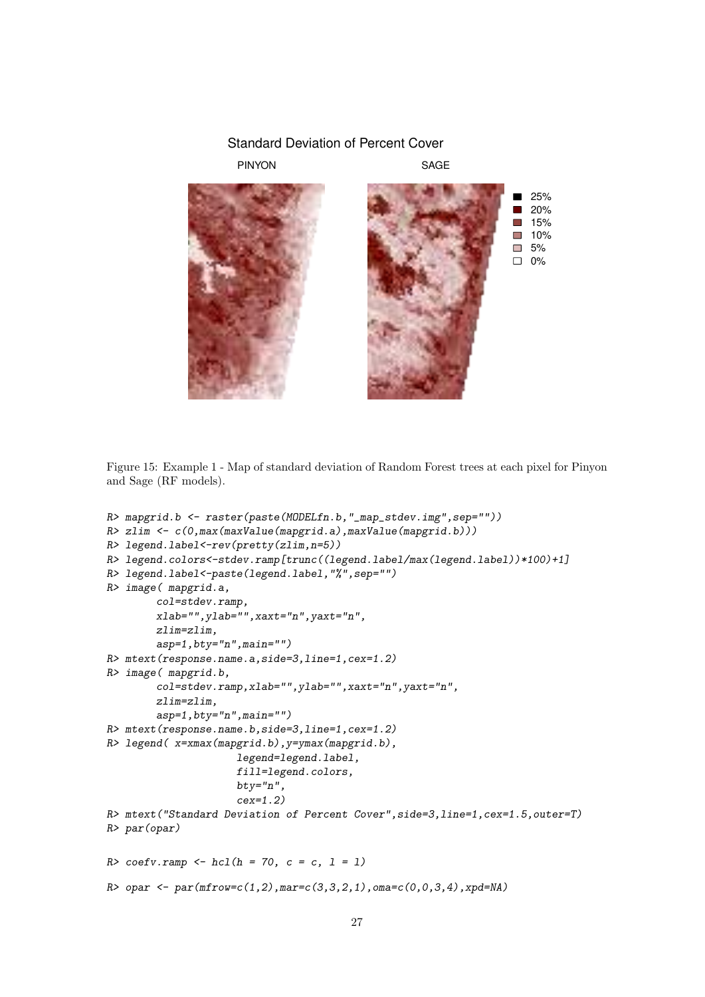#### Standard Deviation of Percent Cover

PINYON SAGE

![](_page_26_Picture_3.jpeg)

Figure 15: Example 1 - Map of standard deviation of Random Forest trees at each pixel for Pinyon and Sage (RF models).

```
R> mapgrid.b <- raster(paste(MODELfn.b,"_map_stdev.img",sep=""))
R> zlim <- c(0,max(maxValue(mapgrid.a),maxValue(mapgrid.b)))
R> legend.label<-rev(pretty(zlim,n=5))
R> legend.colors<-stdev.ramp[trunc((legend.label/max(legend.label))*100)+1]
R> legend.label<-paste(legend.label,"%",sep="")
R> image( mapgrid.a,
        col=stdev.ramp,
        xlab="",ylab="",xaxt="n",yaxt="n",
        zlim=zlim,
        asp=1,bty="n",main="")
R> mtext(response.name.a,side=3,line=1,cex=1.2)
R> image( mapgrid.b,
        col=stdev.ramp,xlab="",ylab="",xaxt="n",yaxt="n",
        zlim=zlim,
        asp=1,bty="n",main="")
R> mtext(response.name.b,side=3,line=1,cex=1.2)
R> legend( x=xmax(mapgrid.b),y=ymax(mapgrid.b),
                     legend=legend.label,
                     fill=legend.colors,
                     bty="n",
                     cex=1.2)
R> mtext("Standard Deviation of Percent Cover",side=3,line=1,cex=1.5,outer=T)
R> par(opar)
R> coefv.ramp <- hcl(h = 70, c = c, l = l)
R> opar <- par(mfrow=c(1,2),mar=c(3,3,2,1),oma=c(0,0,3,4),xpd=NA)
```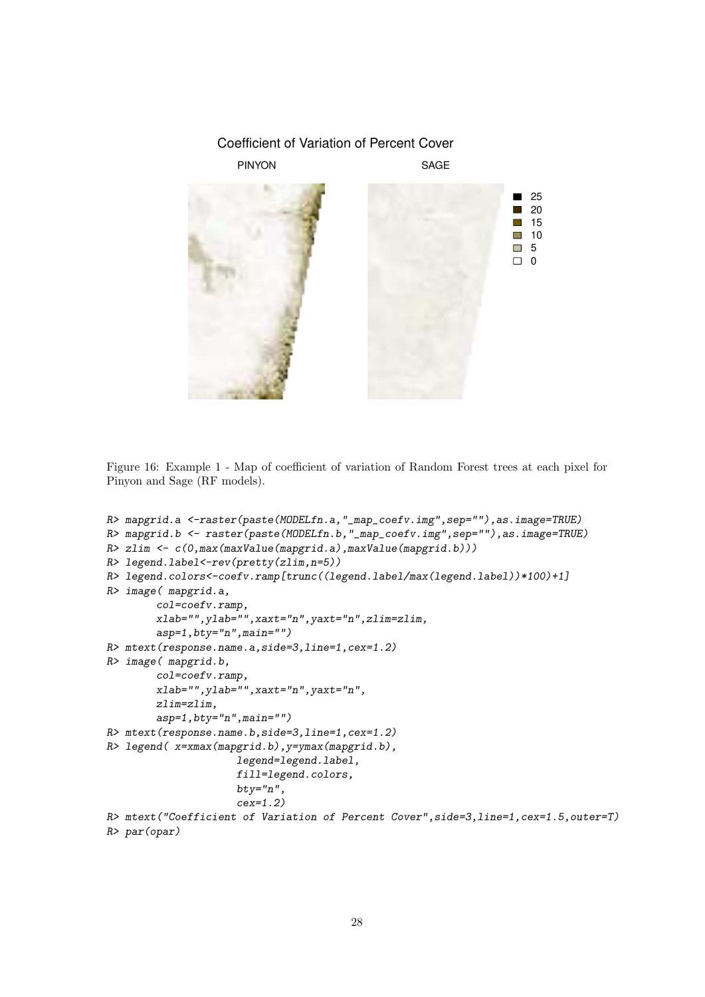## Coefficient of Variation of Percent Cover PINYON SAGE 25 20 15 **COL The State** 10 5  $\Box$  0

Figure 16: Example 1 - Map of coefficient of variation of Random Forest trees at each pixel for Pinyon and Sage (RF models).

```
R> mapgrid.a <-raster(paste(MODELfn.a,"_map_coefv.img",sep=""),as.image=TRUE)
R> mapgrid.b <- raster(paste(MODELfn.b,"_map_coefv.img",sep=""),as.image=TRUE)
R> zlim <- c(0,max(maxValue(mapgrid.a),maxValue(mapgrid.b)))
R> legend.label<-rev(pretty(zlim,n=5))
R> legend.colors<-coefv.ramp[trunc((legend.label/max(legend.label))*100)+1]
R> image( mapgrid.a,
        col=coefv.ramp,
        xlab="",ylab="",xaxt="n",yaxt="n",zlim=zlim,
        asp=1,bty="n",main="")
R> mtext(response.name.a,side=3,line=1,cex=1.2)
R> image( mapgrid.b,
        col=coefv.ramp,
        xlab="",ylab="",xaxt="n",yaxt="n",
        zlim=zlim,
        asp=1,bty="n",main="")
R> mtext(response.name.b,side=3,line=1,cex=1.2)
R> legend( x=xmax(mapgrid.b),y=ymax(mapgrid.b),
                     legend=legend.label,
                     fill=legend.colors,
                     bty="n",
                     cex=1.2)
R> mtext("Coefficient of Variation of Percent Cover",side=3,line=1,cex=1.5,outer=T)
R> par(opar)
```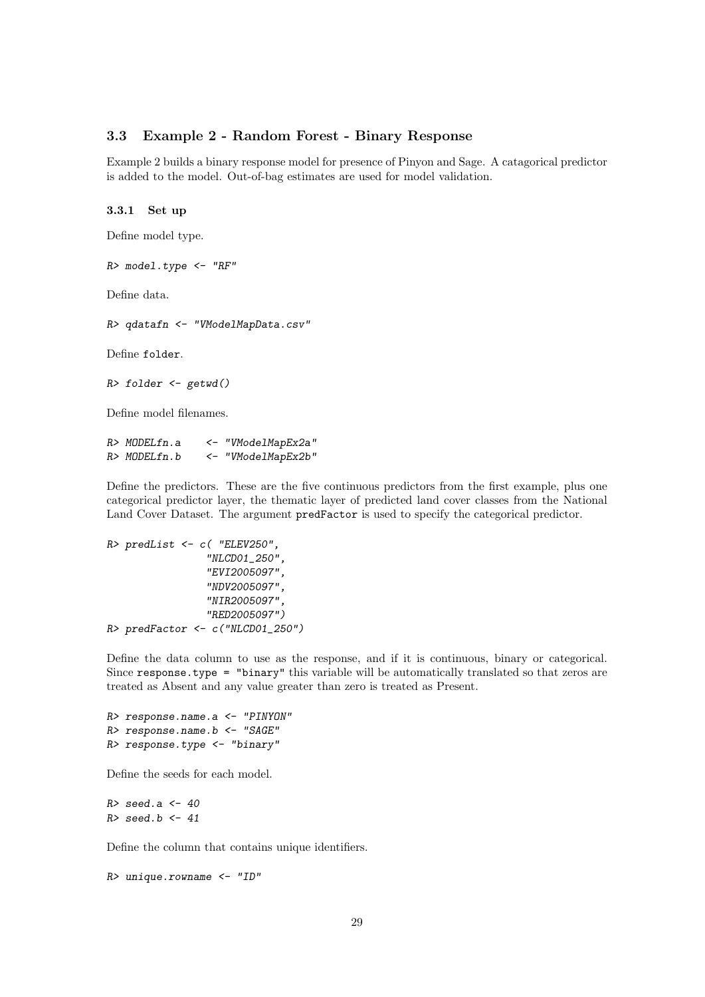#### 3.3 Example 2 - Random Forest - Binary Response

Example 2 builds a binary response model for presence of Pinyon and Sage. A catagorical predictor is added to the model. Out-of-bag estimates are used for model validation.

3.3.1 Set up

Define model type.

*R> model.type <- "RF"*

Define data.

*R> qdatafn <- "VModelMapData.csv"*

Define folder.

```
R> folder <- getwd()
```
Define model filenames.

| R> MODELfn.a | <- "VModelMapEx2a" |
|--------------|--------------------|
| R> MODELfn.b | <- "VModelMapEx2b" |

Define the predictors. These are the five continuous predictors from the first example, plus one categorical predictor layer, the thematic layer of predicted land cover classes from the National Land Cover Dataset. The argument predFactor is used to specify the categorical predictor.

```
R> predList <- c( "ELEV250",
                 "NLCD01_250",
                 "EVI2005097",
                 "NDV2005097",
                 "NIR2005097",
                 "RED2005097")
R> predFactor <- c("NLCD01_250")
```
Define the data column to use as the response, and if it is continuous, binary or categorical. Since response.type = "binary" this variable will be automatically translated so that zeros are treated as Absent and any value greater than zero is treated as Present.

*R> response.name.a <- "PINYON" R> response.name.b <- "SAGE" R> response.type <- "binary"*

Define the seeds for each model.

*R> seed.a <- 40 R> seed.b <- 41*

Define the column that contains unique identifiers.

```
R> unique.rowname <- "ID"
```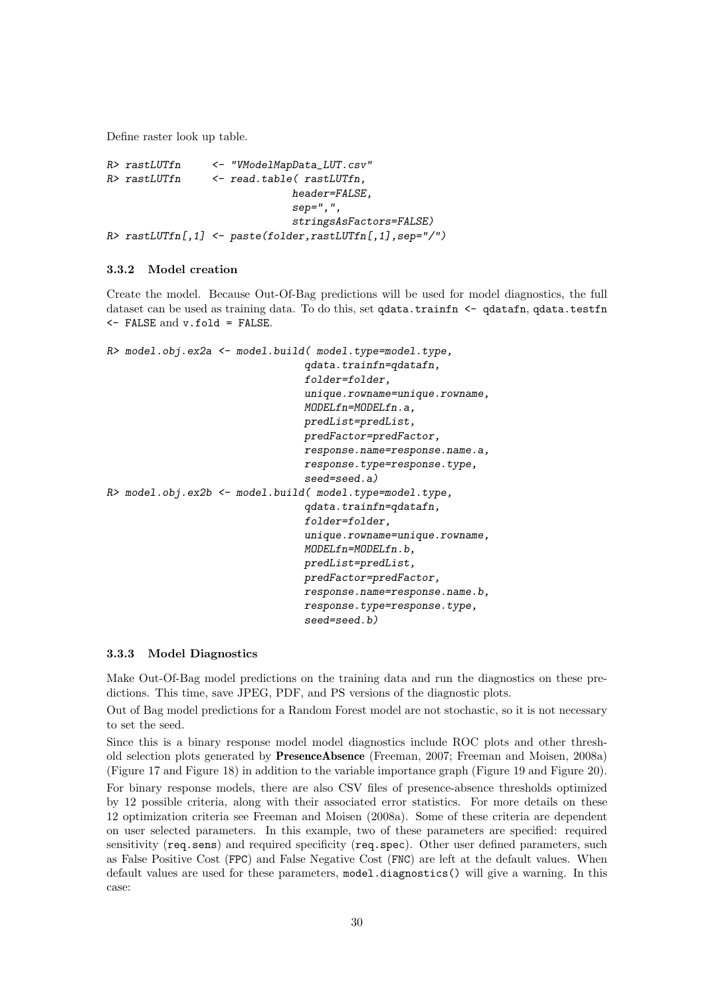Define raster look up table.

*R> rastLUTfn <- "VModelMapData\_LUT.csv" R> rastLUTfn <- read.table( rastLUTfn, header=FALSE, sep=",", stringsAsFactors=FALSE) R> rastLUTfn[,1] <- paste(folder,rastLUTfn[,1],sep="/")*

#### 3.3.2 Model creation

Create the model. Because Out-Of-Bag predictions will be used for model diagnostics, the full dataset can be used as training data. To do this, set qdata.trainfn  $\leq$  qdatafn, qdata.testfn <- FALSE and v.fold = FALSE.

```
R> model.obj.ex2a <- model.build( model.type=model.type,
                                 qdata.trainfn=qdatafn,
                                 folder=folder,
                                 unique.rowname=unique.rowname,
                                MODELfn=MODELfn.a,
                                predList=predList,
                                predFactor=predFactor,
                                response.name=response.name.a,
                                 response.type=response.type,
                                 seed=seed.a)
R> model.obj.ex2b <- model.build( model.type=model.type,
                                qdata.trainfn=qdatafn,
                                 folder=folder,
                                 unique.rowname=unique.rowname,
                                MODELfn=MODELfn.b,
                                predList=predList,
                                 predFactor=predFactor,
                                 response.name=response.name.b,
                                 response.type=response.type,
                                 seed=seed.b)
```
#### 3.3.3 Model Diagnostics

Make Out-Of-Bag model predictions on the training data and run the diagnostics on these predictions. This time, save JPEG, PDF, and PS versions of the diagnostic plots.

Out of Bag model predictions for a Random Forest model are not stochastic, so it is not necessary to set the seed.

Since this is a binary response model model diagnostics include ROC plots and other threshold selection plots generated by PresenceAbsence (Freeman, 2007; Freeman and Moisen, 2008a) (Figure 17 and Figure 18) in addition to the variable importance graph (Figure 19 and Figure 20).

For binary response models, there are also CSV files of presence-absence thresholds optimized by 12 possible criteria, along with their associated error statistics. For more details on these 12 optimization criteria see Freeman and Moisen (2008a). Some of these criteria are dependent on user selected parameters. In this example, two of these parameters are specified: required sensitivity (req.sens) and required specificity (req.spec). Other user defined parameters, such as False Positive Cost (FPC) and False Negative Cost (FNC) are left at the default values. When default values are used for these parameters, model.diagnostics() will give a warning. In this case: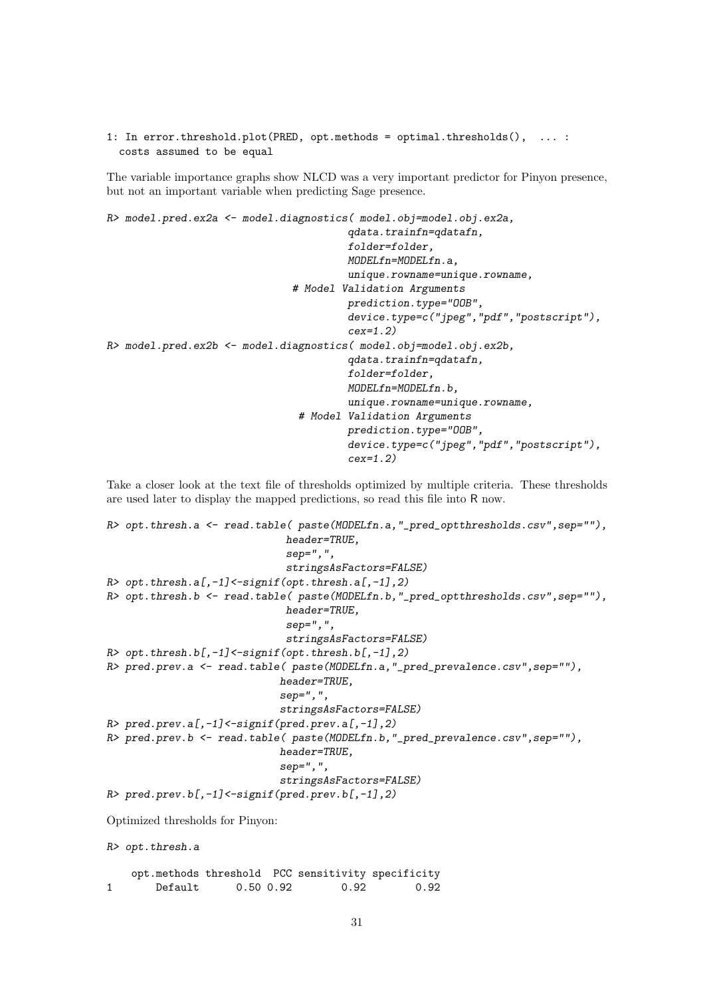1: In error.threshold.plot(PRED, opt.methods = optimal.thresholds(), ... : costs assumed to be equal

The variable importance graphs show NLCD was a very important predictor for Pinyon presence, but not an important variable when predicting Sage presence.

```
R> model.pred.ex2a <- model.diagnostics( model.obj=model.obj.ex2a,
                                        qdata.trainfn=qdatafn,
                                        folder=folder,
                                        MODELfn=MODELfn.a,
                                        unique.rowname=unique.rowname,
                               # Model Validation Arguments
                                       prediction.type="OOB",
                                        device.type=c("jpeg","pdf","postscript"),
                                        cex=1.2)
R> model.pred.ex2b <- model.diagnostics( model.obj=model.obj.ex2b,
                                        qdata.trainfn=qdatafn,
                                        folder=folder,
                                        MODELfn=MODELfn.b,
                                        unique.rowname=unique.rowname,
                                # Model Validation Arguments
                                        prediction.type="OOB",
                                        device.type=c("jpeg","pdf","postscript"),
                                        cex=1.2)
```
Take a closer look at the text file of thresholds optimized by multiple criteria. These thresholds are used later to display the mapped predictions, so read this file into R now.

```
R> opt.thresh.a <- read.table( paste(MODELfn.a,"_pred_optthresholds.csv",sep=""),
                            header=TRUE,
                            sep=",",
                            stringsAsFactors=FALSE)
R> opt.thresh.a[,-1]<-signif(opt.thresh.a[,-1],2)
R> opt.thresh.b <- read.table( paste(MODELfn.b,"_pred_optthresholds.csv",sep=""),
                            header=TRUE,
                            sep=",",
                            stringsAsFactors=FALSE)
R> opt.thresh.b[,-1]<-signif(opt.thresh.b[,-1],2)
R> pred.prev.a <- read.table( paste(MODELfn.a,"_pred_prevalence.csv",sep=""),
                           header=TRUE,
                           sep=",",
                           stringsAsFactors=FALSE)
R> pred.prev.a[,-1]<-signif(pred.prev.a[,-1],2)
R> pred.prev.b <- read.table( paste(MODELfn.b,"_pred_prevalence.csv",sep=""),
                           header=TRUE,
                           sep=",",
                           stringsAsFactors=FALSE)
R> pred.prev.b[,-1]<-signif(pred.prev.b[,-1],2)
Optimized thresholds for Pinyon:
R> opt.thresh.a
   opt.methods threshold PCC sensitivity specificity
1 Default 0.50 0.92 0.92 0.92
```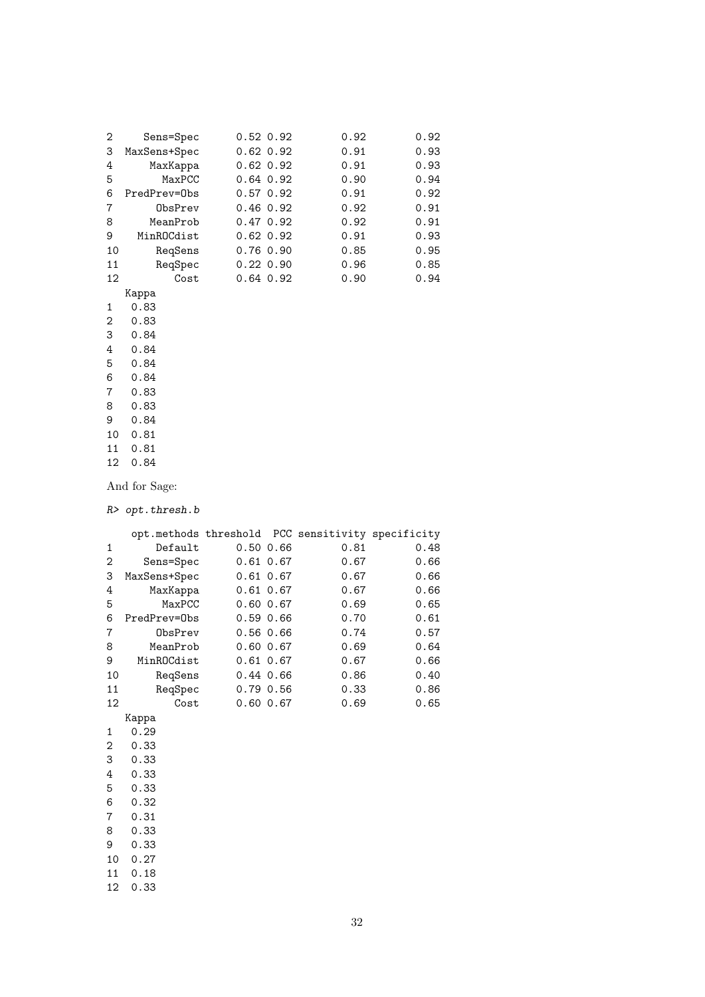| 2  | Sens=Spec    | $0.52 \ 0.92$ | 0.92 | 0.92 |
|----|--------------|---------------|------|------|
| 3  | MaxSens+Spec | $0.62$ $0.92$ | 0.91 | 0.93 |
| 4  | MaxKappa     | $0.62$ $0.92$ | 0.91 | 0.93 |
| 5  | MaxPCC       | $0.64$ 0.92   | 0.90 | 0.94 |
| 6  | PredPrev=Obs | $0.57$ 0.92   | 0.91 | 0.92 |
| 7  | ObsPrev      | $0.46$ 0.92   | 0.92 | 0.91 |
| 8  | MeanProb     | 0.47, 0.92    | 0.92 | 0.91 |
| 9  | MinROCdist   | $0.62$ $0.92$ | 0.91 | 0.93 |
| 10 | RegSens      | $0.76$ $0.90$ | 0.85 | 0.95 |
| 11 | RegSpec      | $0.22 \ 0.90$ | 0.96 | 0.85 |
| 12 | Cost         | $0.64$ 0.92   | 0.90 | 0.94 |

- Kappa 1 0.83 2 0.83 3 0.84 4 0.84 5 0.84 0.84 7 0.83 8 0.83
- 9 0.84 10 0.81 11 0.81 12 0.84

And for Sage:

*R> opt.thresh.b*

|    |              |               | opt.methods threshold PCC sensitivity specificity |      |
|----|--------------|---------------|---------------------------------------------------|------|
| 1  | Default      | $0.50$ $0.66$ | 0.81                                              | 0.48 |
| 2  | Sens=Spec    | 0.61 0.67     | 0.67                                              | 0.66 |
| 3  | MaxSens+Spec | $0.61$ $0.67$ | 0.67                                              | 0.66 |
| 4  | MaxKappa     | $0.61$ $0.67$ | 0.67                                              | 0.66 |
| 5  | MaxPCC       | $0.60$ $0.67$ | 0.69                                              | 0.65 |
| 6  | PredPrev=Obs | $0.59$ $0.66$ | 0.70                                              | 0.61 |
| 7  | ObsPrev      | $0.56$ $0.66$ | 0.74                                              | 0.57 |
| 8  | MeanProb     | $0.60$ $0.67$ | 0.69                                              | 0.64 |
| 9  | MinROCdist   | $0.61$ $0.67$ | 0.67                                              | 0.66 |
| 10 | ReqSens      | 0.44 0.66     | 0.86                                              | 0.40 |
| 11 | ReqSpec      | $0.79$ $0.56$ | 0.33                                              | 0.86 |
| 12 | Cost         | $0.60$ $0.67$ | 0.69                                              | 0.65 |
|    | Kappa        |               |                                                   |      |
| 1  | 0.29         |               |                                                   |      |
| 2  | 0.33         |               |                                                   |      |
| 3  | 0.33         |               |                                                   |      |
| 4  | 0.33         |               |                                                   |      |
| 5  | 0.33         |               |                                                   |      |
| 6  | 0.32         |               |                                                   |      |
| 7  | 0.31         |               |                                                   |      |
| 8  | 0.33         |               |                                                   |      |
| 9  | 0.33         |               |                                                   |      |
| 10 | 0.27         |               |                                                   |      |
| 11 | 0.18         |               |                                                   |      |
| 12 | 0.33         |               |                                                   |      |
|    |              |               |                                                   |      |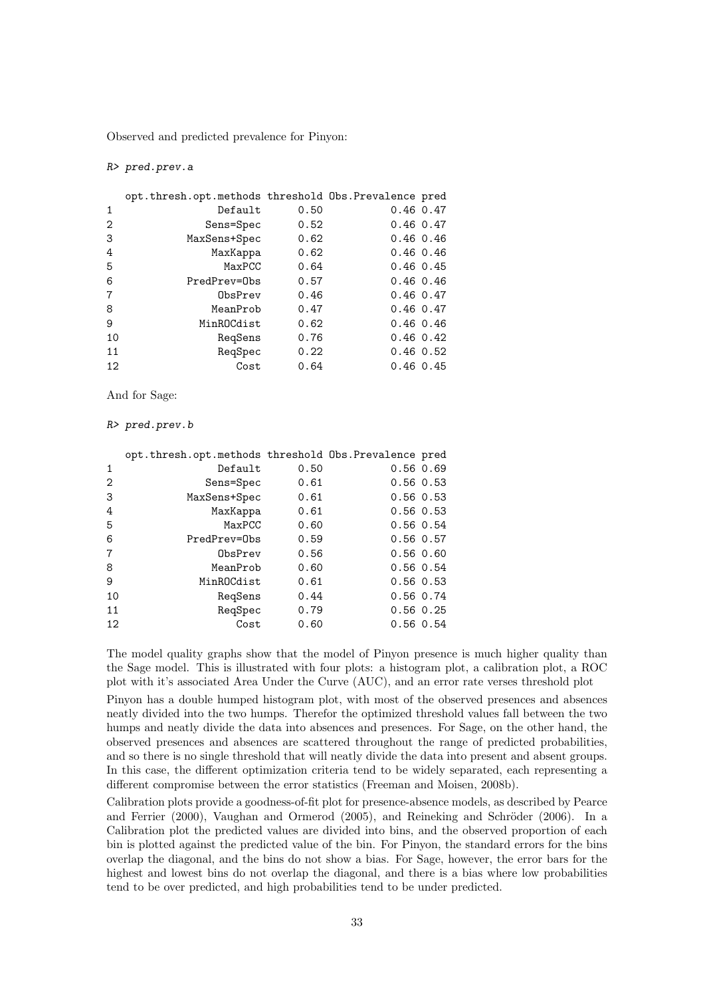Observed and predicted prevalence for Pinyon:

*R> pred.prev.a*

|    | opt.thresh.opt.methods threshold Obs. Prevalence pred |      |               |              |
|----|-------------------------------------------------------|------|---------------|--------------|
| 1  | Default                                               | 0.50 | $0.46$ 0.47   |              |
| 2  | Sens=Spec                                             | 0.52 | $0.46$ 0.47   |              |
| 3  | MaxSens+Spec                                          | 0.62 | $0.46$ 0.46   |              |
| 4  | MaxKappa                                              | 0.62 | $0.46$ 0.46   |              |
| 5  | MaxPCC                                                | 0.64 | $0.46$ 0.45   |              |
| 6  | PredPrey=Obs                                          | 0.57 | $0.46$ $0.46$ |              |
| 7  | ObsPrev                                               | 0.46 | $0.46$ 0.47   |              |
| 8  | MeanProb                                              | 0.47 | $0.46$ 0.47   |              |
| 9  | MinROCdist                                            | 0.62 | $0.46$ 0.46   |              |
| 10 | RegSens                                               | 0.76 |               | $0.46$ 0.42  |
| 11 | RegSpec                                               | 0.22 |               | $0.46$ 0.52  |
| 12 | Cost                                                  | 0.64 |               | $0.46\;0.45$ |

And for Sage:

#### *R> pred.prev.b*

|    | opt.thresh.opt.methods threshold Obs.Prevalence pred |      |               |
|----|------------------------------------------------------|------|---------------|
| 1  | Default                                              | 0.50 | 0.560.69      |
| 2  | Sens=Spec                                            | 0.61 | $0.56$ $0.53$ |
| 3  | MaxSens+Spec                                         | 0.61 | $0.56$ $0.53$ |
| 4  | MaxKappa                                             | 0.61 | $0.56$ $0.53$ |
| 5  | MaxPCC                                               | 0.60 | $0.56$ $0.54$ |
| 6  | PredPrev=Obs                                         | 0.59 | $0.56$ $0.57$ |
| 7  | ObsPrev                                              | 0.56 | 0.560.60      |
| 8  | MeanProb                                             | 0.60 | $0.56$ $0.54$ |
| 9  | MinROCdist                                           | 0.61 | $0.56$ $0.53$ |
| 10 | RegSens                                              | 0.44 | 0.56 0.74     |
| 11 | ReqSpec                                              | 0.79 | $0.56$ $0.25$ |
| 12 | Cost                                                 | 0.60 | $0.56$ $0.54$ |

The model quality graphs show that the model of Pinyon presence is much higher quality than the Sage model. This is illustrated with four plots: a histogram plot, a calibration plot, a ROC plot with it's associated Area Under the Curve (AUC), and an error rate verses threshold plot

Pinyon has a double humped histogram plot, with most of the observed presences and absences neatly divided into the two humps. Therefor the optimized threshold values fall between the two humps and neatly divide the data into absences and presences. For Sage, on the other hand, the observed presences and absences are scattered throughout the range of predicted probabilities, and so there is no single threshold that will neatly divide the data into present and absent groups. In this case, the different optimization criteria tend to be widely separated, each representing a different compromise between the error statistics (Freeman and Moisen, 2008b).

Calibration plots provide a goodness-of-fit plot for presence-absence models, as described by Pearce and Ferrier (2000), Vaughan and Ormerod (2005), and Reineking and Schröder (2006). In a Calibration plot the predicted values are divided into bins, and the observed proportion of each bin is plotted against the predicted value of the bin. For Pinyon, the standard errors for the bins overlap the diagonal, and the bins do not show a bias. For Sage, however, the error bars for the highest and lowest bins do not overlap the diagonal, and there is a bias where low probabilities tend to be over predicted, and high probabilities tend to be under predicted.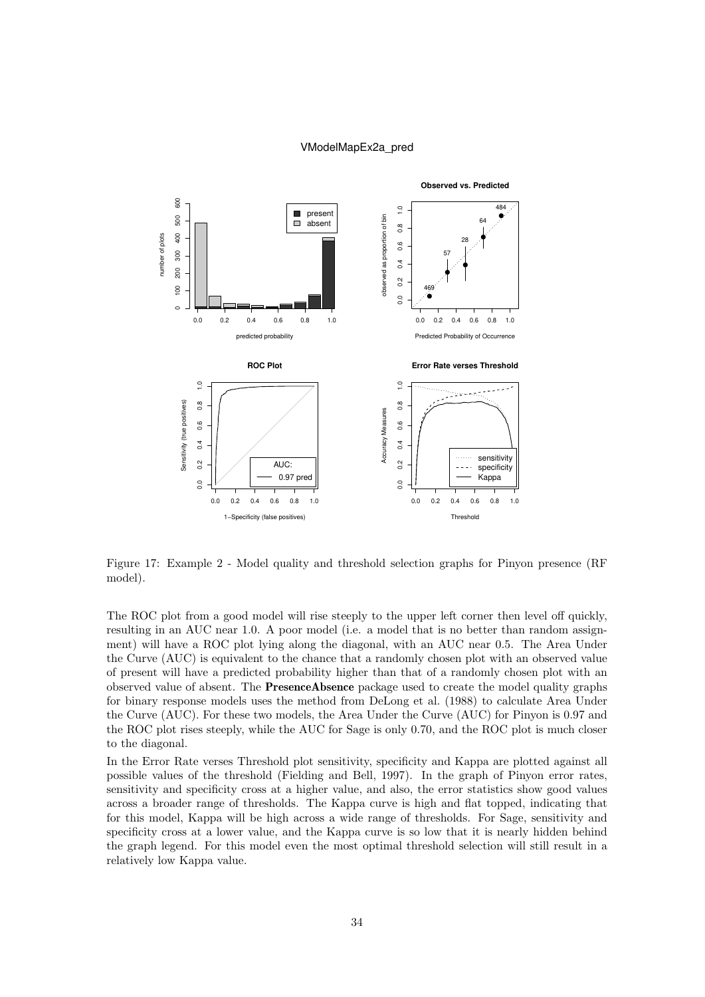#### VModelMapEx2a\_pred

![](_page_33_Figure_1.jpeg)

Figure 17: Example 2 - Model quality and threshold selection graphs for Pinyon presence (RF model).

The ROC plot from a good model will rise steeply to the upper left corner then level off quickly, resulting in an AUC near 1.0. A poor model (i.e. a model that is no better than random assignment) will have a ROC plot lying along the diagonal, with an AUC near 0.5. The Area Under the Curve (AUC) is equivalent to the chance that a randomly chosen plot with an observed value of present will have a predicted probability higher than that of a randomly chosen plot with an observed value of absent. The PresenceAbsence package used to create the model quality graphs for binary response models uses the method from DeLong et al. (1988) to calculate Area Under the Curve (AUC). For these two models, the Area Under the Curve (AUC) for Pinyon is 0.97 and the ROC plot rises steeply, while the AUC for Sage is only 0.70, and the ROC plot is much closer to the diagonal.

In the Error Rate verses Threshold plot sensitivity, specificity and Kappa are plotted against all possible values of the threshold (Fielding and Bell, 1997). In the graph of Pinyon error rates, sensitivity and specificity cross at a higher value, and also, the error statistics show good values across a broader range of thresholds. The Kappa curve is high and flat topped, indicating that for this model, Kappa will be high across a wide range of thresholds. For Sage, sensitivity and specificity cross at a lower value, and the Kappa curve is so low that it is nearly hidden behind the graph legend. For this model even the most optimal threshold selection will still result in a relatively low Kappa value.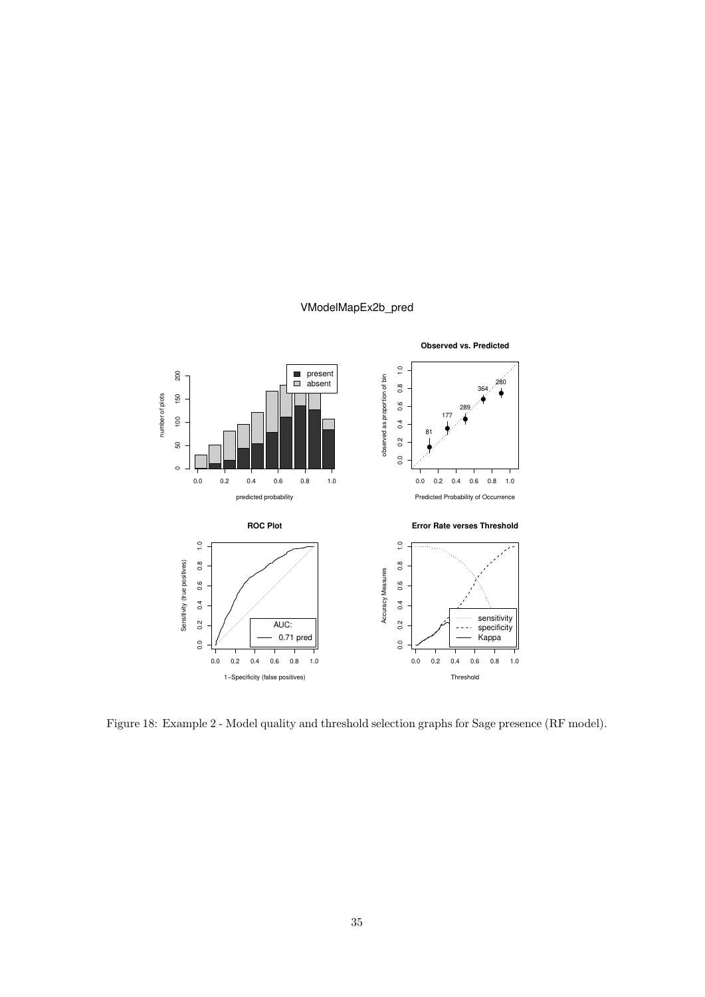#### VModelMapEx2b\_pred

![](_page_34_Figure_1.jpeg)

Figure 18: Example 2 - Model quality and threshold selection graphs for Sage presence (RF model).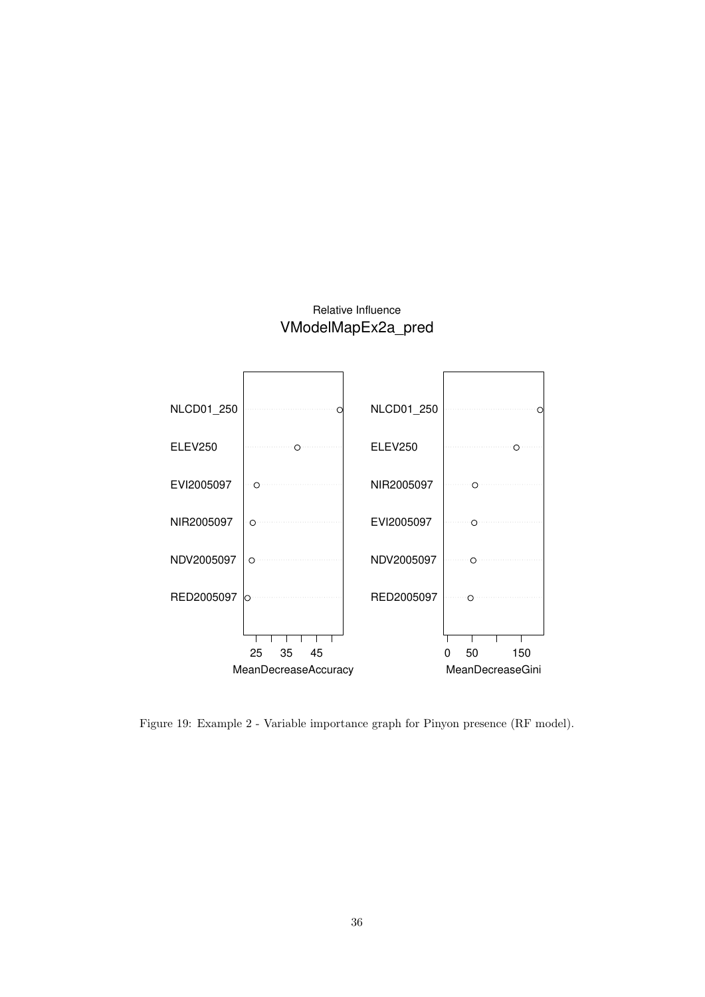## Relative Influence VModelMapEx2a\_pred

![](_page_35_Figure_1.jpeg)

Figure 19: Example 2 - Variable importance graph for Pinyon presence (RF model).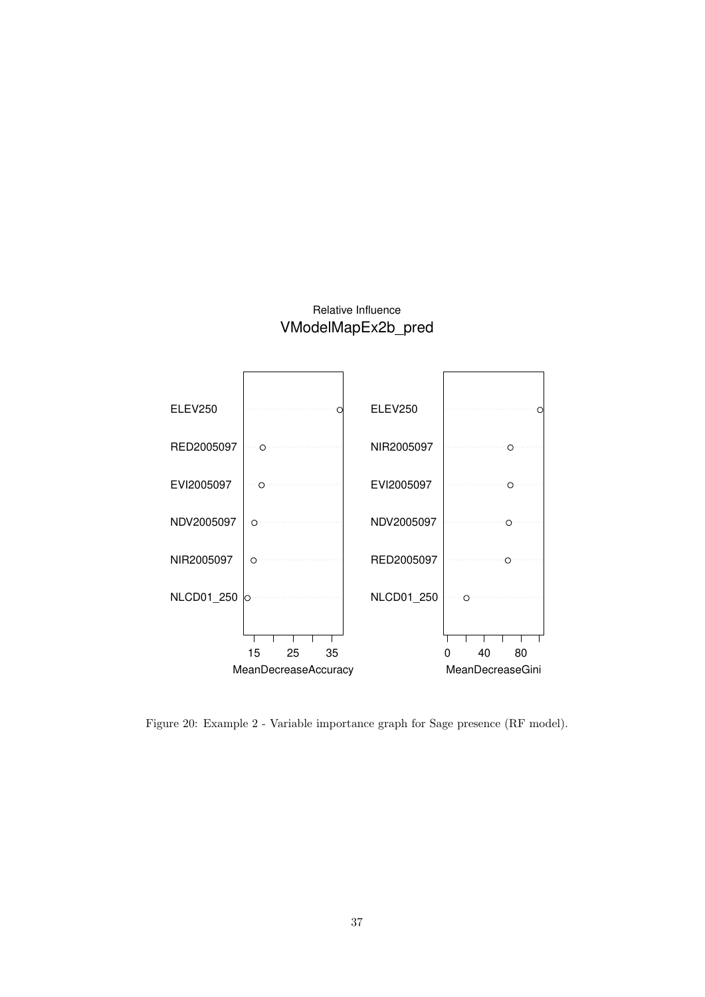## Relative Influence VModelMapEx2b\_pred

![](_page_36_Figure_1.jpeg)

Figure 20: Example 2 - Variable importance graph for Sage presence (RF model).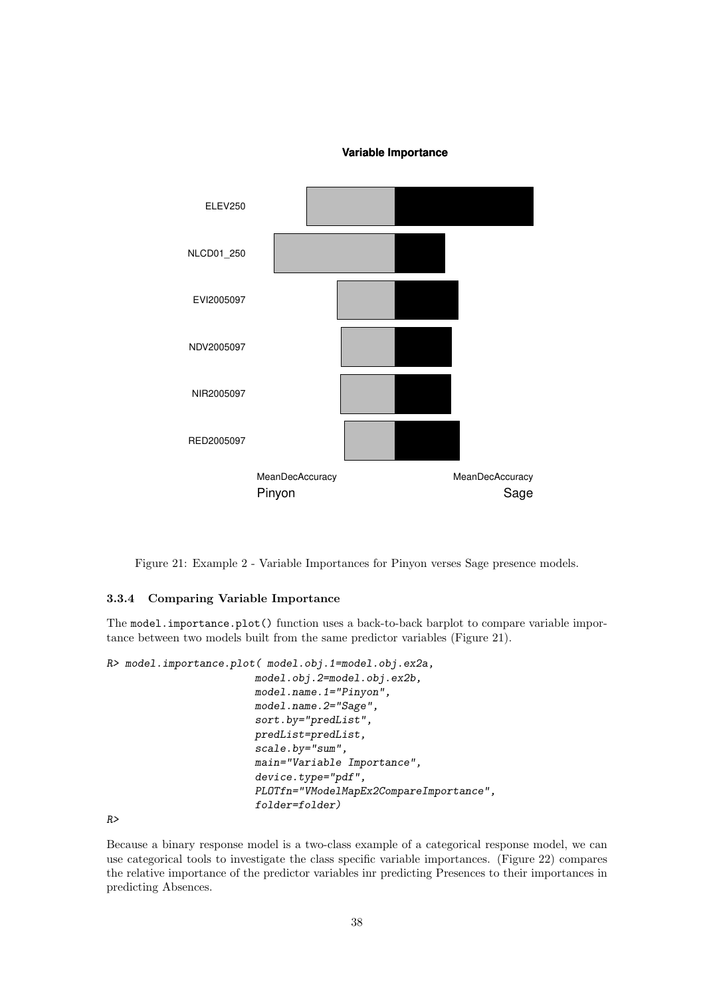#### **Variable Importance**

![](_page_37_Figure_1.jpeg)

Figure 21: Example 2 - Variable Importances for Pinyon verses Sage presence models.

#### 3.3.4 Comparing Variable Importance

The model.importance.plot() function uses a back-to-back barplot to compare variable importance between two models built from the same predictor variables (Figure 21).

*R> model.importance.plot( model.obj.1=model.obj.ex2a,*

```
model.obj.2=model.obj.ex2b,
model.name.1="Pinyon",
model.name.2="Sage",
sort.by="predList",
predList=predList,
scale.by="sum",
main="Variable Importance",
device.type="pdf",
PLOTfn="VModelMapEx2CompareImportance",
folder=folder)
```
*R>*

Because a binary response model is a two-class example of a categorical response model, we can use categorical tools to investigate the class specific variable importances. (Figure 22) compares the relative importance of the predictor variables inr predicting Presences to their importances in predicting Absences.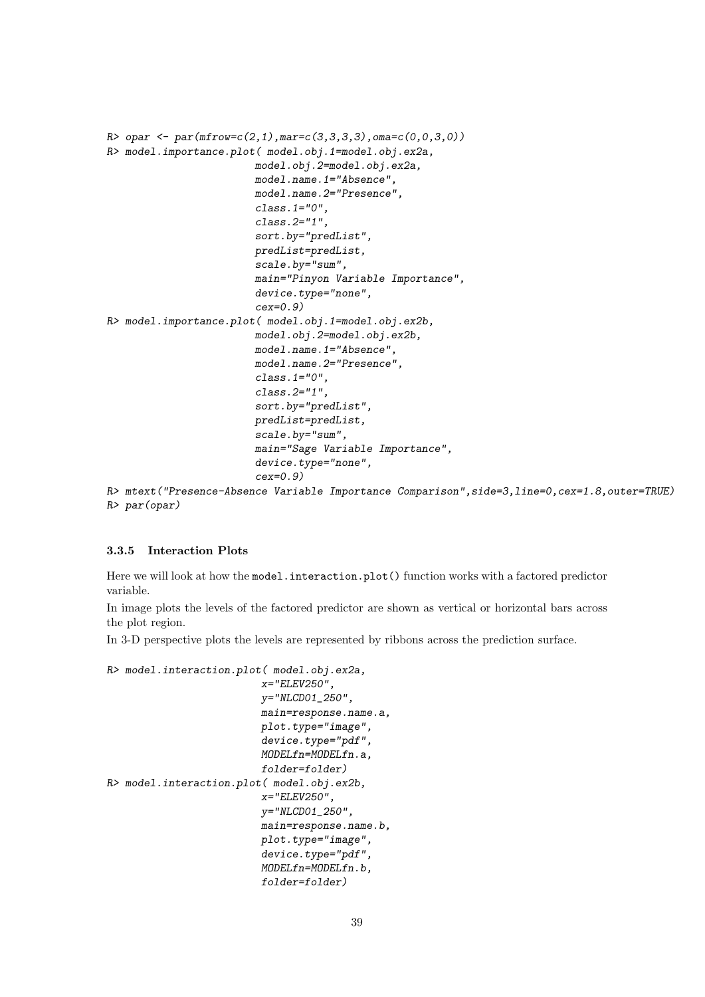```
R> opar <- par(mfrow=c(2,1),mar=c(3,3,3,3),oma=c(0,0,3,0))
R> model.importance.plot( model.obj.1=model.obj.ex2a,
                        model.obj.2=model.obj.ex2a,
                        model.name.1="Absence",
                        model.name.2="Presence",
                        class.1="0",
                        class.2="1",
                        sort.by="predList",
                        predList=predList,
                        scale.by="sum",
                        main="Pinyon Variable Importance",
                        device.type="none",
                        cex=0.9)
R> model.importance.plot( model.obj.1=model.obj.ex2b,
                        model.obj.2=model.obj.ex2b,
                        model.name.1="Absence",
                        model.name.2="Presence",
                        class.1="0",
                        class.2="1",
                        sort.by="predList",
                        predList=predList,
                        scale.by="sum",
                        main="Sage Variable Importance",
                        device.type="none",
                        cex=0.9)
```

```
R> mtext("Presence-Absence Variable Importance Comparison",side=3,line=0,cex=1.8,outer=TRUE)
R> par(opar)
```
#### 3.3.5 Interaction Plots

Here we will look at how the model.interaction.plot() function works with a factored predictor variable.

In image plots the levels of the factored predictor are shown as vertical or horizontal bars across the plot region.

In 3-D perspective plots the levels are represented by ribbons across the prediction surface.

```
R> model.interaction.plot( model.obj.ex2a,
                          x="ELEV250",
                         y="NLCD01_250",
                         main=response.name.a,
                         plot.type="image",
                         device.type="pdf",
                         MODELfn=MODELfn.a,
                         folder=folder)
R> model.interaction.plot( model.obj.ex2b,
                         x="ELEV250",
                         y="NLCD01_250",
                         main=response.name.b,
                         plot.type="image",
                         device.type="pdf",
                         MODELfn=MODELfn.b,
                         folder=folder)
```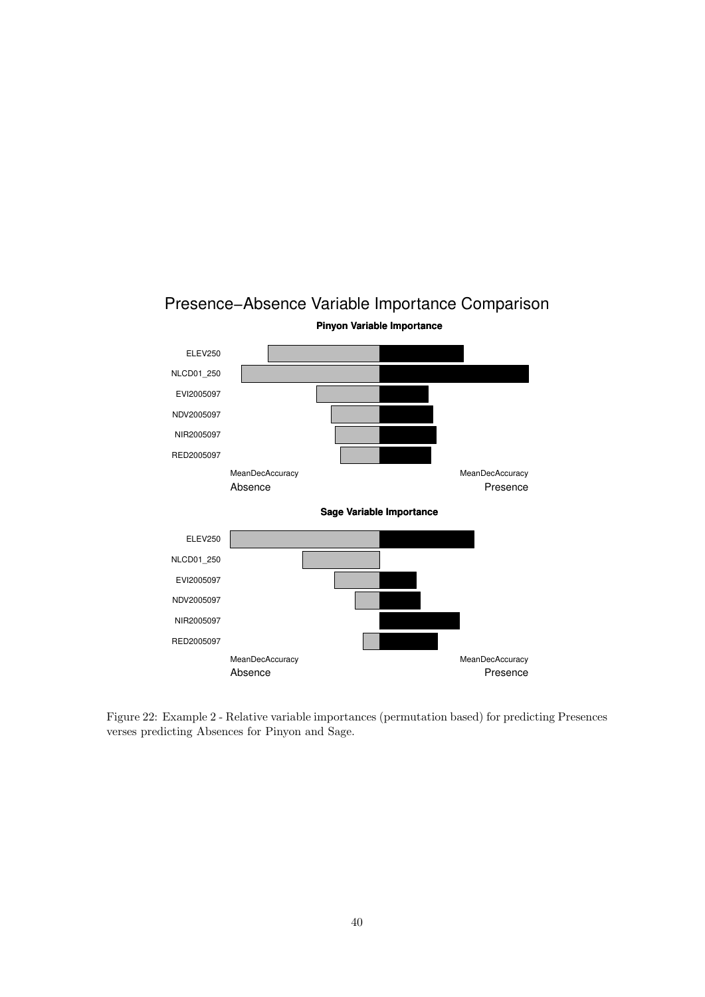![](_page_39_Figure_0.jpeg)

## Presence−Absence Variable Importance Comparison

Figure 22: Example 2 - Relative variable importances (permutation based) for predicting Presences verses predicting Absences for Pinyon and Sage.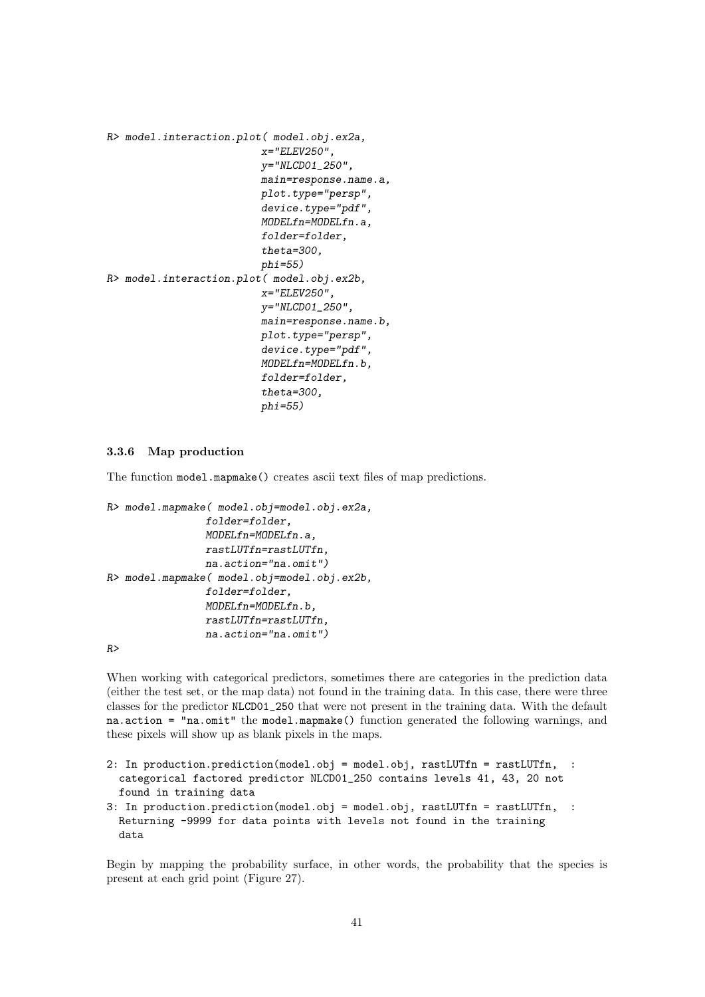```
R> model.interaction.plot( model.obj.ex2a,
                          x="ELEV250",
                          y="NLCD01_250",
                          main=response.name.a,
                          plot.type="persp",
                          device.type="pdf",
                          MODELfn=MODELfn.a,
                          folder=folder,
                          theta=300,
                          phi=55)
R> model.interaction.plot( model.obj.ex2b,
                          x="ELEV250",
                          y="NLCD01_250",
                          main=response.name.b,
                          plot.type="persp",
                          device.type="pdf",
                          MODELfn=MODELfn.b,
                          folder=folder,
                          theta=300,
                          phi=55)
```
#### 3.3.6 Map production

The function model.mapmake() creates ascii text files of map predictions.

```
R> model.mapmake( model.obj=model.obj.ex2a,
                folder=folder,
                MODELfn=MODELfn.a,
                rastLUTfn=rastLUTfn,
                na.action="na.omit")
R> model.mapmake( model.obj=model.obj.ex2b,
                folder=folder,
                MODELfn=MODELfn.b,
                rastLUTfn=rastLUTfn,
                na.action="na.omit")
```
*R>*

When working with categorical predictors, sometimes there are categories in the prediction data (either the test set, or the map data) not found in the training data. In this case, there were three classes for the predictor NLCD01\_250 that were not present in the training data. With the default na.action = "na.omit" the model.mapmake() function generated the following warnings, and these pixels will show up as blank pixels in the maps.

```
2: In production.prediction(model.obj = model.obj, rastLUTfn = rastLUTfn, :
  categorical factored predictor NLCD01_250 contains levels 41, 43, 20 not
 found in training data
3: In production.prediction(model.obj = model.obj, rastLUTfn = rastLUTfn, :
 Returning -9999 for data points with levels not found in the training
 data
```
Begin by mapping the probability surface, in other words, the probability that the species is present at each grid point (Figure 27).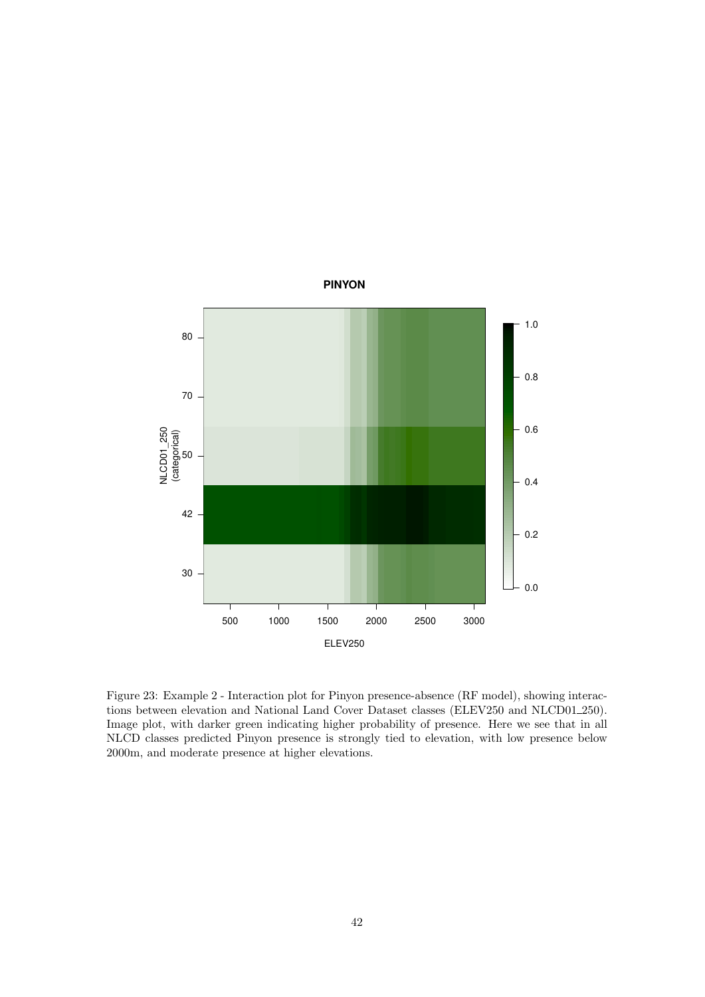![](_page_41_Figure_0.jpeg)

Figure 23: Example 2 - Interaction plot for Pinyon presence-absence (RF model), showing interactions between elevation and National Land Cover Dataset classes (ELEV250 and NLCD01\_250). Image plot, with darker green indicating higher probability of presence. Here we see that in all NLCD classes predicted Pinyon presence is strongly tied to elevation, with low presence below 2000m, and moderate presence at higher elevations.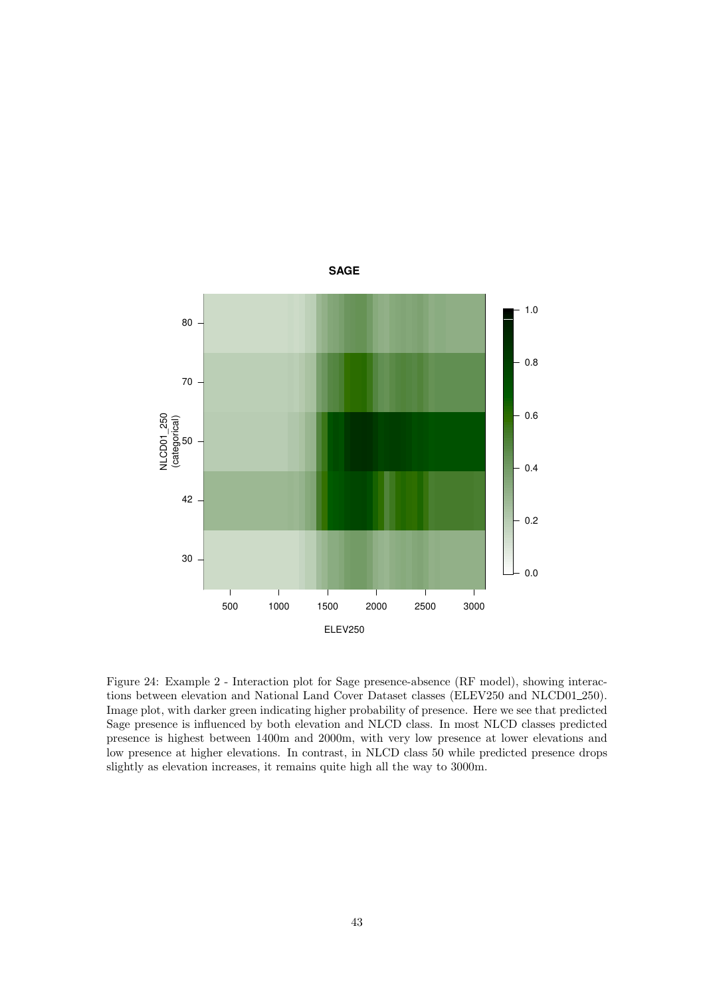![](_page_42_Figure_0.jpeg)

Figure 24: Example 2 - Interaction plot for Sage presence-absence (RF model), showing interactions between elevation and National Land Cover Dataset classes (ELEV250 and NLCD01\_250). Image plot, with darker green indicating higher probability of presence. Here we see that predicted Sage presence is influenced by both elevation and NLCD class. In most NLCD classes predicted presence is highest between 1400m and 2000m, with very low presence at lower elevations and low presence at higher elevations. In contrast, in NLCD class 50 while predicted presence drops slightly as elevation increases, it remains quite high all the way to 3000m.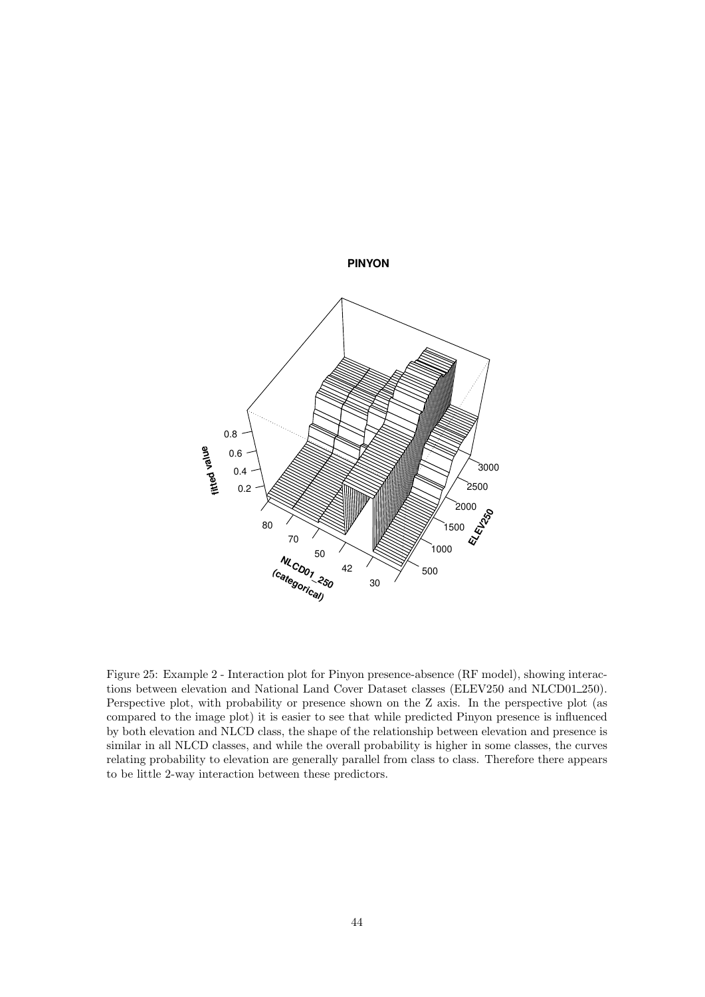![](_page_43_Figure_0.jpeg)

Figure 25: Example 2 - Interaction plot for Pinyon presence-absence (RF model), showing interactions between elevation and National Land Cover Dataset classes (ELEV250 and NLCD01\_250). Perspective plot, with probability or presence shown on the Z axis. In the perspective plot (as compared to the image plot) it is easier to see that while predicted Pinyon presence is influenced by both elevation and NLCD class, the shape of the relationship between elevation and presence is similar in all NLCD classes, and while the overall probability is higher in some classes, the curves relating probability to elevation are generally parallel from class to class. Therefore there appears to be little 2-way interaction between these predictors.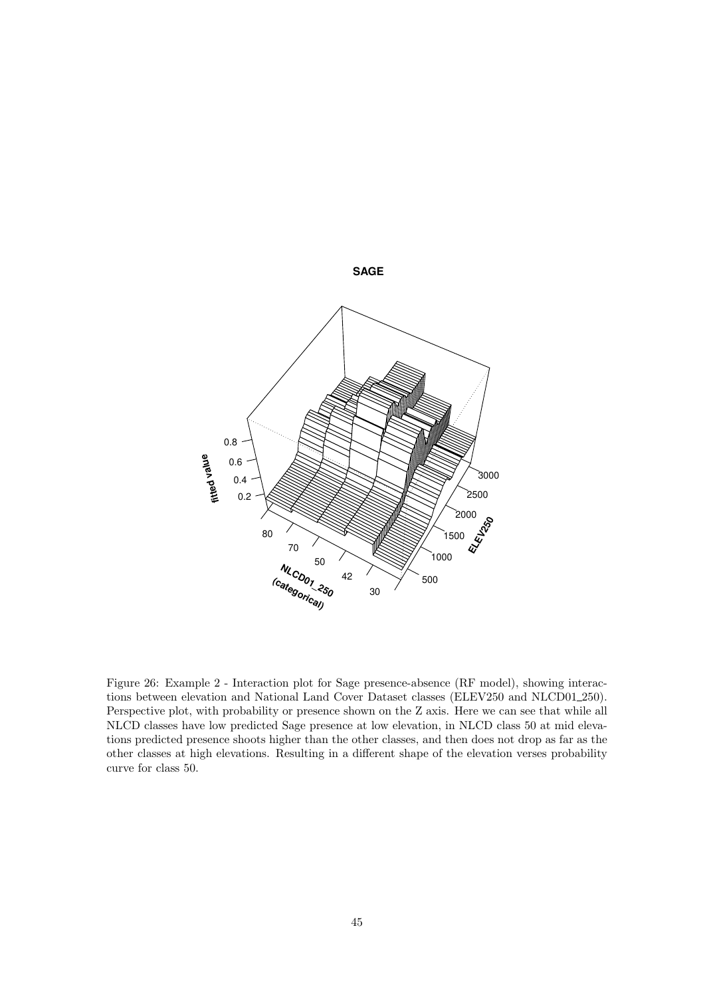![](_page_44_Figure_0.jpeg)

Figure 26: Example 2 - Interaction plot for Sage presence-absence (RF model), showing interactions between elevation and National Land Cover Dataset classes (ELEV250 and NLCD01\_250). Perspective plot, with probability or presence shown on the Z axis. Here we can see that while all NLCD classes have low predicted Sage presence at low elevation, in NLCD class 50 at mid elevations predicted presence shoots higher than the other classes, and then does not drop as far as the other classes at high elevations. Resulting in a different shape of the elevation verses probability curve for class 50.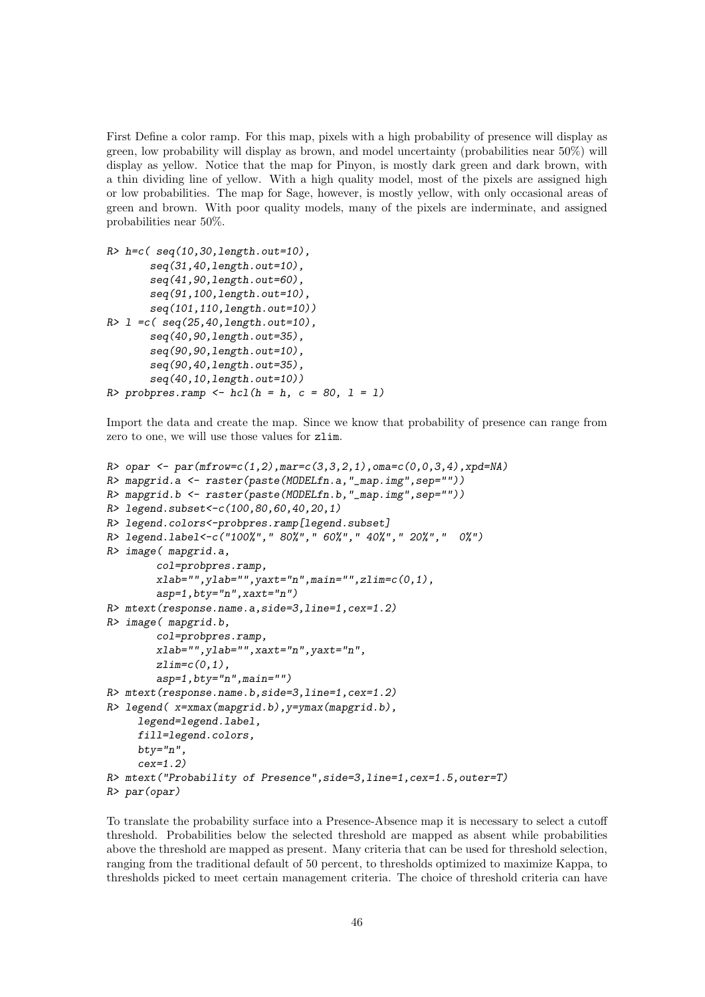First Define a color ramp. For this map, pixels with a high probability of presence will display as green, low probability will display as brown, and model uncertainty (probabilities near 50%) will display as yellow. Notice that the map for Pinyon, is mostly dark green and dark brown, with a thin dividing line of yellow. With a high quality model, most of the pixels are assigned high or low probabilities. The map for Sage, however, is mostly yellow, with only occasional areas of green and brown. With poor quality models, many of the pixels are inderminate, and assigned probabilities near 50%.

```
R> h=c( seq(10,30,length.out=10),
       seq(31,40,length.out=10),
       seq(41,90,length.out=60),
       seq(91,100,length.out=10),
       seq(101,110,length.out=10))
R> l =c( seq(25,40,length.out=10),
       seq(40,90,length.out=35),
       seq(90,90,length.out=10),
       seq(90,40,length.out=35),
       seq(40,10,length.out=10))
R> probpres.ramp <- hcl(h = h, c = 80, l = l)
```
Import the data and create the map. Since we know that probability of presence can range from zero to one, we will use those values for zlim.

```
R> opar <- par(mfrow=c(1,2),mar=c(3,3,2,1),oma=c(0,0,3,4),xpd=NA)
R> mapgrid.a <- raster(paste(MODELfn.a,"_map.img",sep=""))
R> mapgrid.b <- raster(paste(MODELfn.b,"_map.img",sep=""))
R> legend.subset<-c(100,80,60,40,20,1)
R> legend.colors<-probpres.ramp[legend.subset]
R> legend.label<-c("100%"," 80%"," 60%"," 40%"," 20%"," 0%")
R> image( mapgrid.a,
        col=probpres.ramp,
        xlab="",ylab="",yaxt="n",main="",zlim=c(0,1),
        asp=1,bty="n",xaxt="n")
R> mtext(response.name.a,side=3,line=1,cex=1.2)
R> image( mapgrid.b,
        col=probpres.ramp,
        xlab="",ylab="",xaxt="n",yaxt="n",
        zlim=c(0,1),
        asp=1,bty="n",main="")
R> mtext(response.name.b,side=3,line=1,cex=1.2)
R> legend( x=xmax(mapgrid.b),y=ymax(mapgrid.b),
     legend=legend.label,
     fill=legend.colors,
    bty="n",
     cex=1.2)
R> mtext("Probability of Presence",side=3,line=1,cex=1.5,outer=T)
R> par(opar)
```
To translate the probability surface into a Presence-Absence map it is necessary to select a cutoff threshold. Probabilities below the selected threshold are mapped as absent while probabilities above the threshold are mapped as present. Many criteria that can be used for threshold selection, ranging from the traditional default of 50 percent, to thresholds optimized to maximize Kappa, to thresholds picked to meet certain management criteria. The choice of threshold criteria can have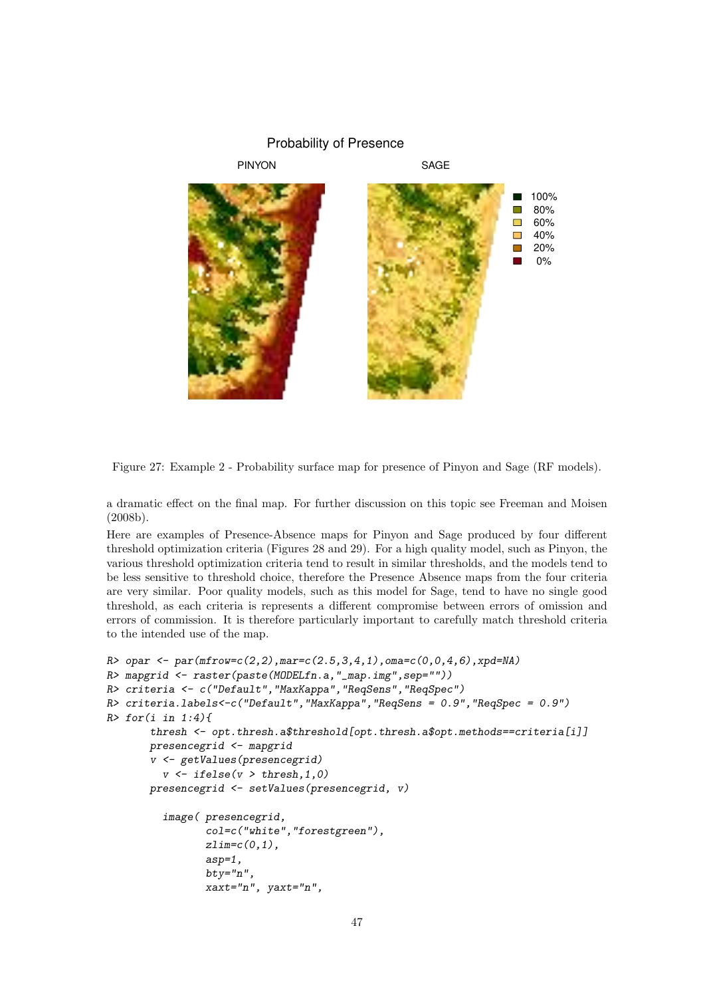![](_page_46_Figure_0.jpeg)

Figure 27: Example 2 - Probability surface map for presence of Pinyon and Sage (RF models).

a dramatic effect on the final map. For further discussion on this topic see Freeman and Moisen (2008b).

Here are examples of Presence-Absence maps for Pinyon and Sage produced by four different threshold optimization criteria (Figures 28 and 29). For a high quality model, such as Pinyon, the various threshold optimization criteria tend to result in similar thresholds, and the models tend to be less sensitive to threshold choice, therefore the Presence Absence maps from the four criteria are very similar. Poor quality models, such as this model for Sage, tend to have no single good threshold, as each criteria is represents a different compromise between errors of omission and errors of commission. It is therefore particularly important to carefully match threshold criteria to the intended use of the map.

```
R> opar <- par(mfrow=c(2,2),mar=c(2.5,3,4,1),oma=c(0,0,4,6),xpd=NA)
R> mapgrid <- raster(paste(MODELfn.a,"_map.img",sep=""))
R> criteria <- c("Default","MaxKappa","ReqSens","ReqSpec")
R> criteria.labels<-c("Default","MaxKappa","ReqSens = 0.9","ReqSpec = 0.9")
R> for(i in 1:4){
       thresh <- opt.thresh.a$threshold[opt.thresh.a$opt.methods==criteria[i]]
       presencegrid <- mapgrid
       v <- getValues(presencegrid)
         v <- ifelse(v > thresh,1,0)
       presencegrid <- setValues(presencegrid, v)
         image( presencegrid,
                col=c("white","forestgreen"),
                zlim=c(0,1),
                asp=1,
                bty="n",
                xaxt="n", yaxt="n",
```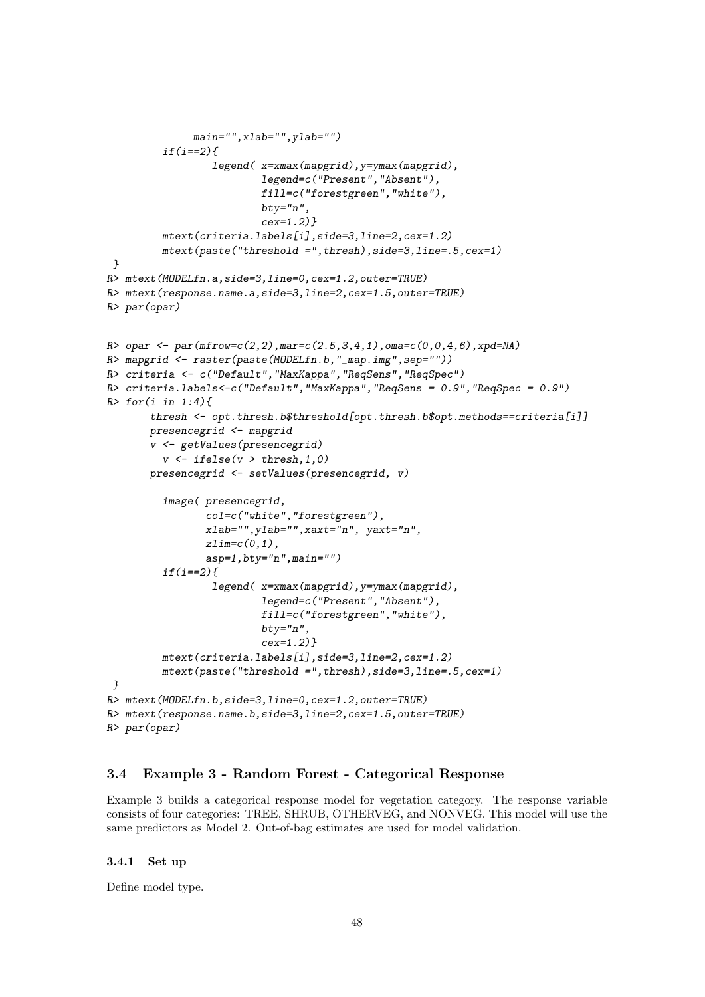```
main="",xlab="",ylab="")
         if(i==2){
                 legend( x=xmax(mapgrid),y=ymax(mapgrid),
                         legend=c("Present","Absent"),
                         fill=c("forestgreen","white"),
                         bty="n",
                         cex=1.2)}
         mtext(criteria.labels[i],side=3,line=2,cex=1.2)
         mtext(paste("threshold =",thresh),side=3,line=.5,cex=1)
 }
R> mtext(MODELfn.a,side=3,line=0,cex=1.2,outer=TRUE)
R> mtext(response.name.a,side=3,line=2,cex=1.5,outer=TRUE)
R> par(opar)
R> opar <- par(mfrow=c(2,2),mar=c(2.5,3,4,1),oma=c(0,0,4,6),xpd=NA)
R> mapgrid <- raster(paste(MODELfn.b,"_map.img",sep=""))
R> criteria <- c("Default","MaxKappa","ReqSens","ReqSpec")
R> criteria.labels<-c("Default","MaxKappa","ReqSens = 0.9","ReqSpec = 0.9")
R> for(i in 1:4){
       thresh <- opt.thresh.b$threshold[opt.thresh.b$opt.methods==criteria[i]]
       presencegrid <- mapgrid
       v <- getValues(presencegrid)
         v <- ifelse(v > thresh,1,0)
       presencegrid <- setValues(presencegrid, v)
         image( presencegrid,
                col=c("white","forestgreen"),
                xlab="",ylab="",xaxt="n", yaxt="n",
                zlim=c(0,1),
                asp=1,bty="n",main="")
         if(i==2){
                 legend( x=xmax(mapgrid),y=ymax(mapgrid),
                         legend=c("Present","Absent"),
                         fill=c("forestgreen","white"),
                         bty="n",
                         cex=1.2)}
         mtext(criteria.labels[i],side=3,line=2,cex=1.2)
         mtext(paste("threshold =",thresh),side=3,line=.5,cex=1)
 }
R> mtext(MODELfn.b,side=3,line=0,cex=1.2,outer=TRUE)
R> mtext(response.name.b,side=3,line=2,cex=1.5,outer=TRUE)
R> par(opar)
```
#### 3.4 Example 3 - Random Forest - Categorical Response

Example 3 builds a categorical response model for vegetation category. The response variable consists of four categories: TREE, SHRUB, OTHERVEG, and NONVEG. This model will use the same predictors as Model 2. Out-of-bag estimates are used for model validation.

#### 3.4.1 Set up

Define model type.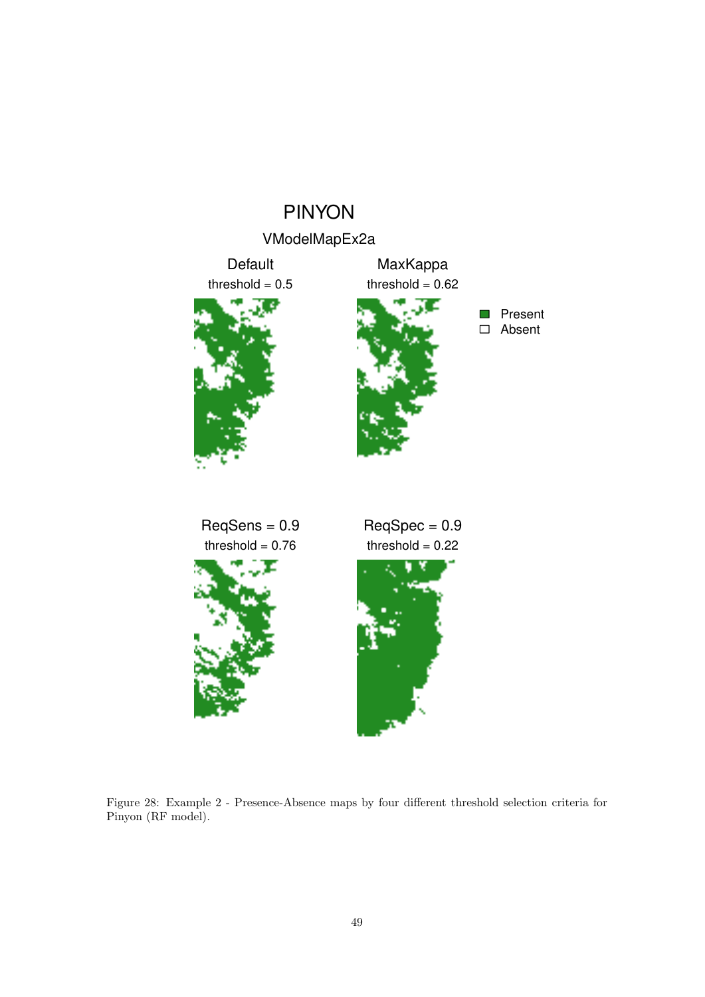## PINYON

![](_page_48_Figure_1.jpeg)

![](_page_48_Figure_2.jpeg)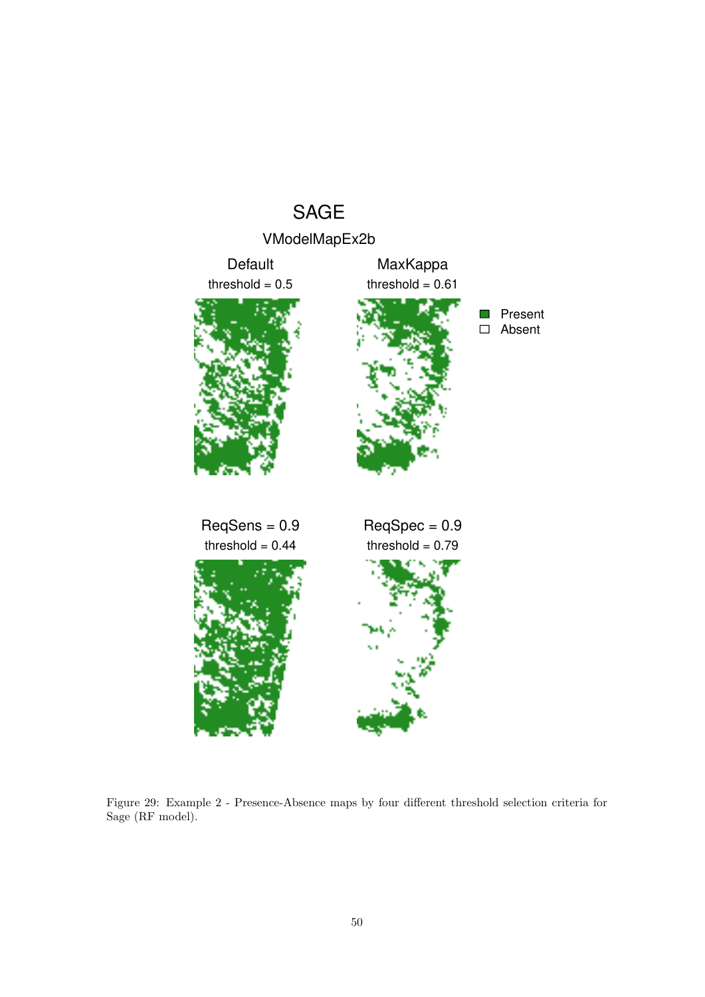## SAGE

![](_page_49_Figure_1.jpeg)

Figure 29: Example 2 - Presence-Absence maps by four different threshold selection criteria for Sage (RF model).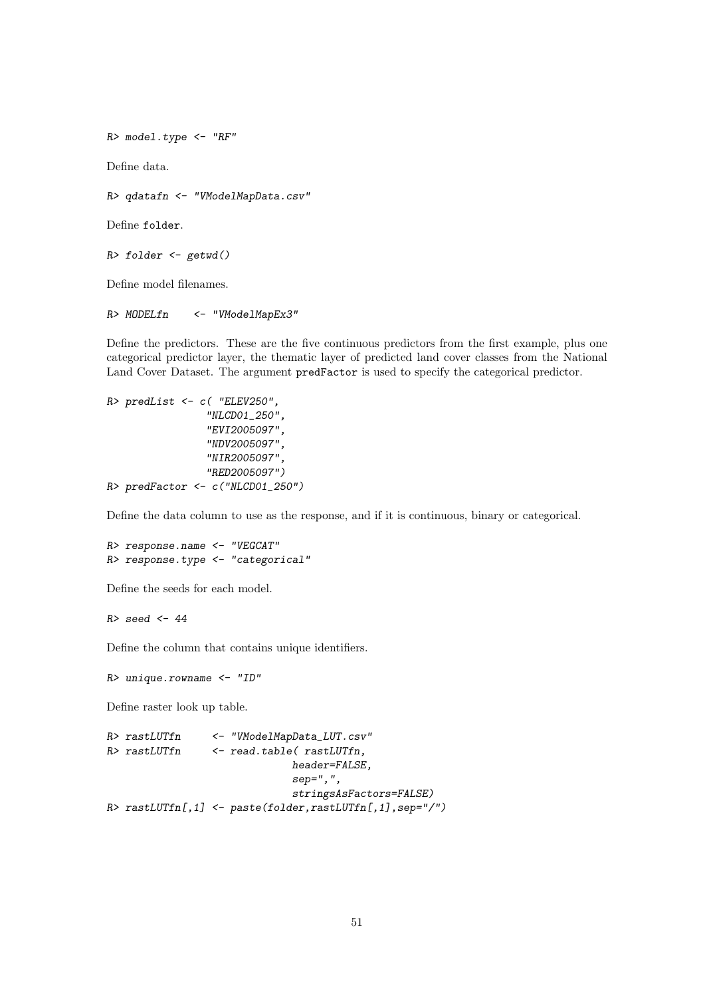*R> model.type <- "RF"*

Define data.

*R> qdatafn <- "VModelMapData.csv"*

Define folder.

```
R> folder <- getwd()
```
Define model filenames.

*R> MODELfn <- "VModelMapEx3"*

Define the predictors. These are the five continuous predictors from the first example, plus one categorical predictor layer, the thematic layer of predicted land cover classes from the National Land Cover Dataset. The argument predFactor is used to specify the categorical predictor.

```
R> predList <- c( "ELEV250",
                 "NLCD01_250",
                 "EVI2005097",
                 "NDV2005097",
                 "NIR2005097",
                 "RED2005097")
R> predFactor <- c("NLCD01_250")
```
Define the data column to use as the response, and if it is continuous, binary or categorical.

```
R> response.name <- "VEGCAT"
R> response.type <- "categorical"
```
Define the seeds for each model.

*R> seed <- 44*

Define the column that contains unique identifiers.

*R> unique.rowname <- "ID"*

Define raster look up table.

```
R> rastLUTfn <- "VModelMapData_LUT.csv"
R> rastLUTfn <- read.table( rastLUTfn,
                             header=FALSE,
                             sep=",",
                             stringsAsFactors=FALSE)
R> rastLUTfn[,1] <- paste(folder,rastLUTfn[,1],sep="/")
```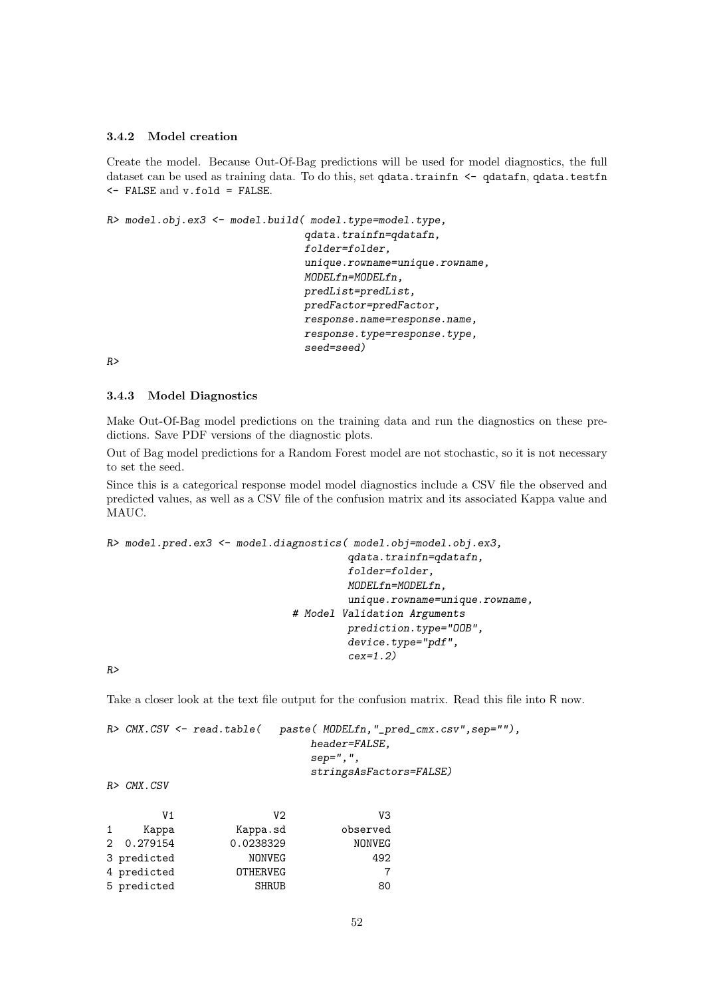#### 3.4.2 Model creation

Create the model. Because Out-Of-Bag predictions will be used for model diagnostics, the full dataset can be used as training data. To do this, set qdata.trainfn  $\leq$  qdatafn, qdata.testfn <- FALSE and v.fold = FALSE.

*R> model.obj.ex3 <- model.build( model.type=model.type,*

```
qdata.trainfn=qdatafn,
folder=folder,
unique.rowname=unique.rowname,
MODELfn=MODELfn,
predList=predList,
predFactor=predFactor,
response.name=response.name,
response.type=response.type,
seed=seed)
```
*R>*

#### 3.4.3 Model Diagnostics

Make Out-Of-Bag model predictions on the training data and run the diagnostics on these predictions. Save PDF versions of the diagnostic plots.

Out of Bag model predictions for a Random Forest model are not stochastic, so it is not necessary to set the seed.

Since this is a categorical response model model diagnostics include a CSV file the observed and predicted values, as well as a CSV file of the confusion matrix and its associated Kappa value and MAUC.

```
R> model.pred.ex3 <- model.diagnostics( model.obj=model.obj.ex3,
                                        qdata.trainfn=qdatafn,
                                        folder=folder,
                                        MODELfn=MODELfn,
                                        unique.rowname=unique.rowname,
                              # Model Validation Arguments
                                       prediction.type="OOB",
                                        device.type="pdf",
                                        cex=1.2)
```
*R>*

Take a closer look at the text file output for the confusion matrix. Read this file into R now.

|  | $R$ > CMX.CSV $\leq$ read.table( | paste( MODELfn,"_pred_cmx.csv",sep=""), |
|--|----------------------------------|-----------------------------------------|
|  |                                  | header=FALSE.                           |
|  |                                  | $sep="$ ,",                             |
|  |                                  | stringsAsFactors=FALSE)                 |
|  |                                  |                                         |

*R> CMX.CSV*

|              | V1          | V2              | V3       |
|--------------|-------------|-----------------|----------|
| $\mathbf{1}$ | Kappa       | Kappa.sd        | observed |
|              | 2 0.279154  | 0.0238329       | NONVEG   |
|              | 3 predicted | NONVEG          | 492      |
|              | 4 predicted | <b>OTHERVEG</b> |          |
|              | 5 predicted | <b>SHRUB</b>    | 80       |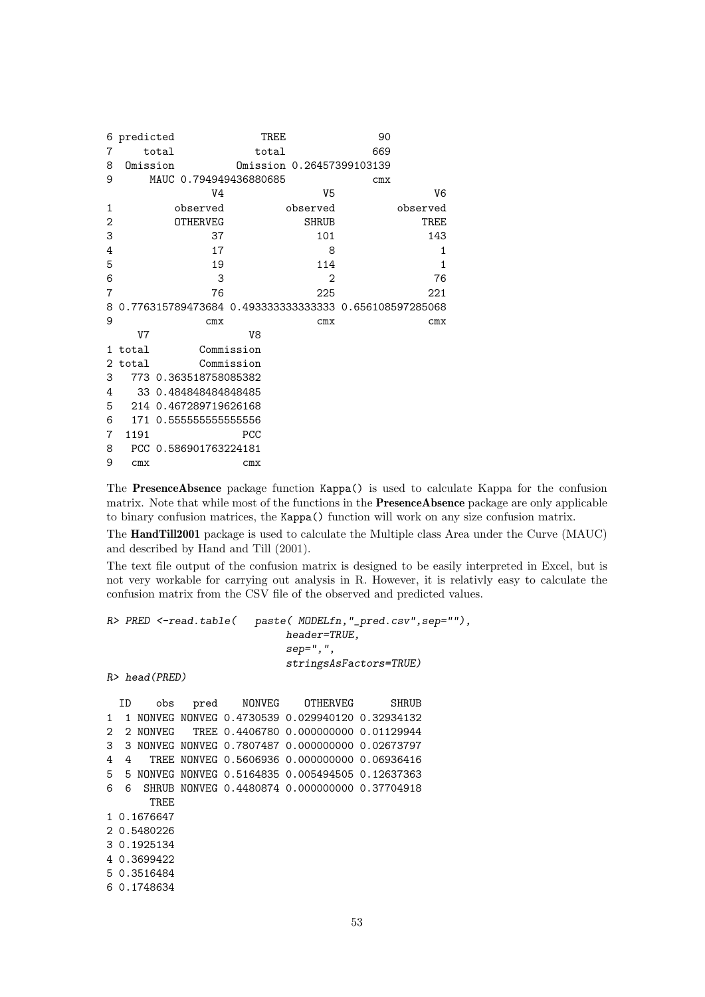| 6              | predicted |                        | TREE           |                | 90                                                    |
|----------------|-----------|------------------------|----------------|----------------|-------------------------------------------------------|
| 7              |           | total                  | total          |                | 669                                                   |
| 8              | Omission  |                        |                |                | Omission 0.26457399103139                             |
| 9              |           | MAUC 0.794949436880685 |                |                | cmx                                                   |
|                |           | V4                     |                | V <sub>5</sub> | V6                                                    |
| 1              |           | observed               |                | observed       | observed                                              |
| $\overline{2}$ |           | <b>OTHERVEG</b>        |                | <b>SHRUB</b>   | TREE                                                  |
| 3              |           | 37                     |                | 101            | 143                                                   |
| 4              |           | 17                     |                | 8              | 1                                                     |
| 5              |           | 19                     |                | 114            | 1                                                     |
| 6              |           | 3                      |                | $\overline{2}$ | 76                                                    |
| 7              |           | 76                     |                | 225            | 221                                                   |
| 8              |           |                        |                |                | 0.776315789473684 0.493333333333333 0.656108597285068 |
| 9              |           | cmx                    |                | cmx            | cmx                                                   |
|                | V7        |                        | V <sub>8</sub> |                |                                                       |
| 1.             | total     |                        | Commission     |                |                                                       |
| 2              | total     |                        | Commission     |                |                                                       |
| 3              |           | 773 0.363518758085382  |                |                |                                                       |
| 4              |           | 33 0.484848484848485   |                |                |                                                       |
| 5              |           | 214 0.467289719626168  |                |                |                                                       |
| 6              |           | 171 0.555555555555556  |                |                |                                                       |
| 7              | 1191      |                        | PCC            |                |                                                       |
| 8              |           | PCC 0.586901763224181  |                |                |                                                       |
| 9              | cmx       |                        | cmx            |                |                                                       |

The PresenceAbsence package function Kappa() is used to calculate Kappa for the confusion matrix. Note that while most of the functions in the **PresenceAbsence** package are only applicable to binary confusion matrices, the Kappa() function will work on any size confusion matrix.

The HandTill2001 package is used to calculate the Multiple class Area under the Curve (MAUC) and described by Hand and Till (2001).

The text file output of the confusion matrix is designed to be easily interpreted in Excel, but is not very workable for carrying out analysis in R. However, it is relativly easy to calculate the confusion matrix from the CSV file of the observed and predicted values.

```
R> PRED <-read.table( paste( MODELfn,"_pred.csv",sep=""),
                            header=TRUE,
                            sep=",",
                            stringsAsFactors=TRUE)
R> head(PRED)
 ID obs pred NONVEG OTHERVEG SHRUB
1 1 NONVEG NONVEG 0.4730539 0.029940120 0.32934132
2 2 NONVEG TREE 0.4406780 0.000000000 0.01129944
3 3 NONVEG NONVEG 0.7807487 0.000000000 0.02673797
4 4 TREE NONVEG 0.5606936 0.000000000 0.06936416
5 5 NONVEG NONVEG 0.5164835 0.005494505 0.12637363
6 6 SHRUB NONVEG 0.4480874 0.000000000 0.37704918
      TREE
1 0.1676647
2 0.5480226
3 0.1925134
4 0.3699422
5 0.3516484
6 0.1748634
```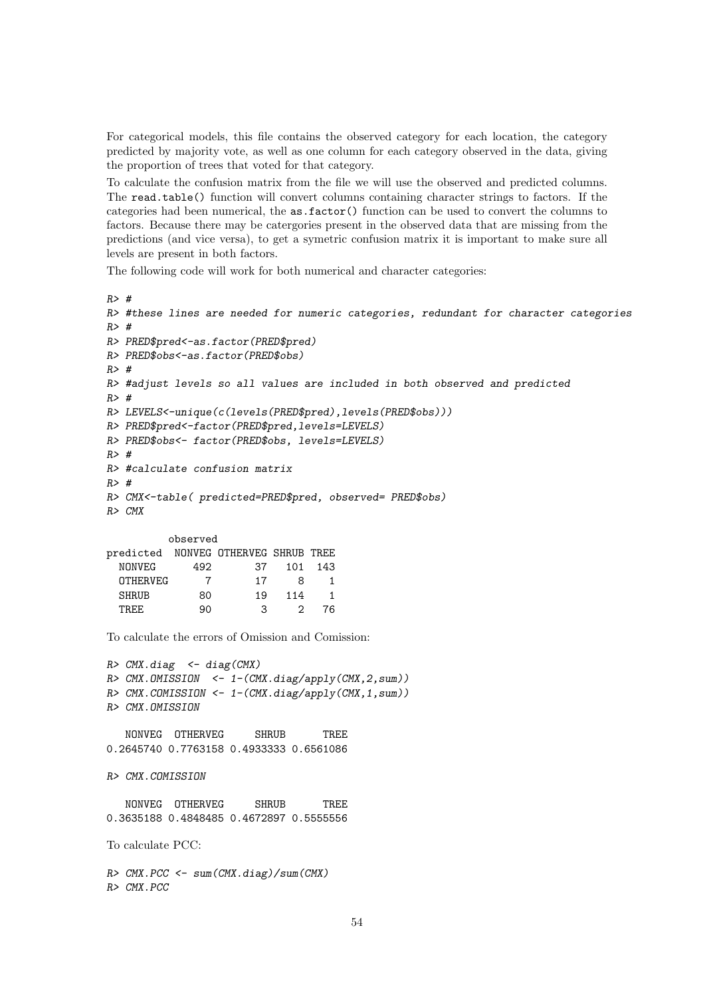For categorical models, this file contains the observed category for each location, the category predicted by majority vote, as well as one column for each category observed in the data, giving the proportion of trees that voted for that category.

To calculate the confusion matrix from the file we will use the observed and predicted columns. The read.table() function will convert columns containing character strings to factors. If the categories had been numerical, the as.factor() function can be used to convert the columns to factors. Because there may be catergories present in the observed data that are missing from the predictions (and vice versa), to get a symetric confusion matrix it is important to make sure all levels are present in both factors.

The following code will work for both numerical and character categories:

```
R> #
R> #these lines are needed for numeric categories, redundant for character categories
R> #
R> PRED$pred<-as.factor(PRED$pred)
R> PRED$obs<-as.factor(PRED$obs)
R> #
R> #adjust levels so all values are included in both observed and predicted
R> #
R> LEVELS<-unique(c(levels(PRED$pred),levels(PRED$obs)))
R> PRED$pred<-factor(PRED$pred,levels=LEVELS)
R> PRED$obs<- factor(PRED$obs, levels=LEVELS)
R> #
R> #calculate confusion matrix
R> #
R> CMX<-table( predicted=PRED$pred, observed= PRED$obs)
R> CMX
         observed
predicted NONVEG OTHERVEG SHRUB TREE
 NONVEG 492 37 101 143
 OTHERVEG 7 17 8 1
 SHRUB 80 19 114 1
  TREE 90 3 2 76
To calculate the errors of Omission and Comission:
R> CMX.diag <- diag(CMX)
R> CMX.OMISSION <- 1-(CMX.diag/apply(CMX,2,sum))
R> CMX.COMISSION <- 1-(CMX.diag/apply(CMX,1,sum))
R> CMX.OMISSION
  NONVEG OTHERVEG SHRUB TREE
0.2645740 0.7763158 0.4933333 0.6561086
R> CMX.COMISSION
  NONVEG OTHERVEG SHRUB TREE
0.3635188 0.4848485 0.4672897 0.5555556
To calculate PCC:
R> CMX.PCC <- sum(CMX.diag)/sum(CMX)
```
*R> CMX.PCC*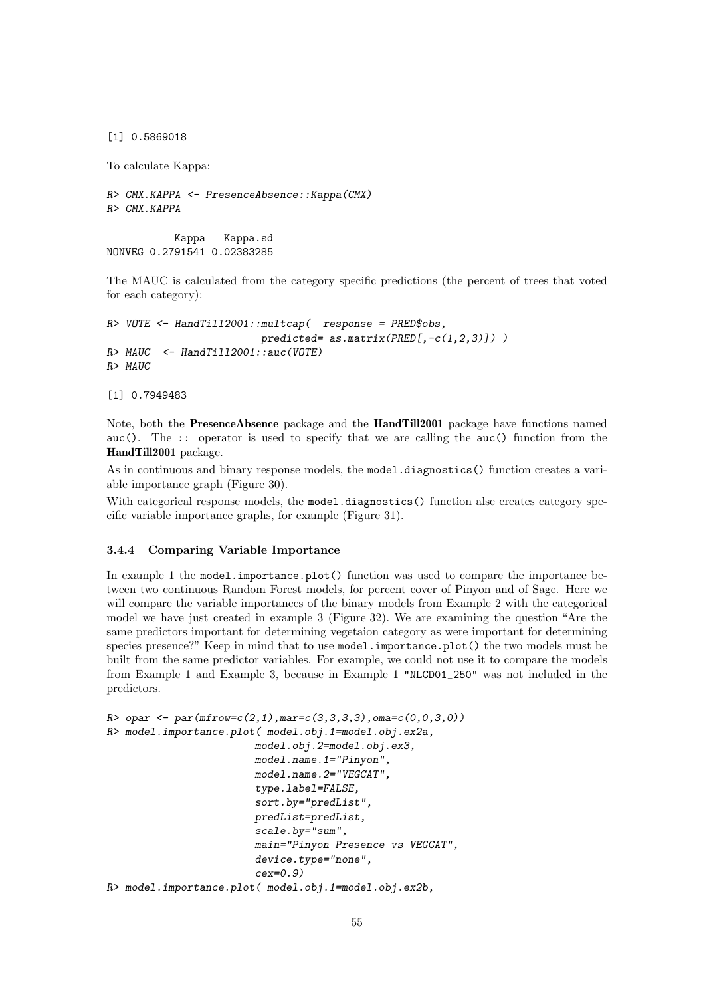[1] 0.5869018

To calculate Kappa:

*R> CMX.KAPPA <- PresenceAbsence::Kappa(CMX) R> CMX.KAPPA*

Kappa Kappa.sd NONVEG 0.2791541 0.02383285

The MAUC is calculated from the category specific predictions (the percent of trees that voted for each category):

```
R> VOTE <- HandTill2001::multcap( response = PRED$obs,
                         predicted= as.matrix(PRED[,-c(1,2,3)]) )
R> MAUC <- HandTill2001::auc(VOTE)
R> MAUC
```
[1] 0.7949483

Note, both the PresenceAbsence package and the HandTill2001 package have functions named auc(). The :: operator is used to specify that we are calling the auc() function from the HandTill2001 package.

As in continuous and binary response models, the model.diagnostics() function creates a variable importance graph (Figure 30).

With categorical response models, the model.diagnostics() function alse creates category specific variable importance graphs, for example (Figure 31).

### 3.4.4 Comparing Variable Importance

In example 1 the model.importance.plot() function was used to compare the importance between two continuous Random Forest models, for percent cover of Pinyon and of Sage. Here we will compare the variable importances of the binary models from Example 2 with the categorical model we have just created in example 3 (Figure 32). We are examining the question "Are the same predictors important for determining vegetaion category as were important for determining species presence?" Keep in mind that to use model.importance.plot() the two models must be built from the same predictor variables. For example, we could not use it to compare the models from Example 1 and Example 3, because in Example 1 "NLCD01\_250" was not included in the predictors.

```
R> opar <- par(mfrow=c(2,1),mar=c(3,3,3,3),oma=c(0,0,3,0))
R> model.importance.plot( model.obj.1=model.obj.ex2a,
                        model.obj.2=model.obj.ex3,
                        model.name.1="Pinyon",
                        model.name.2="VEGCAT",
                        type.label=FALSE,
                        sort.by="predList",
                        predList=predList,
                        scale.by="sum",
                        main="Pinyon Presence vs VEGCAT",
                        device.type="none",
                        cex=0.9)
R> model.importance.plot( model.obj.1=model.obj.ex2b,
```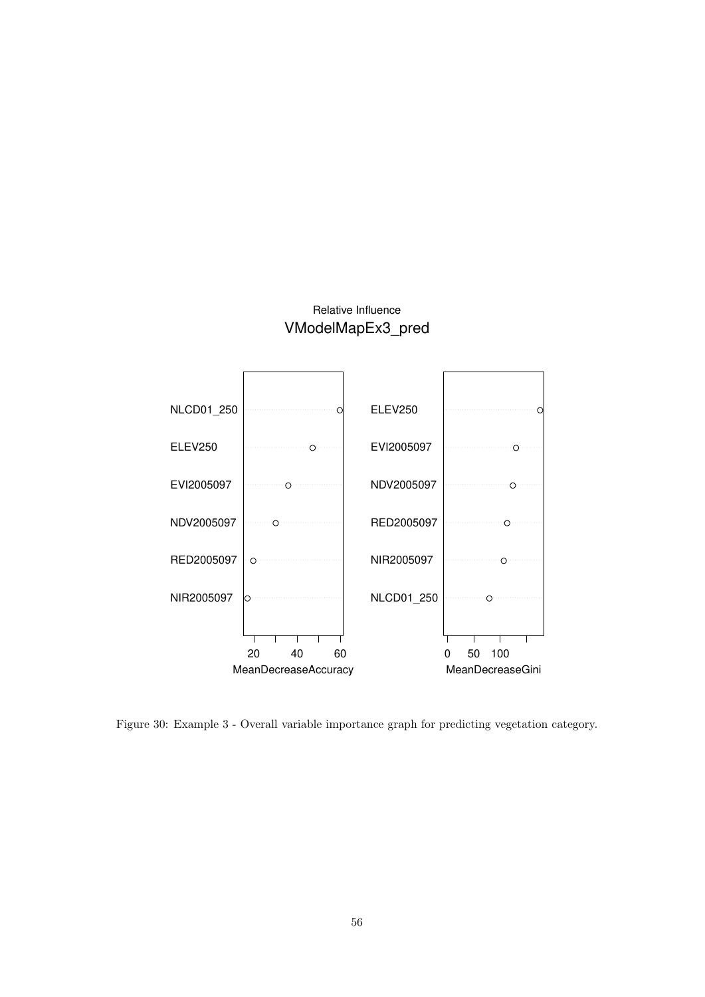## Relative Influence VModelMapEx3\_pred

![](_page_55_Figure_1.jpeg)

Figure 30: Example 3 - Overall variable importance graph for predicting vegetation category.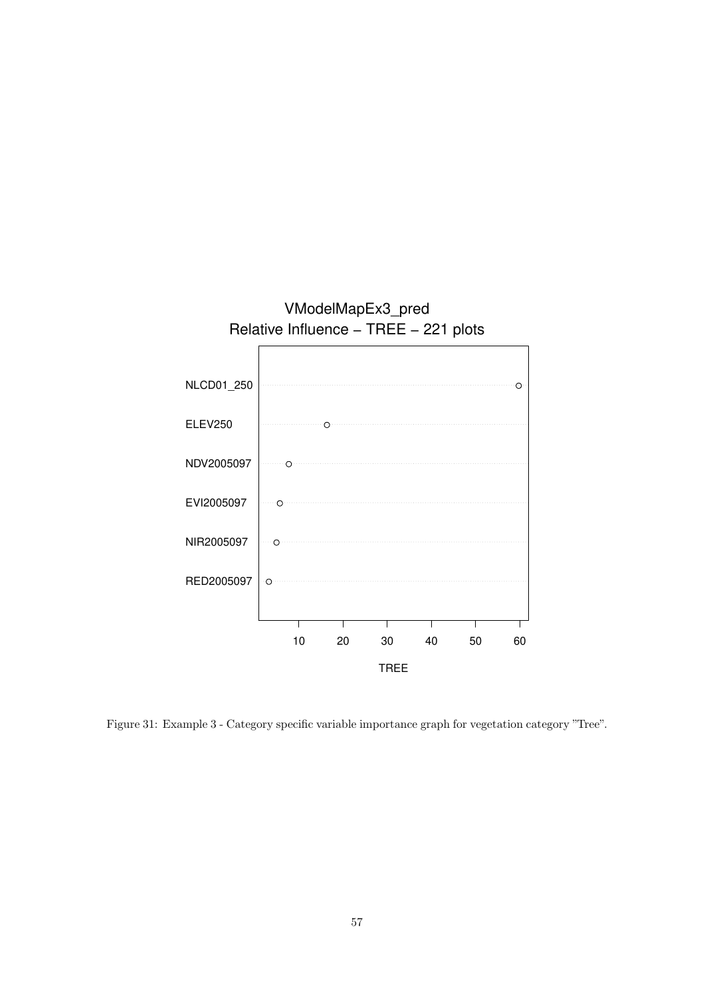![](_page_56_Figure_0.jpeg)

Figure 31: Example 3 - Category specific variable importance graph for vegetation category "Tree".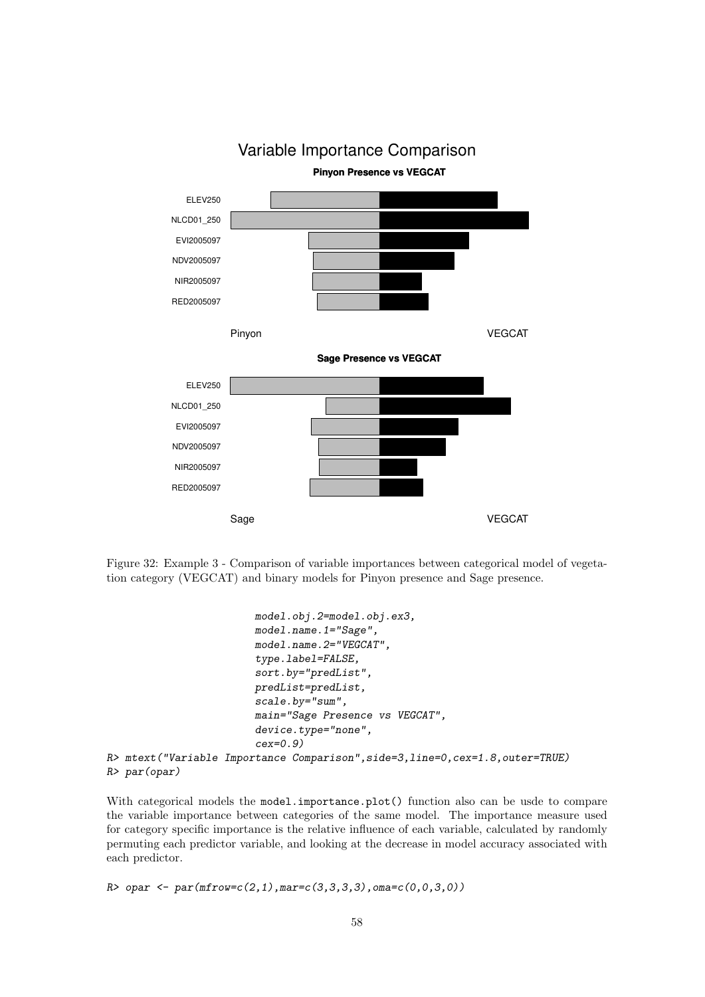![](_page_57_Figure_0.jpeg)

Figure 32: Example 3 - Comparison of variable importances between categorical model of vegetation category (VEGCAT) and binary models for Pinyon presence and Sage presence.

```
model.obj.2=model.obj.ex3,
model.name.1="Sage",
model.name.2="VEGCAT",
type.label=FALSE,
sort.by="predList",
predList=predList,
scale.by="sum",
main="Sage Presence vs VEGCAT",
device.type="none",
cex=0.9)
```
*R> mtext("Variable Importance Comparison",side=3,line=0,cex=1.8,outer=TRUE) R> par(opar)*

With categorical models the model.importance.plot() function also can be usde to compare the variable importance between categories of the same model. The importance measure used for category specific importance is the relative influence of each variable, calculated by randomly permuting each predictor variable, and looking at the decrease in model accuracy associated with each predictor.

*R> opar <- par(mfrow=c(2,1),mar=c(3,3,3,3),oma=c(0,0,3,0))*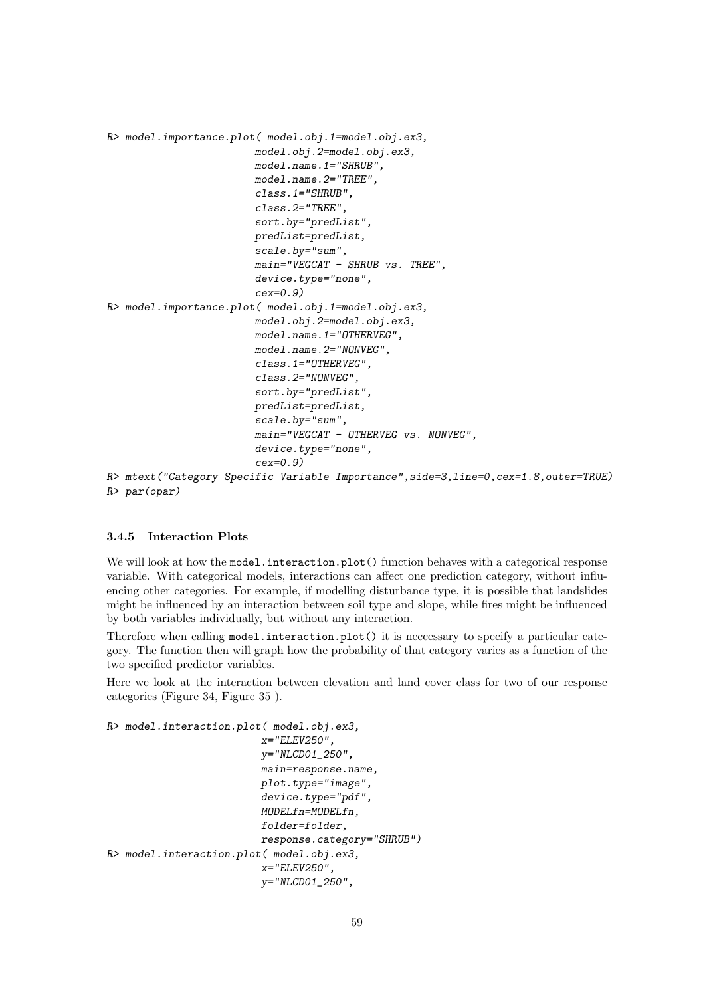```
R> model.importance.plot( model.obj.1=model.obj.ex3,
                        model.obj.2=model.obj.ex3,
                        model.name.1="SHRUB",
                        model.name.2="TREE",
                        class.1="SHRUB",
                        class.2="TREE",
                        sort.by="predList",
                        predList=predList,
                        scale.by="sum",
                        main="VEGCAT - SHRUB vs. TREE",
                        device.type="none",
                        cex=0.9)
R> model.importance.plot( model.obj.1=model.obj.ex3,
                        model.obj.2=model.obj.ex3,
                        model.name.1="OTHERVEG",
                        model.name.2="NONVEG",
                        class.1="OTHERVEG",
                        class.2="NONVEG",
                        sort.by="predList",
                        predList=predList,
                        scale.by="sum",
                        main="VEGCAT - OTHERVEG vs. NONVEG",
                        device.type="none",
                        cex=0.9)
R> mtext("Category Specific Variable Importance",side=3,line=0,cex=1.8,outer=TRUE)
R> par(opar)
```
#### 3.4.5 Interaction Plots

We will look at how the model.interaction.plot() function behaves with a categorical response variable. With categorical models, interactions can affect one prediction category, without influencing other categories. For example, if modelling disturbance type, it is possible that landslides might be influenced by an interaction between soil type and slope, while fires might be influenced by both variables individually, but without any interaction.

Therefore when calling model.interaction.plot() it is neccessary to specify a particular category. The function then will graph how the probability of that category varies as a function of the two specified predictor variables.

Here we look at the interaction between elevation and land cover class for two of our response categories (Figure 34, Figure 35 ).

```
R> model.interaction.plot( model.obj.ex3,
                         x="ELEV250",
                         y="NLCD01_250",
                         main=response.name,
                         plot.type="image",
                          device.type="pdf",
                         MODELfn=MODELfn,
                         folder=folder,
                         response.category="SHRUB")
R> model.interaction.plot( model.obj.ex3,
                         x="ELEV250",
                         y="NLCD01_250",
```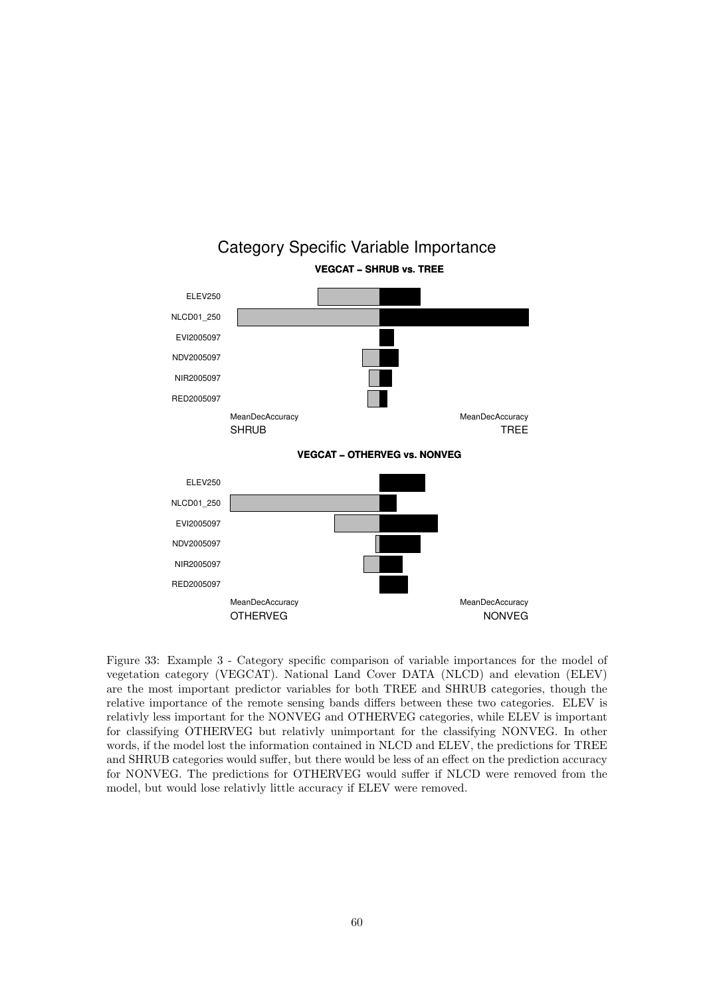![](_page_59_Figure_0.jpeg)

Figure 33: Example 3 - Category specific comparison of variable importances for the model of vegetation category (VEGCAT). National Land Cover DATA (NLCD) and elevation (ELEV) are the most important predictor variables for both TREE and SHRUB categories, though the relative importance of the remote sensing bands differs between these two categories. ELEV is relativly less important for the NONVEG and OTHERVEG categories, while ELEV is important for classifying OTHERVEG but relativly unimportant for the classifying NONVEG. In other words, if the model lost the information contained in NLCD and ELEV, the predictions for TREE and SHRUB categories would suffer, but there would be less of an effect on the prediction accuracy for NONVEG. The predictions for OTHERVEG would suffer if NLCD were removed from the model, but would lose relativly little accuracy if ELEV were removed.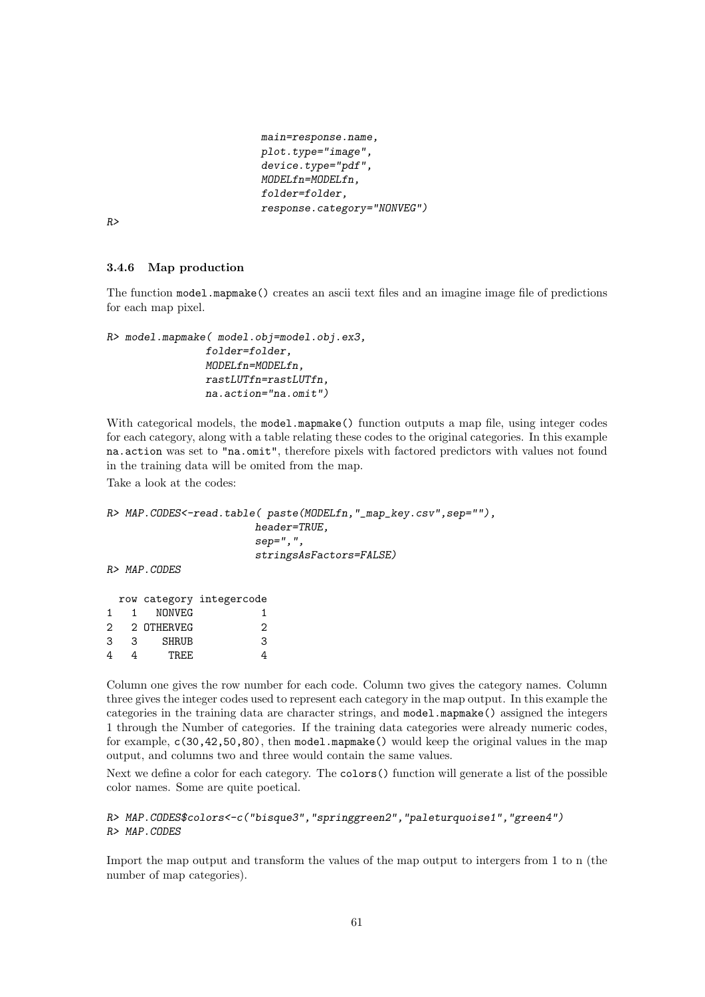```
main=response.name,
plot.type="image",
device.type="pdf",
MODELfn=MODELfn,
folder=folder,
response.category="NONVEG")
```
*R>*

#### 3.4.6 Map production

The function model.mapmake() creates an ascii text files and an imagine image file of predictions for each map pixel.

```
R> model.mapmake( model.obj=model.obj.ex3,
                folder=folder,
                MODELfn=MODELfn,
                rastLUTfn=rastLUTfn,
                na.action="na.omit")
```
With categorical models, the model.mapmake() function outputs a map file, using integer codes for each category, along with a table relating these codes to the original categories. In this example na.action was set to "na.omit", therefore pixels with factored predictors with values not found in the training data will be omited from the map.

Take a look at the codes:

*R> MAP.CODES<-read.table( paste(MODELfn,"\_map\_key.csv",sep=""), header=TRUE, sep=",", stringsAsFactors=FALSE)*

*R> MAP.CODES*

| 1. | NONVEG       |                                        |
|----|--------------|----------------------------------------|
|    |              | 2                                      |
| 3  | <b>SHRUB</b> | 3                                      |
|    | TR.F.F.      |                                        |
|    |              | row category integercode<br>2 OTHERVEG |

Column one gives the row number for each code. Column two gives the category names. Column three gives the integer codes used to represent each category in the map output. In this example the categories in the training data are character strings, and model.mapmake() assigned the integers 1 through the Number of categories. If the training data categories were already numeric codes, for example, c(30,42,50,80), then model.mapmake() would keep the original values in the map output, and columns two and three would contain the same values.

Next we define a color for each category. The colors() function will generate a list of the possible color names. Some are quite poetical.

*R> MAP.CODES\$colors<-c("bisque3","springgreen2","paleturquoise1","green4") R> MAP.CODES*

Import the map output and transform the values of the map output to intergers from 1 to n (the number of map categories).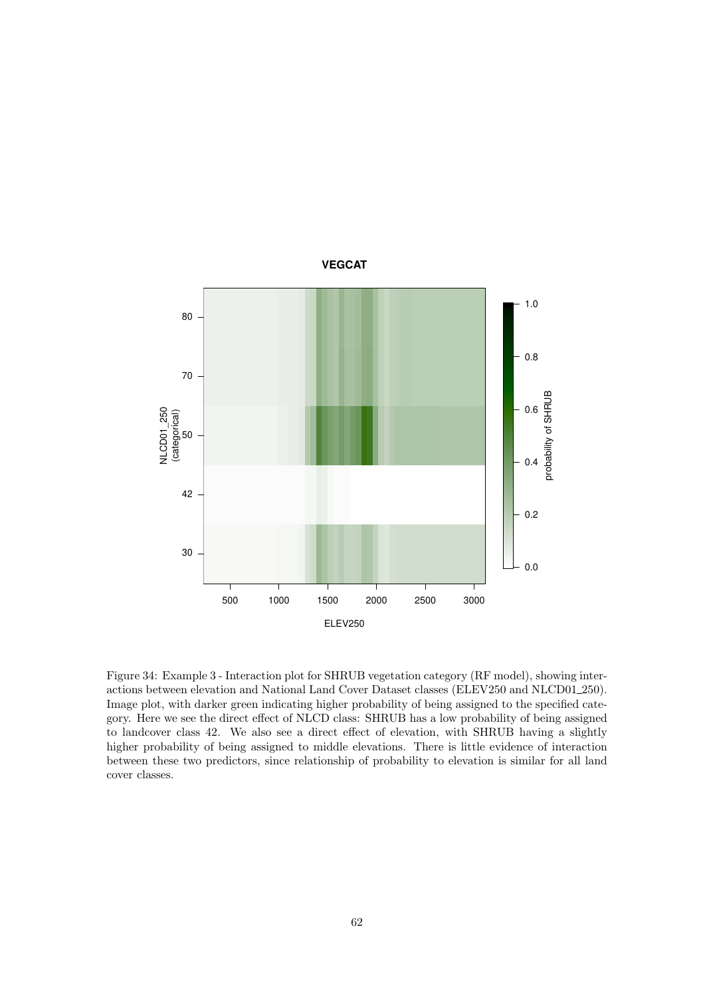![](_page_61_Figure_0.jpeg)

Figure 34: Example 3 - Interaction plot for SHRUB vegetation category (RF model), showing interactions between elevation and National Land Cover Dataset classes (ELEV250 and NLCD01\_250). Image plot, with darker green indicating higher probability of being assigned to the specified category. Here we see the direct effect of NLCD class: SHRUB has a low probability of being assigned to landcover class 42. We also see a direct effect of elevation, with SHRUB having a slightly higher probability of being assigned to middle elevations. There is little evidence of interaction between these two predictors, since relationship of probability to elevation is similar for all land cover classes.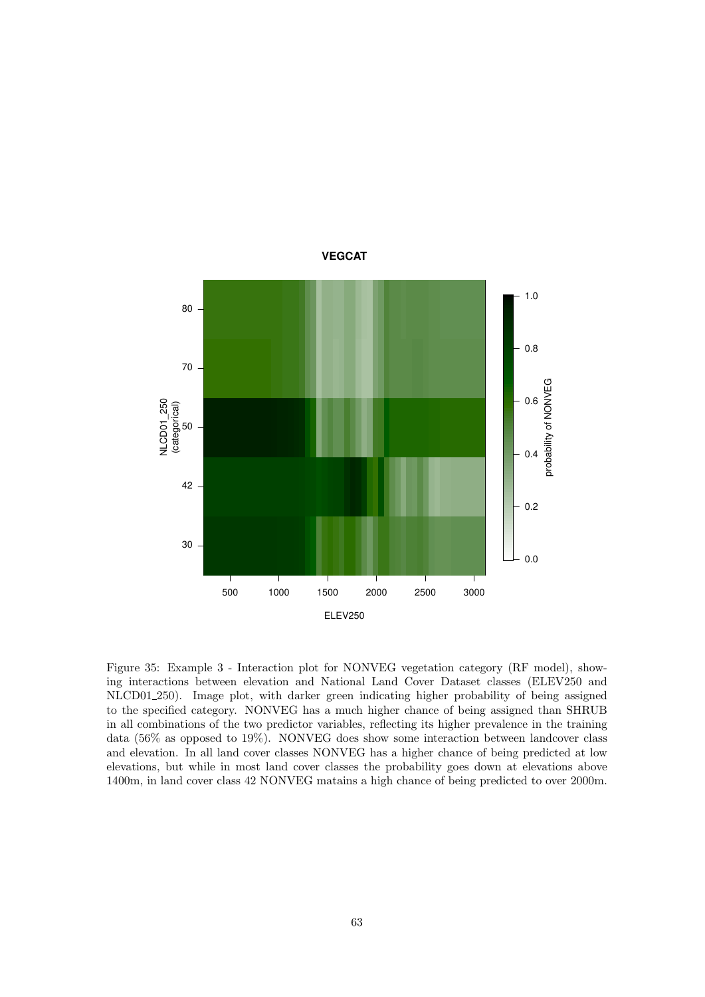![](_page_62_Figure_0.jpeg)

Figure 35: Example 3 - Interaction plot for NONVEG vegetation category (RF model), showing interactions between elevation and National Land Cover Dataset classes (ELEV250 and NLCD01 250). Image plot, with darker green indicating higher probability of being assigned to the specified category. NONVEG has a much higher chance of being assigned than SHRUB in all combinations of the two predictor variables, reflecting its higher prevalence in the training data (56% as opposed to 19%). NONVEG does show some interaction between landcover class and elevation. In all land cover classes NONVEG has a higher chance of being predicted at low elevations, but while in most land cover classes the probability goes down at elevations above 1400m, in land cover class 42 NONVEG matains a high chance of being predicted to over 2000m.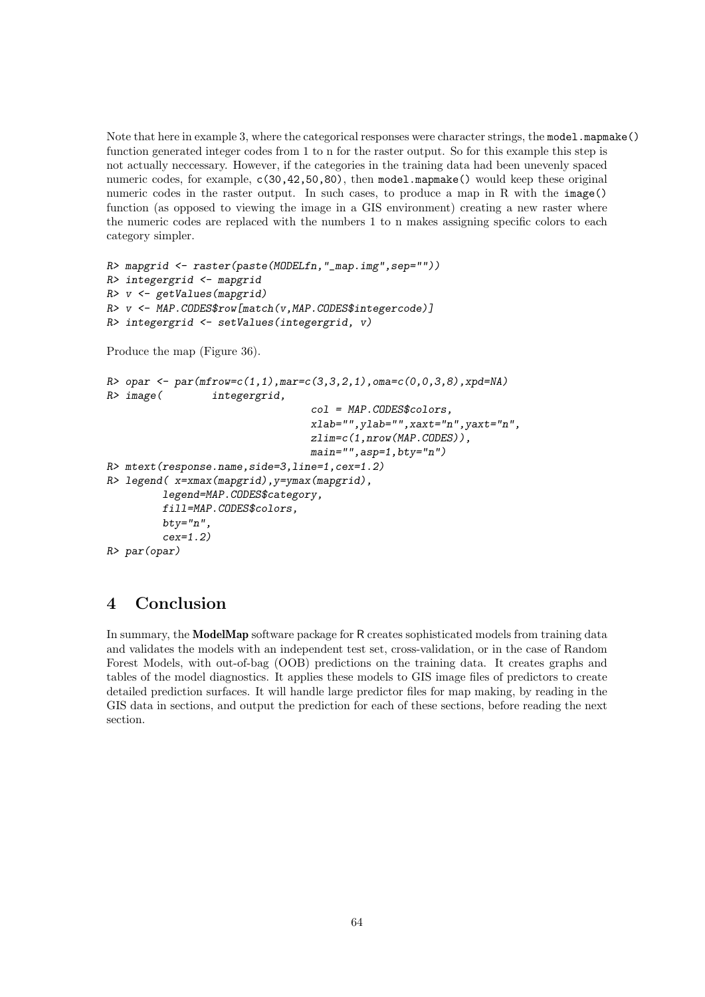Note that here in example 3, where the categorical responses were character strings, the model.mapmake() function generated integer codes from 1 to n for the raster output. So for this example this step is not actually neccessary. However, if the categories in the training data had been unevenly spaced numeric codes, for example, c(30,42,50,80), then model.mapmake() would keep these original numeric codes in the raster output. In such cases, to produce a map in R with the image() function (as opposed to viewing the image in a GIS environment) creating a new raster where the numeric codes are replaced with the numbers 1 to n makes assigning specific colors to each category simpler.

```
R> mapgrid <- raster(paste(MODELfn,"_map.img",sep=""))
R> integergrid <- mapgrid
R> v <- getValues(mapgrid)
R> v <- MAP.CODES$row[match(v,MAP.CODES$integercode)]
R> integergrid <- setValues(integergrid, v)
Produce the map (Figure 36).
R> opar <- par(mfrow=c(1,1),mar=c(3,3,2,1),oma=c(0,0,3,8),xpd=NA)
R> image( integergrid,
                                 col = MAP.CODES$colors,
                                 xlab="",ylab="",xaxt="n",yaxt="n",
                                 zlim=c(1,nrow(MAP.CODES)),
                                 main="",asp=1,bty="n")
R> mtext(response.name,side=3,line=1,cex=1.2)
R> legend( x=xmax(mapgrid),y=ymax(mapgrid),
         legend=MAP.CODES$category,
         fill=MAP.CODES$colors,
         bty="n",
         cex=1.2)
R> par(opar)
```
## 4 Conclusion

In summary, the ModelMap software package for R creates sophisticated models from training data and validates the models with an independent test set, cross-validation, or in the case of Random Forest Models, with out-of-bag (OOB) predictions on the training data. It creates graphs and tables of the model diagnostics. It applies these models to GIS image files of predictors to create detailed prediction surfaces. It will handle large predictor files for map making, by reading in the GIS data in sections, and output the prediction for each of these sections, before reading the next section.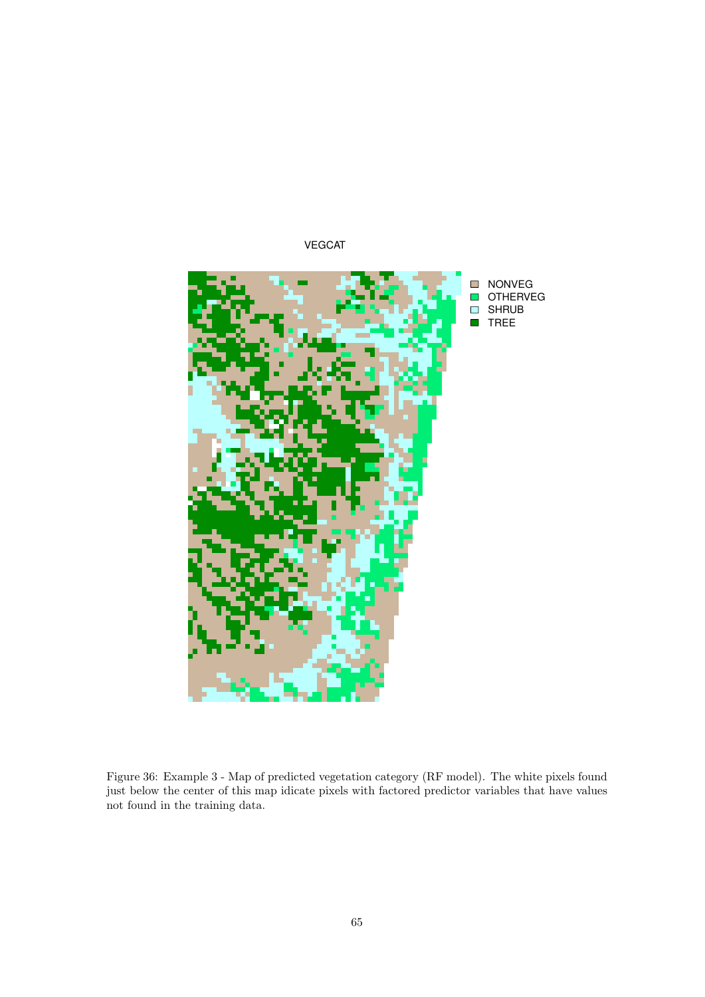![](_page_64_Figure_0.jpeg)

Figure 36: Example 3 - Map of predicted vegetation category (RF model). The white pixels found just below the center of this map idicate pixels with factored predictor variables that have values not found in the training data.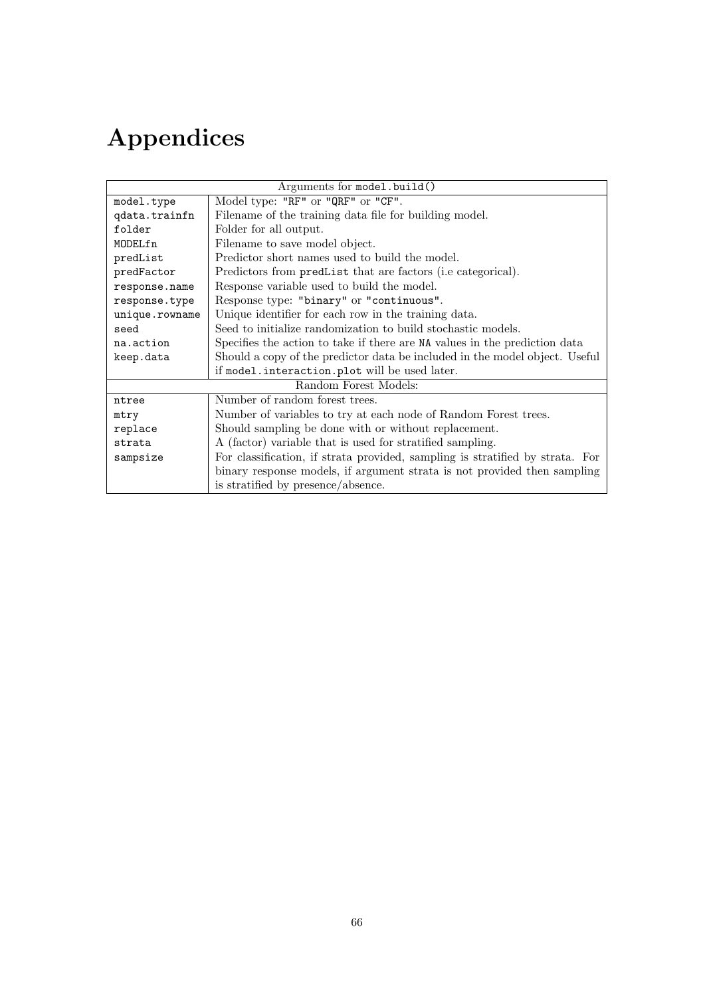# Appendices

| Arguments for model.build() |                                                                               |  |
|-----------------------------|-------------------------------------------------------------------------------|--|
| model.type                  | Model type: "RF" or "QRF" or "CF".                                            |  |
| qdata.trainfn               | Filename of the training data file for building model.                        |  |
| folder                      | Folder for all output.                                                        |  |
| MODELfn                     | Filename to save model object.                                                |  |
| predList                    | Predictor short names used to build the model.                                |  |
| predFactor                  | Predictors from predlist that are factors (i.e categorical).                  |  |
| response.name               | Response variable used to build the model.                                    |  |
| response.type               | Response type: "binary" or "continuous".                                      |  |
| unique.rowname              | Unique identifier for each row in the training data.                          |  |
| seed                        | Seed to initialize randomization to build stochastic models.                  |  |
| na.action                   | Specifies the action to take if there are NA values in the prediction data    |  |
| keep.data                   | Should a copy of the predictor data be included in the model object. Useful   |  |
|                             | if model.interaction.plot will be used later.                                 |  |
| Random Forest Models:       |                                                                               |  |
| ntree                       | Number of random forest trees.                                                |  |
| mtry                        | Number of variables to try at each node of Random Forest trees.               |  |
| replace                     | Should sampling be done with or without replacement.                          |  |
| strata                      | A (factor) variable that is used for stratified sampling.                     |  |
| sampsize                    | For classification, if strata provided, sampling is stratified by strata. For |  |
|                             | binary response models, if argument strata is not provided then sampling      |  |
|                             | is stratified by presence/absence.                                            |  |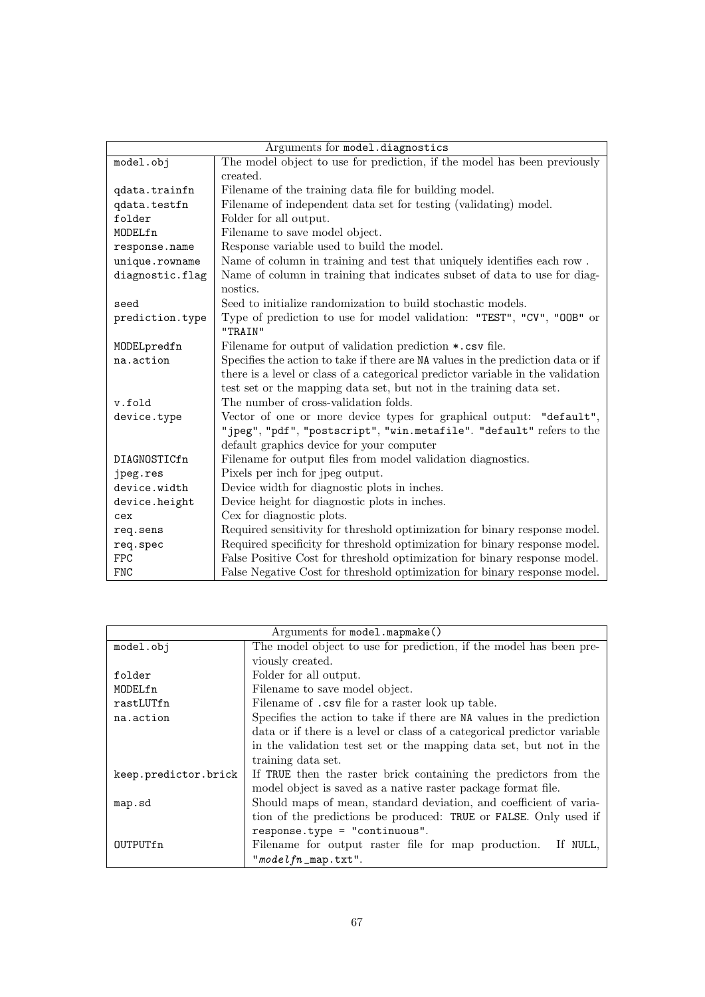| Arguments for model.diagnostics |                                                                                  |  |
|---------------------------------|----------------------------------------------------------------------------------|--|
| model.obj                       | The model object to use for prediction, if the model has been previously         |  |
|                                 | created.                                                                         |  |
| qdata.trainfn                   | Filename of the training data file for building model.                           |  |
| qdata.testfn                    | Filename of independent data set for testing (validating) model.                 |  |
| folder                          | Folder for all output.                                                           |  |
| MODELfn                         | Filename to save model object.                                                   |  |
| response.name                   | Response variable used to build the model.                                       |  |
| unique.rowname                  | Name of column in training and test that uniquely identifies each row.           |  |
| diagnostic.flag                 | Name of column in training that indicates subset of data to use for diag-        |  |
|                                 | nostics.                                                                         |  |
| seed                            | Seed to initialize randomization to build stochastic models.                     |  |
| prediction.type                 | Type of prediction to use for model validation: "TEST", "CV", "OOB" or           |  |
|                                 | "TRAIN"                                                                          |  |
| MODELpredfn                     | Filename for output of validation prediction *.csv file.                         |  |
| na.action                       | Specifies the action to take if there are NA values in the prediction data or if |  |
|                                 | there is a level or class of a categorical predictor variable in the validation  |  |
|                                 | test set or the mapping data set, but not in the training data set.              |  |
| v.fold                          | The number of cross-validation folds.                                            |  |
| device.type                     | Vector of one or more device types for graphical output: "default",              |  |
|                                 | "jpeg", "pdf", "postscript", "win.metafile". "default" refers to the             |  |
|                                 | default graphics device for your computer                                        |  |
| DIAGNOSTICfn                    | Filename for output files from model validation diagnostics.                     |  |
| jpeg.res                        | Pixels per inch for jpeg output.                                                 |  |
| device.width                    | Device width for diagnostic plots in inches.                                     |  |
| device.height                   | Device height for diagnostic plots in inches.                                    |  |
| cex                             | Cex for diagnostic plots.                                                        |  |
| req.sens                        | Required sensitivity for threshold optimization for binary response model.       |  |
| req.spec                        | Required specificity for threshold optimization for binary response model.       |  |
| <b>FPC</b>                      | False Positive Cost for threshold optimization for binary response model.        |  |
| <b>FNC</b>                      | False Negative Cost for threshold optimization for binary response model.        |  |

| Arguments for model.mapmake() |                                                                          |  |
|-------------------------------|--------------------------------------------------------------------------|--|
| model.obj                     | The model object to use for prediction, if the model has been pre-       |  |
|                               | viously created.                                                         |  |
| folder                        | Folder for all output.                                                   |  |
| MODELfn                       | Filename to save model object.                                           |  |
| rastLUTfn                     | Filename of .csv file for a raster look up table.                        |  |
| na.action                     | Specifies the action to take if there are NA values in the prediction    |  |
|                               | data or if there is a level or class of a categorical predictor variable |  |
|                               | in the validation test set or the mapping data set, but not in the       |  |
|                               | training data set.                                                       |  |
| keep.predictor.brick          | If TRUE then the raster brick containing the predictors from the         |  |
|                               | model object is saved as a native raster package format file.            |  |
| map.sd                        | Should maps of mean, standard deviation, and coefficient of varia-       |  |
|                               | tion of the predictions be produced: TRUE or FALSE. Only used if         |  |
|                               | response.type = "continuous".                                            |  |
| OUTPUTfn                      | Filename for output raster file for map production. If NULL,             |  |
|                               | $"modelfn_map.txt".$                                                     |  |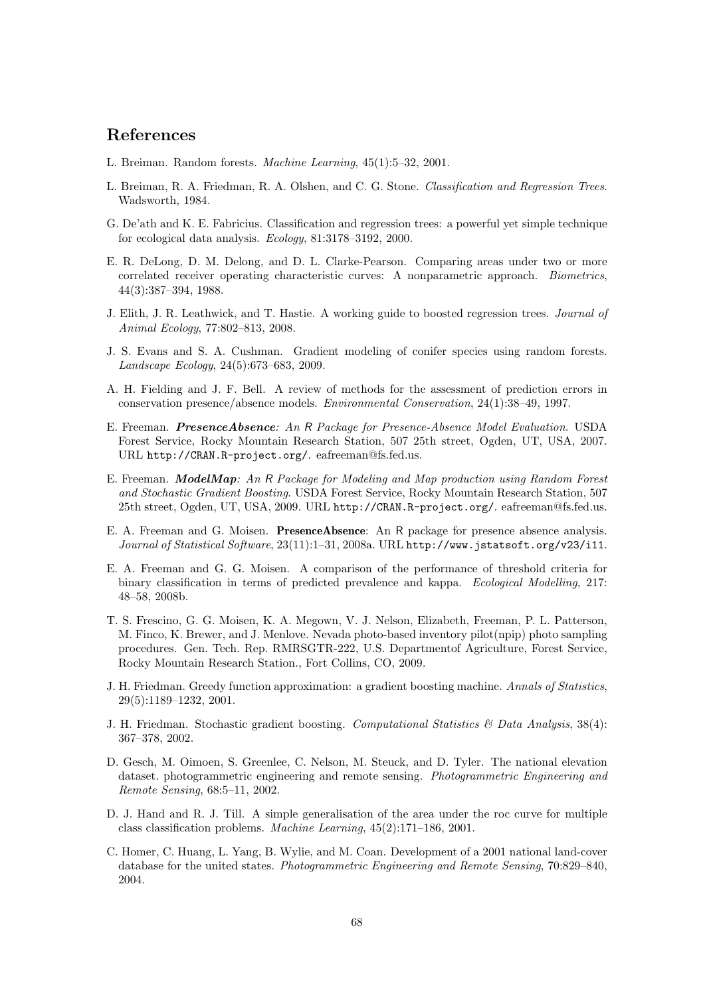### References

- L. Breiman. Random forests. Machine Learning, 45(1):5–32, 2001.
- L. Breiman, R. A. Friedman, R. A. Olshen, and C. G. Stone. Classification and Regression Trees. Wadsworth, 1984.
- G. De'ath and K. E. Fabricius. Classification and regression trees: a powerful yet simple technique for ecological data analysis. Ecology, 81:3178–3192, 2000.
- E. R. DeLong, D. M. Delong, and D. L. Clarke-Pearson. Comparing areas under two or more correlated receiver operating characteristic curves: A nonparametric approach. Biometrics, 44(3):387–394, 1988.
- J. Elith, J. R. Leathwick, and T. Hastie. A working guide to boosted regression trees. Journal of Animal Ecology, 77:802–813, 2008.
- J. S. Evans and S. A. Cushman. Gradient modeling of conifer species using random forests. Landscape Ecology, 24(5):673–683, 2009.
- A. H. Fielding and J. F. Bell. A review of methods for the assessment of prediction errors in conservation presence/absence models. Environmental Conservation, 24(1):38–49, 1997.
- E. Freeman. PresenceAbsence: An R Package for Presence-Absence Model Evaluation. USDA Forest Service, Rocky Mountain Research Station, 507 25th street, Ogden, UT, USA, 2007. URL http://CRAN.R-project.org/. eafreeman@fs.fed.us.
- E. Freeman. ModelMap: An R Package for Modeling and Map production using Random Forest and Stochastic Gradient Boosting. USDA Forest Service, Rocky Mountain Research Station, 507 25th street, Ogden, UT, USA, 2009. URL http://CRAN.R-project.org/. eafreeman@fs.fed.us.
- E. A. Freeman and G. Moisen. PresenceAbsence: An R package for presence absence analysis. Journal of Statistical Software, 23(11):1–31, 2008a. URL http://www.jstatsoft.org/v23/i11.
- E. A. Freeman and G. G. Moisen. A comparison of the performance of threshold criteria for binary classification in terms of predicted prevalence and kappa. Ecological Modelling, 217: 48–58, 2008b.
- T. S. Frescino, G. G. Moisen, K. A. Megown, V. J. Nelson, Elizabeth, Freeman, P. L. Patterson, M. Finco, K. Brewer, and J. Menlove. Nevada photo-based inventory pilot(npip) photo sampling procedures. Gen. Tech. Rep. RMRSGTR-222, U.S. Departmentof Agriculture, Forest Service, Rocky Mountain Research Station., Fort Collins, CO, 2009.
- J. H. Friedman. Greedy function approximation: a gradient boosting machine. Annals of Statistics, 29(5):1189–1232, 2001.
- J. H. Friedman. Stochastic gradient boosting. Computational Statistics  $\mathcal{B}$  Data Analysis, 38(4): 367–378, 2002.
- D. Gesch, M. Oimoen, S. Greenlee, C. Nelson, M. Steuck, and D. Tyler. The national elevation dataset. photogrammetric engineering and remote sensing. Photogrammetric Engineering and Remote Sensing, 68:5–11, 2002.
- D. J. Hand and R. J. Till. A simple generalisation of the area under the roc curve for multiple class classification problems. Machine Learning, 45(2):171–186, 2001.
- C. Homer, C. Huang, L. Yang, B. Wylie, and M. Coan. Development of a 2001 national land-cover database for the united states. Photogrammetric Engineering and Remote Sensing, 70:829–840, 2004.